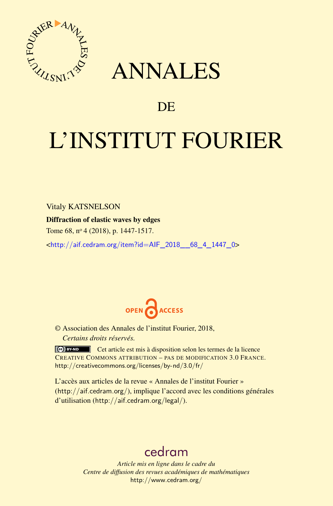

## ANNALES

### **DE**

# L'INSTITUT FOURIER

Vitaly KATSNELSON

Diffraction of elastic waves by edges

Tome 68, nº 4 (2018), p. 1447-1517.

<[http://aif.cedram.org/item?id=AIF\\_2018\\_\\_68\\_4\\_1447\\_0](http://aif.cedram.org/item?id=AIF_2018__68_4_1447_0)>



© Association des Annales de l'institut Fourier, 2018, *Certains droits réservés.*

Cet article est mis à disposition selon les termes de la licence CREATIVE COMMONS ATTRIBUTION – PAS DE MODIFICATION 3.0 FRANCE. <http://creativecommons.org/licenses/by-nd/3.0/fr/>

L'accès aux articles de la revue « Annales de l'institut Fourier » (<http://aif.cedram.org/>), implique l'accord avec les conditions générales d'utilisation (<http://aif.cedram.org/legal/>).

## [cedram](http://www.cedram.org/)

*Article mis en ligne dans le cadre du Centre de diffusion des revues académiques de mathématiques* <http://www.cedram.org/>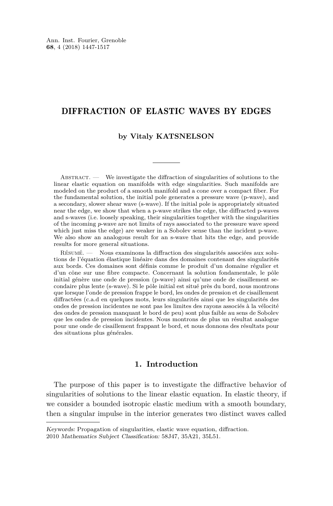#### DIFFRACTION OF ELASTIC WAVES BY EDGES

#### **by Vitaly KATSNELSON**

ABSTRACT. — We investigate the diffraction of singularities of solutions to the linear elastic equation on manifolds with edge singularities. Such manifolds are modeled on the product of a smooth manifold and a cone over a compact fiber. For the fundamental solution, the initial pole generates a pressure wave (p-wave), and a secondary, slower shear wave (s-wave). If the initial pole is appropriately situated near the edge, we show that when a p-wave strikes the edge, the diffracted p-waves and s-waves (i.e. loosely speaking, their singularities together with the singularities of the incoming *p*-wave are not limits of rays associated to the pressure wave speed which just miss the edge) are weaker in a Sobolev sense than the incident p-wave. We also show an analogous result for an s-wave that hits the edge, and provide results for more general situations.

Résumé. — Nous examinons la diffraction des singularités associées aux solutions de l'équation élastique linéaire dans des domaines contenant des singularités aux bords. Ces domaines sont définis comme le produit d'un domaine régulier et d'un cône sur une fibre compacte. Concernant la solution fondamentale, le pôle initial génère une onde de pression (p-wave) ainsi qu'une onde de cisaillement secondaire plus lente (s-wave). Si le pôle initial est situé près du bord, nous montrons que lorsque l'onde de pression frappe le bord, les ondes de pression et de cisaillement diffractées (c.a.d en quelques mots, leurs singularités ainsi que les singularités des ondes de pression incidentes ne sont pas les limites des rayons associés à la vélocité des ondes de pression manquant le bord de peu) sont plus faible au sens de Sobolev que les ondes de pression incidentes. Nous montrons de plus un résultat analogue pour une onde de cisaillement frappant le bord, et nous donnons des résultats pour des situations plus générales.

#### **1. Introduction**

The purpose of this paper is to investigate the diffractive behavior of singularities of solutions to the linear elastic equation. In elastic theory, if we consider a bounded isotropic elastic medium with a smooth boundary, then a singular impulse in the interior generates two distinct waves called

Keywords: Propagation of singularities, elastic wave equation, diffraction.

<sup>2010</sup> Mathematics Subject Classification: 58J47, 35A21, 35L51.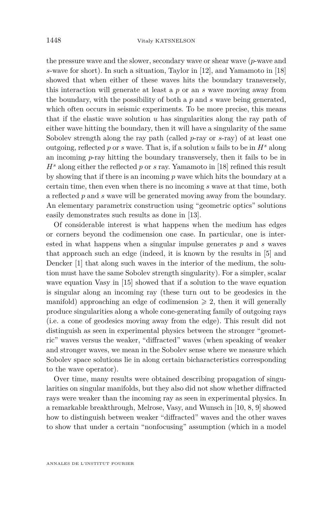the pressure wave and the slower, secondary wave or shear wave (*p*-wave and *s*-wave for short). In such a situation, Taylor in [\[12\]](#page-70-0), and Yamamoto in [\[18\]](#page-71-0) showed that when either of these waves hits the boundary transversely, this interaction will generate at least a *p* or an *s* wave moving away from the boundary, with the possibility of both a *p* and *s* wave being generated, which often occurs in seismic experiments. To be more precise, this means that if the elastic wave solution *u* has singularities along the ray path of either wave hitting the boundary, then it will have a singularity of the same Sobolev strength along the ray path (called *p*-ray or *s*-ray) of at least one outgoing, reflected p or *s* wave. That is, if a solution u fails to be in  $H^s$  along an incoming *p*-ray hitting the boundary transversely, then it fails to be in *H<sup>s</sup>* along either the reflected *p* or *s* ray. Yamamoto in [\[18\]](#page-71-0) refined this result by showing that if there is an incoming *p* wave which hits the boundary at a certain time, then even when there is no incoming *s* wave at that time, both a reflected *p* and *s* wave will be generated moving away from the boundary. An elementary parametrix construction using "geometric optics" solutions easily demonstrates such results as done in [\[13\]](#page-71-1).

Of considerable interest is what happens when the medium has edges or corners beyond the codimension one case. In particular, one is interested in what happens when a singular impulse generates *p* and *s* waves that approach such an edge (indeed, it is known by the results in [\[5\]](#page-70-1) and Dencker [\[1\]](#page-70-2) that along such waves in the interior of the medium, the solution must have the same Sobolev strength singularity). For a simpler, scalar wave equation Vasy in [\[15\]](#page-71-2) showed that if a solution to the wave equation is singular along an incoming ray (these turn out to be geodesics in the manifold) approaching an edge of codimension  $\geq 2$ , then it will generally produce singularities along a whole cone-generating family of outgoing rays (i.e. a cone of geodesics moving away from the edge). This result did not distinguish as seen in experimental physics between the stronger "geometric" waves versus the weaker, "diffracted" waves (when speaking of weaker and stronger waves, we mean in the Sobolev sense where we measure which Sobolev space solutions lie in along certain bicharacteristics corresponding to the wave operator).

Over time, many results were obtained describing propagation of singularities on singular manifolds, but they also did not show whether diffracted rays were weaker than the incoming ray as seen in experimental physics. In a remarkable breakthrough, Melrose, Vasy, and Wunsch in [\[10,](#page-70-3) [8,](#page-70-4) [9\]](#page-70-5) showed how to distinguish between weaker "diffracted" waves and the other waves to show that under a certain "nonfocusing" assumption (which in a model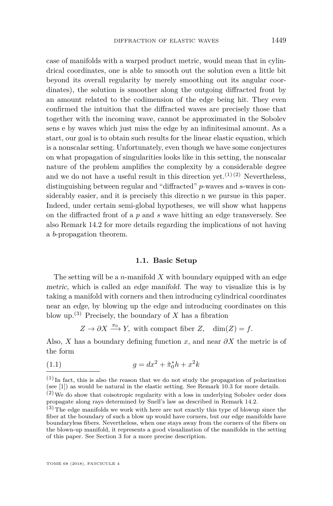case of manifolds with a warped product metric, would mean that in cylindrical coordinates, one is able to smooth out the solution even a little bit beyond its overall regularity by merely smoothing out its angular coordinates), the solution is smoother along the outgoing diffracted front by an amount related to the codimension of the edge being hit. They even confirmed the intuition that the diffracted waves are precisely those that together with the incoming wave, cannot be approximated in the Sobolev sens e by waves which just miss the edge by an infinitesimal amount. As a start, our goal is to obtain such results for the linear elastic equation, which is a nonscalar setting. Unfortunately, even though we have some conjectures on what propagation of singularities looks like in this setting, the nonscalar nature of the problem amplifies the complexity by a considerable degree and we do not have a useful result in this direction yet.<sup>(1)(2)</sup> Nevertheless, distinguishing between regular and "diffracted" *p*-waves and *s*-waves is considerably easier, and it is precisely this directio n we pursue in this paper. Indeed, under certain semi-global hypotheses, we will show what happens on the diffracted front of a *p* and *s* wave hitting an edge transversely. See also Remark [14.2](#page-66-0) for more details regarding the implications of not having a *b*-propagation theorem.

#### **1.1. Basic Setup**

The setting will be a *n*-manifold *X* with boundary equipped with an edge metric, which is called an edge manifold. The way to visualize this is by taking a manifold with corners and then introducing cylindrical coordinates near an edge, by blowing up the edge and introducing coordinates on this blow up.<sup>(3)</sup> Precisely, the boundary of  $X$  has a fibration

 $Z \to \partial X \xrightarrow{\pi_0} Y$ , with compact fiber *Z*, dim(*Z*) = *f*.

Also, *X* has a boundary defining function *x*, and near *∂X* the metric is of the form

(1.1) 
$$
g = dx^2 + \tilde{\pi}_0^* h + x^2 k
$$

 $(1)$  In fact, this is also the reason that we do not study the propagation of polarization (see [\[1\]](#page-70-2)) as would be natural in the elastic setting. See Remark [10.3](#page-36-0) for more details.

 $(2)$  We do show that coisotropic regularity with a loss in underlying Sobolev order does propagate along rays determined by Snell's law as described in Remark [14.2.](#page-66-0)

 $(3)$  The edge manifolds we work with here are not exactly this type of blowup since the fiber at the boundary of such a blow up would have corners, but our edge manifolds have boundaryless fibers. Nevertheless, when one stays away from the corners of the fibers on the blown-up manifold, it represents a good visualization of the manifolds in the setting of this paper. See Section [3](#page-15-0) for a more precise description.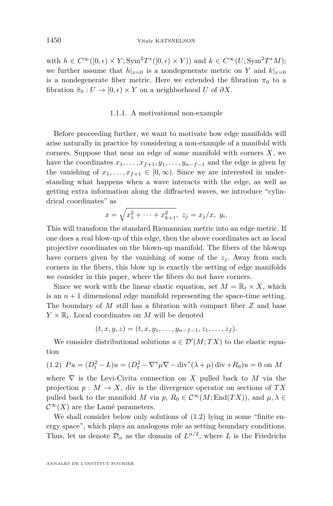with  $h \in C^{\infty}([0, \epsilon) \times Y; \text{Sym}^2 T^*([0, \epsilon) \times Y))$  and  $k \in C^{\infty}(U; \text{Sym}^2 T^* M);$ we further assume that  $h|_{x=0}$  is a nondegenerate metric on *Y* and  $k|_{x=0}$ is a nondegenerate fiber metric. Here we extended the fibration  $\pi_0$  to a fibration  $\tilde{\pi}_0 : U \to [0, \epsilon) \times Y$  on a neighborhood *U* of  $\partial X$ .

#### 1.1.1. A motivational non-example

Before proceeding further, we want to motivate how edge manifolds will arise naturally in practice by considering a non-example of a manifold with corners. Suppose that near an edge of some manifold with corners *X*, we have the coordinates  $x_1, \ldots, x_{f+1}, y_1, \ldots, y_{n-f-1}$  and the edge is given by the vanishing of  $x_1, \ldots, x_{f+1} \in [0, \infty)$ . Since we are interested in understanding what happens when a wave interacts with the edge, as well as getting extra information along the diffracted waves, we introduce "cylindrical coordinates" as

$$
x = \sqrt{x_1^2 + \dots + x_{k+1}^2}, \ z_j = x_j/x, \ y_i.
$$

This will transform the standard Riemannian metric into an edge metric. If one does a real blow-up of this edge, then the above coordinates act as local projective coordinates on the blown-up manifold. The fibers of the blowup have corners given by the vanishing of some of the  $z_j$ . Away from such corners in the fibers, this blow up is exactly the setting of edge manifolds we consider in this paper, where the fibers do not have corners.

Since we work with the linear elastic equation, set  $M = \mathbb{R}_t \times X$ , which is an  $n+1$  dimensional edge manifold representing the space-time setting. The boundary of *M* still has a fibration with compact fiber *Z* and base  $Y \times \mathbb{R}_t$ . Local coordinates on *M* will be denoted

$$
(t, x, y, z) = (t, x, y_1, \dots, y_{n-f-1}, z_1, \dots, z_f).
$$

We consider distributional solutions  $u \in \mathcal{D}'(M;TX)$  to the elastic equation

<span id="page-4-0"></span>(1.2) 
$$
Pu = (D_t^2 - L)u = (D_t^2 - \nabla^* \mu \nabla - \text{div}^* (\lambda + \mu) \text{div} + R_0)u = 0
$$
 on M

where  $\nabla$  is the Levi-Civita connection on X pulled back to M via the projection  $p: M \to X$ , div is the divergence operator on sections of  $TX$ pulled back to the manifold *M* via  $p, R_0 \in C^{\infty}(M; \text{End}(TX))$ , and  $\mu, \lambda \in$  $\mathcal{C}^{\infty}(X)$  are the Lamé parameters.

We shall consider below only solutions of  $(1.2)$  lying in some "finite energy space", which plays an analogous role as setting boundary conditions. Thus, let us denote  $\mathcal{D}_{\alpha}$  as the domain of  $L^{\alpha/2}$ , where *L* is the Friedrichs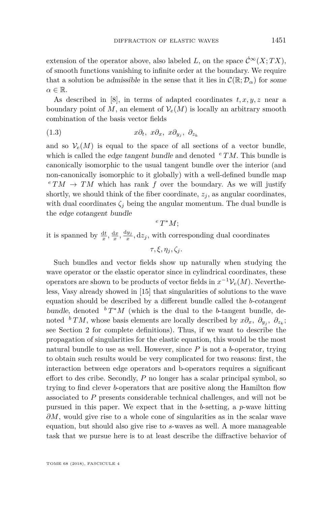extension of the operator above, also labeled *L*, on the space  $\mathcal{C}^{\infty}(X;TX)$ , of smooth functions vanishing to infinite order at the boundary. We require that a solution be admissible in the sense that it lies in  $\mathcal{C}(\mathbb{R};\mathcal{D}_{\alpha})$  for some  $\alpha \in \mathbb{R}$ .

As described in [\[8\]](#page-70-4), in terms of adapted coordinates *t, x, y, z* near a boundary point of *M*, an element of  $V_e(M)$  is locally an arbitrary smooth combination of the basis vector fields

$$
(1.3) \t x\partial_t, x\partial_x, x\partial_{y_j}, \partial_{z_k}
$$

and so  $\mathcal{V}_e(M)$  is equal to the space of all sections of a vector bundle, which is called the edge tangent bundle and denoted  $e^{T}TM$ . This bundle is canonically isomorphic to the usual tangent bundle over the interior (and non-canonically isomorphic to it globally) with a well-defined bundle map  $e^{t}TM \rightarrow TM$  which has rank *f* over the boundary. As we will justify shortly, we should think of the fiber coordinate,  $z_j$ , as angular coordinates, with dual coordinates  $\zeta_i$  being the angular momentum. The dual bundle is the edge cotangent bundle

*<sup>e</sup> T* <sup>∗</sup>*M*;

it is spanned by  $\frac{dt}{x}$ ,  $\frac{dx}{x}$ ,  $\frac{dy_j}{x}$ ,  $dz_j$ , with corresponding dual coordinates

 $\tau, \xi, \eta_j, \zeta_j$ .

Such bundles and vector fields show up naturally when studying the wave operator or the elastic operator since in cylindrical coordinates, these operators are shown to be products of vector fields in  $x^{-1}V_e(M)$ . Nevertheless, Vasy already showed in [\[15\]](#page-71-2) that singularities of solutions to the wave equation should be described by a different bundle called the *b*-cotangent bundle, denoted  ${}^bT^*M$  (which is the dual to the *b*-tangent bundle, denoted <sup>*b*</sup> *TM*, whose basis elements are locally described by  $x\partial_x$ ,  $\partial_{y_j}$ ,  $\partial_{z_k}$ ; see Section [2](#page-13-0) for complete definitions). Thus, if we want to describe the propagation of singularities for the elastic equation, this would be the most natural bundle to use as well. However, since *P* is not a *b*-operator, trying to obtain such results would be very complicated for two reasons: first, the interaction between edge operators and b-operators requires a significant effort to des cribe. Secondly, *P* no longer has a scalar principal symbol, so trying to find clever *b*-operators that are positive along the Hamilton flow associated to *P* presents considerable technical challenges, and will not be pursued in this paper. We expect that in the *b*-setting, a *p*-wave hitting *∂M*, would give rise to a whole cone of singularities as in the scalar wave equation, but should also give rise to *s*-waves as well. A more manageable task that we pursue here is to at least describe the diffractive behavior of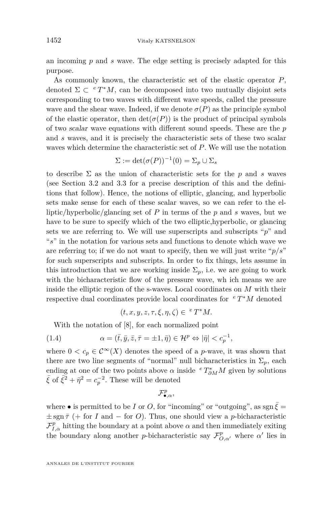an incoming *p* and *s* wave. The edge setting is precisely adapted for this purpose.

As commonly known, the characteristic set of the elastic operator *P*, denoted  $\Sigma \subset {}^{e}T^{*}M$ , can be decomposed into two mutually disjoint sets corresponding to two waves with different wave speeds, called the pressure wave and the shear wave. Indeed, if we denote  $\sigma(P)$  as the principle symbol of the elastic operator, then  $\det(\sigma(P))$  is the product of principal symbols of two scalar wave equations with different sound speeds. These are the *p* and *s* waves, and it is precisely the characteristic sets of these two scalar waves which determine the characteristic set of *P*. We will use the notation

$$
\Sigma := \det(\sigma(P))^{-1}(0) = \Sigma_p \cup \Sigma_s
$$

to describe  $\Sigma$  as the union of characteristic sets for the p and s waves (see Section [3.2](#page-16-0) and [3.3](#page-20-0) for a precise description of this and the definitions that follow). Hence, the notions of elliptic, glancing, and hyperbolic sets make sense for each of these scalar waves, so we can refer to the elliptic/hyperbolic/glancing set of *P* in terms of the *p* and *s* waves, but we have to be sure to specify which of the two elliptic,hyperbolic, or glancing sets we are referring to. We will use superscripts and subscripts " $p$ " and "*s*" in the notation for various sets and functions to denote which wave we are referring to; if we do not want to specify, then we will just write " $p/s$ " for such superscripts and subscripts. In order to fix things, lets assume in this introduction that we are working inside  $\Sigma_p$ , i.e. we are going to work with the bicharacteristic flow of the pressure wave, wh ich means we are inside the elliptic region of the s-waves. Local coordinates on *M* with their respective dual coordinates provide local coordinates for *<sup>e</sup> T* <sup>∗</sup>*M* denoted

<span id="page-6-0"></span>
$$
(t, x, y, z, \tau, \xi, \eta, \zeta) \in {}^{e}T^{*}M.
$$

With the notation of [\[8\]](#page-70-4), for each normalized point

(1.4) 
$$
\alpha = (\bar{t}, \bar{y}, \bar{z}, \bar{\tau} = \pm 1, \bar{\eta}) \in \mathcal{H}^p \Leftrightarrow |\bar{\eta}| < c_p^{-1},
$$

where  $0 < c_p \in C^{\infty}(X)$  denotes the speed of a *p*-wave, it was shown that there are two line segments of "normal" null bicharacteristics in  $\Sigma_p$ , each ending at one of the two points above  $\alpha$  inside  ${}^eT^*_{\partial M}M$  given by solutions  $\bar{\xi}$  of  $\bar{\xi}^2 + \bar{\eta}^2 = c_p^{-2}$ . These will be denoted

F *p* •*,α,*

where • is permitted to be *I* or *O*, for "incoming" or "outgoing", as sgn  $\xi$  =  $\pm$  sgn  $\bar{\tau}$  (+ for *I* and – for *O*). Thus, one should view a *p*-bicharacteristic  $\mathcal{F}_{I,\alpha}^p$  hitting the boundary at a point above  $\alpha$  and then immediately exiting the boundary along another *p*-bicharacteristic say  $\mathcal{F}_{O,\alpha}^p$ , where  $\alpha'$  lies in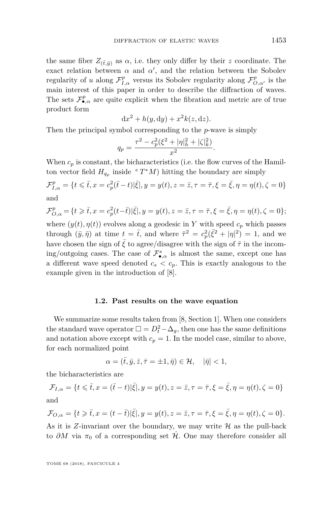the same fiber  $Z_{(\bar{t},\bar{y})}$  as  $\alpha$ , i.e. they only differ by their *z* coordinate. The exact relation between  $\alpha$  and  $\alpha'$ , and the relation between the Sobolev regularity of *u* along  $\mathcal{F}_{I,\alpha}^p$  versus its Sobolev regularity along  $\mathcal{F}_{O,\alpha'}^p$  is the main interest of this paper in order to describe the diffraction of waves. The sets  $\mathcal{F}_{\bullet,\alpha}^p$  are quite explicit when the fibration and metric are of true product form

$$
dx^2 + h(y, dy) + x^2 k(z, dz).
$$

Then the principal symbol corresponding to the *p*-wave is simply

$$
q_p = \frac{\tau^2 - c_p^2(\xi^2 + |\eta|_h^2 + |\zeta|_k^2)}{x^2}.
$$

When  $c_p$  is constant, the bicharacteristics (i.e. the flow curves of the Hamilton vector field  $H_{q_p}$  inside  ${}^e T^*M$ ) hitting the boundary are simply

$$
\mathcal{F}_{I,\alpha}^{p} = \{ t \leq \bar{t}, x = c_p^2(\bar{t} - t) | \bar{\xi} |, y = y(t), z = \bar{z}, \tau = \bar{\tau}, \xi = \bar{\xi}, \eta = \eta(t), \zeta = 0 \}
$$
 and

$$
\mathcal{F}_{O,\alpha}^{p} = \{t \geq \bar{t}, x = c_p^2(t-\bar{t}) | \bar{\xi}|, y = y(t), z = \bar{z}, \tau = \bar{\tau}, \xi = \bar{\xi}, \eta = \eta(t), \zeta = 0\};
$$
  
where  $(y(t), \eta(t))$  evolves along a geodesic in Y with speed  $c_p$  which passes  
through  $(\bar{y}, \bar{\eta})$  at time  $t = \bar{t}$ , and where  $\bar{\tau}^2 = c_p^2(\bar{\xi}^2 + |\eta|^2) = 1$ , and we  
have chosen the sign of  $\bar{\xi}$  to agree/disagree with the sign of  $\bar{\tau}$  in the incom-  
ing/outgoing cases. The case of  $\mathcal{F}_{\bullet,\alpha}^s$  is almost the same, except one has  
a different wave speed denoted  $c_s < c_p$ . This is exactly analogous to the  
example given in the introduction of [8].

#### **1.2. Past results on the wave equation**

We summarize some results taken from [\[8,](#page-70-4) Section 1]. When one considers the standard wave operator  $\Box = D_t^2 - \Delta_g$ , then one has the same definitions and notation above except with  $c_p = 1$ . In the model case, similar to above, for each normalized point

$$
\alpha=(\bar{t},\bar{y},\bar{z},\bar{\tau}=\pm 1,\bar{\eta})\in \mathcal{H},\quad |\bar{\eta}|<1,
$$

the bicharacteristics are

$$
\mathcal{F}_{I,\alpha} = \{t \leqslant \bar{t}, x = (\bar{t} - t)|\bar{\xi}|, y = y(t), z = \bar{z}, \tau = \bar{\tau}, \xi = \bar{\xi}, \eta = \eta(t), \zeta = 0\}
$$
 and

$$
\mathcal{F}_{O,\alpha} = \{ t \geq \bar{t}, x = (t - \bar{t}) |\bar{\xi}|, y = y(t), z = \bar{z}, \tau = \bar{\tau}, \xi = \bar{\xi}, \eta = \eta(t), \zeta = 0 \}.
$$

As it is  $Z$ -invariant over the boundary, we may write  $H$  as the pull-back to  $\partial M$  via  $\pi_0$  of a corresponding set  $\dot{\mathcal{H}}$ . One may therefore consider all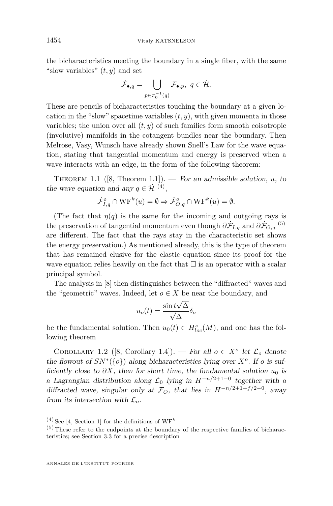the bicharacteristics meeting the boundary in a single fiber, with the same "slow variables"  $(t, y)$  and set

$$
\dot{\mathcal{F}}_{\bullet,q} = \bigcup_{p \in \pi_0^{-1}(q)} \mathcal{F}_{\bullet,p}, \ q \in \dot{\mathcal{H}}.
$$

These are pencils of bicharacteristics touching the boundary at a given location in the "slow" spacetime variables  $(t, y)$ , with given momenta in those variables; the union over all  $(t, y)$  of such families form smooth coisotropic (involutive) manifolds in the cotangent bundles near the boundary. Then Melrose, Vasy, Wunsch have already shown Snell's Law for the wave equation, stating that tangential momentum and energy is preserved when a wave interacts with an edge, in the form of the following theorem:

THEOREM 1.1 ([\[8,](#page-70-4) Theorem 1.1]). — For an admissible solution,  $u$ , to the wave equation and any  $q \in \mathcal{H}^{(4)}$ ,

$$
\dot{\mathcal{F}}_{I,q}^o \cap \mathrm{WF}^k(u) = \emptyset \Rightarrow \dot{\mathcal{F}}_{O,q}^o \cap \mathrm{WF}^k(u) = \emptyset.
$$

(The fact that  $\eta(q)$  is the same for the incoming and outgoing rays is the preservation of tangential momentum even though  $\partial \dot{\mathcal{F}}_{I,q}$  and  $\partial \dot{\mathcal{F}}_{O,q}$ <sup>(5)</sup> are different. The fact that the rays stay in the characteristic set shows the energy preservation.) As mentioned already, this is the type of theorem that has remained elusive for the elastic equation since its proof for the wave equation relies heavily on the fact that  $\square$  is an operator with a scalar principal symbol.

The analysis in [\[8\]](#page-70-4) then distinguishes between the "diffracted" waves and the "geometric" waves. Indeed, let  $o \in X$  be near the boundary, and

$$
u_o(t) = \frac{\sin t \sqrt{\Delta}}{\sqrt{\Delta}} \delta_o
$$

be the fundamental solution. Then  $u_0(t) \in H_{loc}^s(M)$ , and one has the following theorem

COROLLARY 1.2 ([\[8,](#page-70-4) Corollary 1.4]). — For all  $o \in X^o$  let  $\mathcal{L}_o$  denote the flowout of  $SN^*(\{o\})$  along bicharacteristics lying over  $X^o$ . If *o* is sufficiently close to  $\partial X$ , then for short time, the fundamental solution  $u_0$  is a Lagrangian distribution along  $\mathcal{L}_0$  lying in  $H^{-n/2+1-0}$  together with a diffracted wave, singular only at  $\mathcal{F}_O$ , that lies in  $H^{-n/2+1+f/2-0}$ , away from its intersection with  $\mathcal{L}_o$ .

 $(4)$  See [\[4,](#page-70-6) Section 1] for the definitions of  $WF<sup>k</sup>$ 

 $(5)$  These refer to the endpoints at the boundary of the respective families of bicharacteristics; see Section [3.3](#page-20-0) for a precise description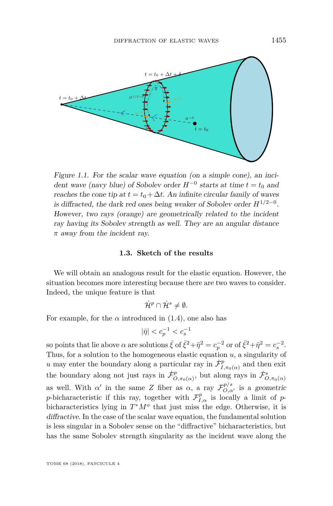

Figure 1.1. For the scalar wave equation (on a simple cone), an incident wave (navy blue) of Sobolev order  $H^{-0}$  starts at time  $t = t_0$  and reaches the cone tip at  $t = t_0 + \Delta t$ . An infinite circular family of waves is diffracted, the dark red ones being weaker of Sobolev order  $H^{1/2-0}$ . However, two rays (orange) are geometrically related to the incident ray having its Sobolev strength as well. They are an angular distance *π* away from the incident ray.

#### **1.3. Sketch of the results**

We will obtain an analogous result for the elastic equation. However, the situation becomes more interesting because there are two waves to consider. Indeed, the unique feature is that

$$
\dot{\mathcal{H}}^p\cap\dot{\mathcal{H}}^s\neq\emptyset.
$$

For example, for the  $\alpha$  introduced in [\(1.4\)](#page-6-0), one also has

$$
|\bar{\eta}| < c_p^{-1} < c_s^{-1}
$$

so points that lie above  $\alpha$  are solutions  $\bar{\xi}$  of  $\bar{\xi}^2 + \bar{\eta}^2 = c_p^{-2}$  or of  $\bar{\xi}^2 + \bar{\eta}^2 = c_s^{-2}$ . Thus, for a solution to the homogeneous elastic equation *u*, a singularity of *u* may enter the boundary along a particular ray in  $\dot{\mathcal{F}}_I^p$  $I_{I,\pi_0(\alpha)}^p$  and then exit the boundary along not just rays in  $\dot{\mathcal{F}}_C^p$  $\mathcal{L}^p_{O,\pi_0(\alpha)}$ , but along rays in  $\dot{\mathcal{F}}^s_{O,\pi_0(\alpha)}$ as well. With  $\alpha'$  in the same *Z* fiber as  $\alpha$ , a ray  $\mathcal{F}^{p/s}_{O,\alpha'}$  is a geometric *p*-bicharacteristic if this ray, together with  $\mathcal{F}_{I,\alpha}^p$  is locally a limit of *p*bicharacteristics lying in  $T^*M^o$  that just miss the edge. Otherwise, it is diffractive. In the case of the scalar wave equation, the fundamental solution is less singular in a Sobolev sense on the "diffractive" bicharacteristics, but has the same Sobolev strength singularity as the incident wave along the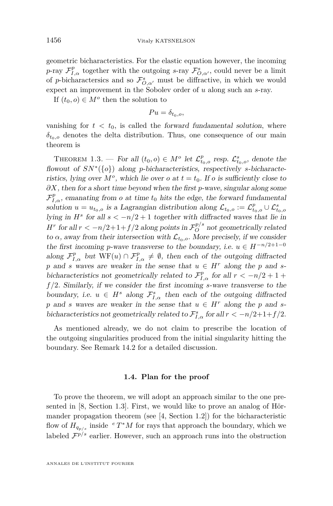geometric bicharacteristics. For the elastic equation however, the incoming *p*-ray  $\mathcal{F}_{I,\alpha}^p$  together with the outgoing *s*-ray  $\mathcal{F}_{O,\alpha'}^s$ , could never be a limit of *p*-bicharactersics and so  $\mathcal{F}_{O,\alpha'}^s$  must be diffractive, in which we would expect an improvement in the Sobolev order of *u* along such an *s*-ray.

If  $(t_0, o) \in M^o$  then the solution to

 $Pu = \delta_{t_0,0}$ 

vanishing for  $t < t_0$ , is called the forward fundamental solution, where  $\delta$ <sup>*t*0</sub>*,*<sup>0</sup> denotes the delta distribution. Thus, one consequence of our main</sup> theorem is

<span id="page-10-0"></span>THEOREM 1.3. — For all  $(t_0, o) \in M^o$  let  $\mathcal{L}_{t_0, o}^p$  resp.  $\mathcal{L}_{t_0, o}^s$ , denote the flowout of *SN*<sup>∗</sup> ({*o*}) along *p*-bicharacteristics, respectively *s*-bicharacteristics, lying over  $M^o$ , which lie over *o* at  $t = t_0$ . If *o* is sufficiently close to *∂X*, then for a short time beyond when the first *p*-wave, singular along some  $\mathcal{F}_{I,\alpha}^p$ , emanating from *o* at time  $t_0$  hits the edge, the forward fundamental solution  $u = u_{t_0,o}$  is a Lagrangian distribution along  $\mathcal{L}_{t_0,o} := \mathcal{L}^p_{t_0,o} \cup \mathcal{L}^s_{t_0,o}$ lying in  $H^s$  for all  $s < -n/2 + 1$  together with diffracted waves that lie in *H*<sup>*r*</sup> for all  $r < -n/2+1+f/2$  along points in  $\mathcal{F}_O^{p/s}$  not geometrically related to  $\alpha$ , away from their intersection with  $\mathcal{L}_{t_0, o}$ . More precisely, if we consider the first incoming *p*-wave transverse to the boundary, i.e.  $u \in H^{-n/2+1-0}$ along  $\mathcal{F}_{I,\alpha}^p$  but  $WF(u) \cap \mathcal{F}_{I,\alpha}^p \neq \emptyset$ , then each of the outgoing diffracted *p* and *s* waves are weaker in the sense that  $u \in H^r$  along the *p* and *s*bicharacteristics not geometrically related to  $\mathcal{F}_{I,\alpha}^p$  for all  $r < -n/2 + 1 +$ *f /*2. Similarly, if we consider the first incoming *s*-wave transverse to the boundary, i.e.  $u \in H^s$  along  $\mathcal{F}_{I,\alpha}^s$  then each of the outgoing diffracted *p* and *s* waves are weaker in the sense that  $u \in H^r$  along the *p* and *s*bicharacteristics not geometrically related to  $\mathcal{F}_{I,\alpha}^s$  for all  $r < -n/2+1+f/2$ .

As mentioned already, we do not claim to prescribe the location of the outgoing singularities produced from the initial singularity hitting the boundary. See Remark [14.2](#page-66-0) for a detailed discussion.

#### **1.4. Plan for the proof**

To prove the theorem, we will adopt an approach similar to the one presented in [\[8,](#page-70-4) Section 1.3]. First, we would like to prove an analog of Hörmander propagation theorem (see [\[4,](#page-70-6) Section 1.2]) for the bicharacteristic flow of  $H_{q_{p/s}}$  inside  $e^{i}T^*M$  for rays that approach the boundary, which we labeled  $\mathcal{F}^{p/s}$  earlier. However, such an approach runs into the obstruction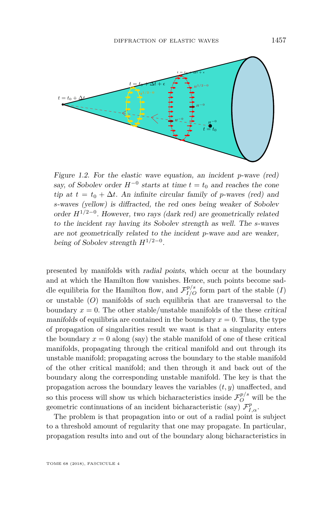

Figure 1.2. For the elastic wave equation, an incident *p*-wave (red) say, of Sobolev order  $H^{-0}$  starts at time  $t = t_0$  and reaches the cone tip at  $t = t_0 + \Delta t$ . An infinite circular family of *p*-waves (red) and *s*-waves (yellow) is diffracted, the red ones being weaker of Sobolev order *H*1*/*2−<sup>0</sup> . However, two rays (dark red) are geometrically related to the incident ray having its Sobolev strength as well. The *s*-waves are not geometrically related to the incident *p*-wave and are weaker, being of Sobolev strength *H*1*/*2−<sup>0</sup> .

presented by manifolds with radial points, which occur at the boundary and at which the Hamilton flow vanishes. Hence, such points become saddle equilibria for the Hamilton flow, and  $\mathcal{F}_{I/O}^{p/s}$  form part of the stable (*I*) or unstable (*O*) manifolds of such equilibria that are transversal to the boundary  $x = 0$ . The other stable/unstable manifolds of the these critical manifolds of equilibria are contained in the boundary  $x = 0$ . Thus, the type of propagation of singularities result we want is that a singularity enters the boundary  $x = 0$  along (say) the stable manifold of one of these critical manifolds, propagating through the critical manifold and out through its unstable manifold; propagating across the boundary to the stable manifold of the other critical manifold; and then through it and back out of the boundary along the corresponding unstable manifold. The key is that the propagation across the boundary leaves the variables (*t, y*) unaffected, and so this process will show us which bicharacteristics inside  $\mathcal{F}_O^{p/s}$  will be the geometric continuations of an incident bicharacteristic (say)  $\mathcal{F}_{I,\alpha}^p$ .

The problem is that propagation into or out of a radial point is subject to a threshold amount of regularity that one may propagate. In particular, propagation results into and out of the boundary along bicharacteristics in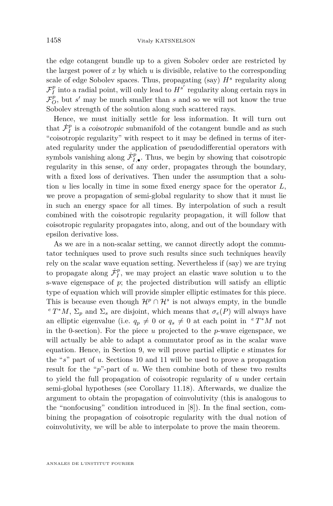the edge cotangent bundle up to a given Sobolev order are restricted by the largest power of  $x$  by which  $u$  is divisible, relative to the corresponding scale of edge Sobolev spaces. Thus, propagating (say) *H<sup>s</sup>* regularity along  $\mathcal{F}_{I}^{p}$  into a radial point, will only lead to  $H^{s'}$  regularity along certain rays in  $\mathcal{F}^p_O$ , but *s'* may be much smaller than *s* and so we will not know the true Sobolev strength of the solution along such scattered rays.

Hence, we must initially settle for less information. It will turn out that  $\dot{\mathcal{F}}^p_I$  is a *coisotropic* submanifold of the cotangent bundle and as such "coisotropic regularity" with respect to it may be defined in terms of iterated regularity under the application of pseudodifferential operators with symbols vanishing along  $\dot{\mathcal{F}}_{I,\bullet}^p$ . Thus, we begin by showing that coisotropic regularity in this sense, of any order, propagates through the boundary, with a fixed loss of derivatives. Then under the assumption that a solution *u* lies locally in time in some fixed energy space for the operator *L*, we prove a propagation of semi-global regularity to show that it must lie in such an energy space for all times. By interpolation of such a result combined with the coisotropic regularity propagation, it will follow that coisotropic regularity propagates into, along, and out of the boundary with epsilon derivative loss.

As we are in a non-scalar setting, we cannot directly adopt the commutator techniques used to prove such results since such techniques heavily rely on the scalar wave equation setting. Nevertheless if (say) we are trying to propagate along  $\dot{\mathcal{F}}_I^p$ , we may project an elastic wave solution *u* to the s-wave eigenspace of *p*; the projected distribution will satisfy an elliptic type of equation which will provide simpler elliptic estimates for this piece. This is because even though  $\mathcal{H}^p \cap \mathcal{H}^s$  is not always empty, in the bundle  $e^e T^*M$ ,  $\Sigma_p$  and  $\Sigma_s$  are disjoint, which means that  $\sigma_e(P)$  will always have an elliptic eigenvalue (i.e.  $q_p \neq 0$  or  $q_s \neq 0$  at each point in  $e T^*M$  not in the 0-section). For the piece *u* projected to the *p*-wave eigenspace, we will actually be able to adapt a commutator proof as in the scalar wave equation. Hence, in Section [9,](#page-31-0) we will prove partial elliptic e stimates for the "*s*" part of *u*. Sections [10](#page-35-0) and [11](#page-44-0) will be used to prove a propagation result for the "*p*"-part of *u*. We then combine both of these two results to yield the full propagation of coisotropic regularity of *u* under certain semi-global hypotheses (see Corollary [11.18\)](#page-57-0). Afterwards, we dualize the argument to obtain the propagation of coinvolutivity (this is analogous to the "nonfocusing" condition introduced in [\[8\]](#page-70-4)). In the final section, combining the propagation of coisotropic regularity with the dual notion of coinvolutivity, we will be able to interpolate to prove the main theorem.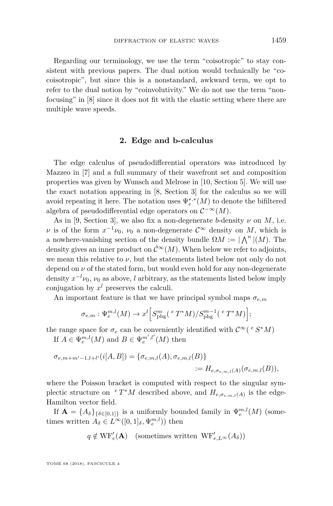Regarding our terminology, we use the term "coisotropic" to stay consistent with previous papers. The dual notion would technically be "cocoisotropic", but since this is a nonstandard, awkward term, we opt to refer to the dual notion by "coinvolutivity." We do not use the term "nonfocusing" in [\[8\]](#page-70-4) since it does not fit with the elastic setting where there are multiple wave speeds.

#### **2. Edge and b-calculus**

<span id="page-13-0"></span>The edge calculus of pseudodifferential operators was introduced by Mazzeo in [\[7\]](#page-70-7) and a full summary of their wavefront set and composition properties was given by Wunsch and Melrose in [\[10,](#page-70-3) Section 5]. We will use the exact notation appearing in [\[8,](#page-70-4) Section 3] for the calculus so we will avoid repeating it here. The notation uses  $\Psi^{*,*}_e(M)$  to denote the bifiltered algebra of pseudodifferential edge operators on  $\mathcal{C}^{-\infty}(M)$ .

As in [\[9,](#page-70-5) Section 3], we also fix a non-degenerate *b*-density  $\nu$  on *M*, i.e. *ν* is of the form  $x^{-1}\nu_0$ ,  $\nu_0$  a non-degenerate  $\mathcal{C}^{\infty}$  density on *M*, which is a nowhere-vanishing section of the density bundle  $\Omega M := |\bigwedge^n |(M)$ . The density gives an inner product on  $\mathcal{C}^{\infty}(M)$ . When below we refer to adjoints, we mean this relative to  $\nu$ , but the statements listed below not only do not depend on  $\nu$  of the stated form, but would even hold for any non-degenerate density  $x^{-l}\nu_0$ ,  $\nu_0$  as above, *l* arbitrary, as the statements listed below imply conjugation by  $x^l$  preserves the calculi.

An important feature is that we have principal symbol maps  $\sigma_{e,m}$ 

$$
\sigma_{e,m}: \Psi_e^{m,l}(M) \to x^l \Big[ S_{\mathrm{phg}}^m(\,^e\,T^*M)/S_{\mathrm{phg}}^{m-1}(\,^e\,T^*M) \Big];
$$

the range space for  $\sigma_e$  can be conveniently identified with  $\mathcal{C}^{\infty}$  ( $e^{i} S^* M$ )

If  $A \in \Psi_e^{m,l}(M)$  and  $B \in \Psi_e^{m',l'}(M)$  then

$$
\sigma_{e,m+m'-1,l+l'}(i[A,B]) = \{\sigma_{e,m,l}(A), \sigma_{e,m,l}(B)\}
$$
  
:=  $H_{e,\sigma_{e,m,l}(A)}(\sigma_{e,m,l}(B)),$ 

where the Poisson bracket is computed with respect to the singular symplectic structure on  ${}^{e} T^*M$  described above, and  $H_{e,\sigma_{e,m,l}(A)}$  is the edge-Hamilton vector field.

If  $\mathbf{A} = \{A_{\delta}\}_{\delta \in [0,1]\}}$  is a uniformly bounded family in  $\Psi_e^{m,l}(M)$  (sometimes written  $A_{\delta} \in L^{\infty}([0,1]_{\delta}, \Psi_e^{m,l})$  then

$$
q \notin \operatorname{WF}_{e}'(\mathbf{A}) \quad \text{(sometimes written } \operatorname{WF}_{e,L^{\infty}}'(A_{\delta}))
$$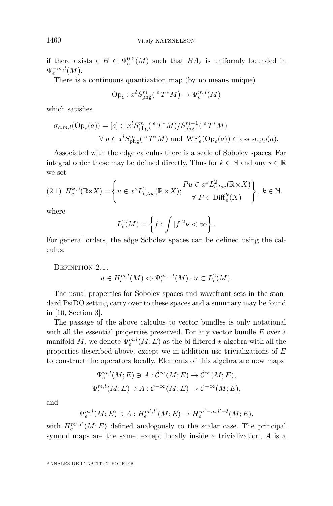if there exists a  $B \in \Psi_e^{0,0}(M)$  such that  $BA_\delta$  is uniformly bounded in  $\Psi_e^{-\infty,l}(M)$ .

There is a continuous quantization map (by no means unique)

$$
\text{Op}_e: x^l S^{m}_{\text{phg}}(^eT^*M) \to \Psi^{m,l}_e(M)
$$

which satisfies

$$
\sigma_{e,m,l}(\text{Op}_e(a)) = [a] \in x^l S_{\text{phg}}^m \left( \,^e T^* M \right) / S_{\text{phg}}^{m-1} \left( \,^e T^* M \right)
$$

$$
\forall \ a \in x^l S_{\text{phg}}^m \left( \,^e T^* M \right) \text{ and } \text{WF}'_e(\text{Op}_e(a)) \subset \text{ess supp}(a).
$$

Associated with the edge calculus there is a scale of Sobolev spaces. For integral order these may be defined directly. Thus for  $k \in \mathbb{N}$  and any  $s \in \mathbb{R}$ we set

$$
(2.1) \ \ H_e^{k,s}(\mathbb{R} \times X) = \left\{ u \in x^s L_{b,loc}^2(\mathbb{R} \times X); \begin{aligned} Pu \in x^s L_{b,loc}^2(\mathbb{R} \times X) \\ \forall \ P \in \text{Diff}_e^k(X) \end{aligned} \right\}, \ k \in \mathbb{N}.
$$

where

$$
L_b^2(M) = \left\{ f : \int |f|^2 \nu < \infty \right\}.
$$

For general orders, the edge Sobolev spaces can be defined using the calculus.

DEFINITION 2.1.

$$
u \in H_e^{m,l}(M) \Leftrightarrow \Psi_e^{m,-l}(M) \cdot u \subset L_b^2(M).
$$

The usual properties for Sobolev spaces and wavefront sets in the standard PsiDO setting carry over to these spaces and a summary may be found in [\[10,](#page-70-3) Section 3].

The passage of the above calculus to vector bundles is only notational with all the essential properties preserved. For any vector bundle *E* over a manifold  $M$ , we denote  $\Psi_e^{m,l}(M; E)$  as the bi-filtered  $\star$ -algebra with all the properties described above, except we in addition use trivializations of *E* to construct the operators locally. Elements of this algebra are now maps

$$
\Psi_e^{m,l}(M;E) \ni A: \dot{C}^{\infty}(M;E) \to \dot{C}^{\infty}(M;E),
$$
  

$$
\Psi_e^{m,l}(M;E) \ni A: C^{-\infty}(M;E) \to C^{-\infty}(M;E),
$$

and

$$
\Psi_e^{m,l}(M;E) \ni A: H_e^{m',l'}(M;E) \to H_e^{m'-m,l'+l}(M;E),
$$

with  $H_e^{m',l'}(M; E)$  defined analogously to the scalar case. The principal symbol maps are the same, except locally inside a trivialization, *A* is a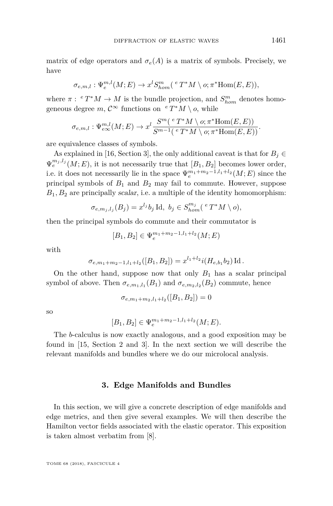matrix of edge operators and  $\sigma_e(A)$  is a matrix of symbols. Precisely, we have

$$
\sigma_{e,m,l}: \Psi_e^{m,l}(M;E) \to x^l S_{hom}^m({}^e T^*M \setminus o; \pi^* \text{Hom}(E,E)),
$$

where  $\pi$ :  $^e T^*M \to M$  is the bundle projection, and  $S_{hom}^m$  denotes homogeneous degree  $m, \mathcal{C}^{\infty}$  functions on  $^e T^*M \setminus o$ , while

$$
\sigma_{e,m,l}: \Psi_{e\infty}^{m,l}(M;E) \to x^l \frac{S^m(\ ^eT^*M \setminus o; \pi^* \text{Hom}(E,E))}{S^{m-1}(\ ^eT^*M \setminus o; \pi^* \text{Hom}(E,E))}.
$$

are equivalence classes of symbols.

As explained in [\[16,](#page-71-3) Section 3], the only additional caveat is that for  $B_j \in$  $\Psi_e^{m_j, l_j}(M; E)$ , it is not necessarily true that  $[B_1, B_2]$  becomes lower order, i.e. it does not necessarily lie in the space  $\Psi_e^{m_1+m_2-1,l_1+l_2}(M;E)$  since the principal symbols of *B*<sup>1</sup> and *B*<sup>2</sup> may fail to commute. However, suppose  $B_1, B_2$  are principally *scalar*, i.e. a multiple of the identity homomorphism:

$$
\sigma_{e,m_j,l_j}(B_j) = x^{l_j} b_j \operatorname{Id}, \ b_j \in S_{hom}^{m_j}({}^{e}T^*M \setminus o),
$$

then the principal symbols do commute and their commutator is

$$
[B_1, B_2] \in \Psi_e^{m_1 + m_2 - 1, l_1 + l_2}(M; E)
$$

with

$$
\sigma_{e,m_1+m_2-1,l_1+l_2}([B_1,B_2]) = x^{l_1+l_2} i(H_{e,b_1}b_2) \operatorname{Id}.
$$

On the other hand, suppose now that only  $B_1$  has a scalar principal symbol of above. Then  $\sigma_{e,m_1,l_1}(B_1)$  and  $\sigma_{e,m_2,l_2}(B_2)$  commute, hence

$$
\sigma_{e,m_1+m_2,l_1+l_2}([B_1,B_2])=0
$$

so

$$
[B_1, B_2] \in \Psi_e^{m_1 + m_2 - 1, l_1 + l_2}(M; E).
$$

The *b*-calculus is now exactly analogous, and a good exposition may be found in [\[15,](#page-71-2) Section 2 and 3]. In the next section we will describe the relevant manifolds and bundles where we do our microlocal analysis.

#### **3. Edge Manifolds and Bundles**

<span id="page-15-0"></span>In this section, we will give a concrete description of edge manifolds and edge metrics, and then give several examples. We will then describe the Hamilton vector fields associated with the elastic operator. This exposition is taken almost verbatim from [\[8\]](#page-70-4).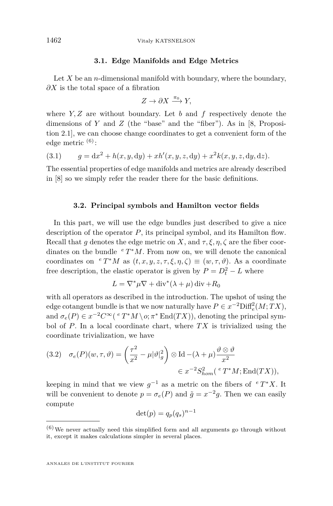#### **3.1. Edge Manifolds and Edge Metrics**

Let  $X$  be an *n*-dimensional manifold with boundary, where the boundary, *∂X* is the total space of a fibration

$$
Z \to \partial X \xrightarrow{\pi_0} Y,
$$

where *Y, Z* are without boundary. Let *b* and *f* respectively denote the dimensions of *Y* and *Z* (the "base" and the "fiber"). As in [\[8,](#page-70-4) Proposition 2.1], we can choose change coordinates to get a convenient form of the edge metric  $(6)$ :

<span id="page-16-1"></span>(3.1) 
$$
g = dx^2 + h(x, y, dy) + xh'(x, y, z, dy) + x^2k(x, y, z, dy, dz).
$$

The essential properties of edge manifolds and metrics are already described in [\[8\]](#page-70-4) so we simply refer the reader there for the basic definitions.

#### **3.2. Principal symbols and Hamilton vector fields**

<span id="page-16-0"></span>In this part, we will use the edge bundles just described to give a nice description of the operator *P*, its principal symbol, and its Hamilton flow. Recall that *g* denotes the edge metric on *X*, and  $\tau$ ,  $\xi$ ,  $\eta$ ,  $\zeta$  are the fiber coordinates on the bundle *<sup>e</sup> T* <sup>∗</sup>*M*. From now on, we will denote the canonical coordinates on  ${}^e T^*M$  as  $(t, x, y, z, \tau, \xi, \eta, \zeta) \equiv (w, \tau, \vartheta)$ . As a coordinate free description, the elastic operator is given by  $P = D_t^2 - L$  where

$$
L = \nabla^* \mu \nabla + \text{div}^*(\lambda + \mu) \,\text{div} + R_0
$$

with all operators as described in the introduction. The upshot of using the edge cotangent bundle is that we now naturally have  $P \in x^{-2}$ Diff<sup>2</sup><sub>e</sub> $(M; TX)$ , and  $\sigma_e(P) \in x^{-2}C^{\infty}$  ( $e T^*M \setminus o; \pi^* \text{End}(TX)$ ), denoting the principal symbol of *P*. In a local coordinate chart, where *T X* is trivialized using the coordinate trivialization, we have

(3.2) 
$$
\sigma_e(P)(w, \tau, \vartheta) = \left(\frac{\tau^2}{x^2} - \mu |\vartheta|_g^2\right) \otimes \mathrm{Id} - (\lambda + \mu) \frac{\vartheta \otimes \vartheta}{x^2} \in x^{-2} S_{hom}^2(\,^e T^* M; \mathrm{End}(TX)),
$$

keeping in mind that we view  $g^{-1}$  as a metric on the fibers of  $e T^* X$ . It will be convenient to denote  $p = \sigma_e(P)$  and  $\tilde{g} = x^{-2}g$ . Then we can easily compute

$$
\det(p) = q_p(q_s)^{n-1}
$$

 $(6)$  We never actually need this simplified form and all arguments go through without it, except it makes calculations simpler in several places.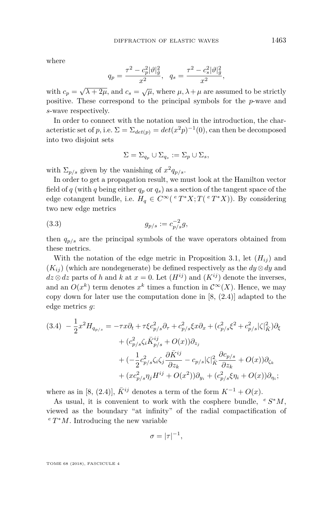where

$$
q_p = \frac{\tau^2 - c_p^2 |\vartheta|_{\tilde{g}}^2}{x^2}, \quad q_s = \frac{\tau^2 - c_s^2 |\vartheta|_{\tilde{g}}^2}{x^2},
$$

with  $c_p = \sqrt{\lambda + 2\mu}$ , and  $c_s = \sqrt{\mu}$ , where  $\mu, \lambda + \mu$  are assumed to be strictly positive. These correspond to the principal symbols for the *p*-wave and *s*-wave respectively.

In order to connect with the notation used in the introduction, the characteristic set of *p*, i.e.  $\Sigma = \Sigma_{det(p)} = det(x^2p)^{-1}(0)$ , can then be decomposed into two disjoint sets

$$
\Sigma = \Sigma_{q_p} \cup \Sigma_{q_s} := \Sigma_p \cup \Sigma_s,
$$

with  $\Sigma_{p/s}$  given by the vanishing of  $x^2 q_{p/s}$ .

In order to get a propagation result, we must look at the Hamilton vector field of *q* (with *q* being either  $q_p$  or  $q_s$ ) as a section of the tangent space of the edge cotangent bundle, i.e.  $H_q \in C^{\infty}(\mathcal{C}^T^*X; T(\mathcal{C}^T^*X))$ . By considering two new edge metrics

(3.3) 
$$
g_{p/s} := c_{p/s}^{-2} g,
$$

then  $q_{p/s}$  are the principal symbols of the wave operators obtained from these metrics.

With the notation of the edge metric in Proposition [3.1,](#page-16-1) let  $(H_{ii})$  and  $(K_{ij})$  (which are nondegenerate) be defined respectively as the  $dy \otimes dy$  and  $dz \otimes dz$  parts of *h* and *k* at  $x = 0$ . Let  $(H^{ij})$  and  $(K^{ij})$  denote the inverses, and an  $O(x^k)$  term denotes  $x^k$  times a function in  $\mathcal{C}^\infty(X)$ . Hence, we may copy down for later use the computation done in [\[8,](#page-70-4) (2.4)] adapted to the edge metrics *g*:

$$
(3.4) \ -\frac{1}{2}x^2H_{q_{p/s}} = -\tau x\partial_t + \tau\xi c_{p/s}^2\partial_\tau + c_{p/s}^2\xi x\partial_x + (c_{p/s}^2\xi^2 + c_{p/s}^2|\zeta|_{\bar{K}}^2)\partial_\xi + (c_{p/s}^2\zeta_i\bar{K}_{p/s}^{ij} + O(x))\partial_{z_j} + (-\frac{1}{2}c_{p/s}^2\zeta_i\zeta_j\frac{\partial \bar{K}^{ij}}{\partial z_k} - c_{p/s}|\zeta|_{\bar{K}}^2\frac{\partial c_{p/s}}{\partial z_k} + O(x))\partial_{\zeta_k} + (xc_{p/s}^2\eta_jH^{ij} + O(x^2))\partial_{y_i} + (c_{p/s}^2\xi\eta_i + O(x))\partial_{\eta_i};
$$

where as in [\[8,](#page-70-4) (2.4)],  $\bar{K}^{ij}$  denotes a term of the form  $K^{-1} + O(x)$ .

As usual, it is convenient to work with the cosphere bundle,  $e^{i} S^* M$ , viewed as the boundary "at infinity" of the radial compactification of *<sup>e</sup> T* <sup>∗</sup>*M*. Introducing the new variable

$$
\sigma = |\tau|^{-1},
$$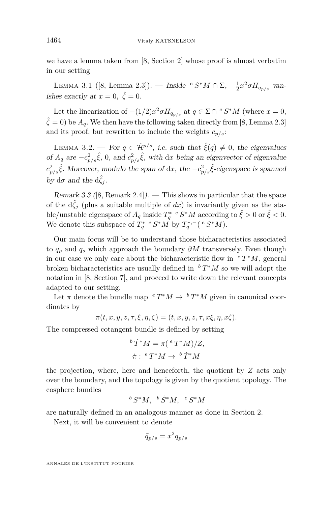we have a lemma taken from [\[8,](#page-70-4) Section 2] whose proof is almost verbatim in our setting

LEMMA 3.1 ([\[8,](#page-70-4) Lemma 2.3]). — Inside <sup>*e*</sup> *S*<sup>\*</sup>*M* ∩ Σ,  $-\frac{1}{2}x^2σH_{q_{p/s}}$  vanishes exactly at  $x = 0$ ,  $\hat{\zeta} = 0$ .

Let the linearization of  $-(1/2)x^2 \sigma H_{q_{p/s}}$  at  $q \in \Sigma \cap {}^e S^*M$  (where  $x = 0$ ,  $\hat{\zeta} = 0$ ) be  $A_q$ . We then have the following taken directly from [\[8,](#page-70-4) Lemma 2.3] and its proof, but rewritten to include the weights  $c_{p/s}$ :

LEMMA 3.2. — For  $q \in \dot{\mathcal{H}}^{p/s}$ , i.e. such that  $\hat{\xi}(q) \neq 0$ , the eigenvalues of  $A_q$  are  $-c_{p/s}^2 \hat{\xi}$ , 0, and  $c_{p/s}^2 \hat{\xi}$ , with dx being an eigenvector of eigenvalue  $c_{p/s}^2 \hat{\xi}$ . Moreover, modulo the span of d*x*, the  $-c_{p/s}^2 \hat{\xi}$ -eigenspace is spanned  $b$ *γ* d*σ* and the d $\hat{\zeta}_i$ .

<span id="page-18-0"></span>Remark 3.3 ([\[8,](#page-70-4) Remark 2.4]). — This shows in particular that the space of the  $d\zeta_j$  (plus a suitable multiple of  $dx$ ) is invariantly given as the stable/unstable eigenspace of  $A_q$  inside  $T_q^*$  <sup>*e*</sup>  $S^*M$  according to  $\hat{\xi} > 0$  or  $\hat{\xi} < 0$ . We denote this subspace of  $T_q^*$  <sup>*e*</sup>  $S^*M$  by  $T_q^{*,-}$  (<sup>*e*</sup>  $S^*M$ ).

Our main focus will be to understand those bicharacteristics associated to *q<sup>p</sup>* and *q<sup>s</sup>* which approach the boundary *∂M* transversely. Even though in our case we only care about the bicharacteristic flow in  ${}^{e} T^* M$ , general broken bicharacteristics are usually defined in *<sup>b</sup> T* <sup>∗</sup>*M* so we will adopt the notation in [\[8,](#page-70-4) Section 7], and proceed to write down the relevant concepts adapted to our setting.

Let  $\pi$  denote the bundle map  $e^T M \to e^T M$  given in canonical coordinates by

$$
\pi(t, x, y, z, \tau, \xi, \eta, \zeta) = (t, x, y, z, \tau, x\xi, \eta, x\zeta).
$$

The compressed cotangent bundle is defined by setting

$$
{}^{b}\dot{T}^*M = \pi ({}^{e}T^*M)/Z,
$$
  

$$
\dot{\pi}: {}^{e}T^*M \to {}^{b}\dot{T}^*M
$$

the projection, where, here and henceforth, the quotient by *Z* acts only over the boundary, and the topology is given by the quotient topology. The cosphere bundles

$$
^b S^* M,~ ^b \dot S^* M,~ ^e S^* M
$$

are naturally defined in an analogous manner as done in Section [2.](#page-13-0)

Next, it will be convenient to denote

$$
\tilde{q}_{p/s} = x^2 q_{p/s}
$$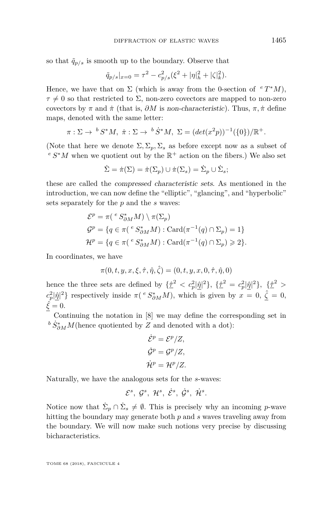so that  $\tilde{q}_{p/s}$  is smooth up to the boundary. Observe that

$$
\tilde{q}_{p/s}|_{x=0} = \tau^2 - c_{p/s}^2 (\xi^2 + |\eta|^2 + |\zeta|^2_k).
$$

Hence, we have that on  $\Sigma$  (which is away from the 0-section of  $e T^*M$ ),  $\tau \neq 0$  so that restricted to  $\Sigma$ , non-zero covectors are mapped to non-zero covectors by  $\pi$  and  $\dot{\pi}$  (that is,  $\partial M$  is non-characteristic). Thus,  $\pi$ ,  $\dot{\pi}$  define maps, denoted with the same letter:

$$
\pi : \Sigma \to {}^{b}S^*M, \ \dot{\pi} : \Sigma \to {}^{b}\dot{S}^*M, \ \Sigma = (det(x^2p))^{-1}(\{0\})/\mathbb{R}^+.
$$

(Note that here we denote  $\Sigma$ ,  $\Sigma_p$ ,  $\Sigma_s$  as before except now as a subset of  $e \ S^*M$  when we quotient out by the  $\mathbb{R}^+$  action on the fibers.) We also set

$$
\dot{\Sigma} = \dot{\pi}(\Sigma) = \dot{\pi}(\Sigma_p) \cup \dot{\pi}(\Sigma_s) = \dot{\Sigma}_p \cup \dot{\Sigma}_s;
$$

these are called the compressed characteristic sets. As mentioned in the introduction, we can now define the "elliptic", "glancing", and "hyperbolic" sets separately for the *p* and the *s* waves:

$$
\mathcal{E}^p = \pi({}^e S^*_{\partial M} M) \setminus \pi(\Sigma_p)
$$
  
\n
$$
\mathcal{G}^p = \{q \in \pi({}^e S^*_{\partial M} M) : \text{Card}(\pi^{-1}(q) \cap \Sigma_p) = 1\}
$$
  
\n
$$
\mathcal{H}^p = \{q \in \pi({}^e S^*_{\partial M} M) : \text{Card}(\pi^{-1}(q) \cap \Sigma_p) \geq 2\}.
$$

In coordinates, we have

$$
\pi(0, t, y, x, \xi, \hat{\tau}, \hat{\eta}, \hat{\zeta}) = (0, t, y, x, 0, \hat{\tau}, \hat{\eta}, 0)
$$

hence the three sets are defined by  $\{\hat{\tau}^2 < c_p^2|\hat{\eta}|^2\}, \{\hat{\tau}^2 = c_p^2|\hat{\eta}|^2\}, \{\hat{\tau}^2 >$  $c_p^2|\hat{\eta}|^2$ } respectively inside  $\pi$ <sup>(*e*</sup>  $S_{\partial M}^*M$ ), which is given by  $x = 0$ ,  $\hat{\zeta} = 0$ ,  $\hat{\xi} = 0.$ 

Continuing the notation in [\[8\]](#page-70-4) we may define the corresponding set in  $b S^*_{\partial M}M$ (hence quotiented by *Z* and denoted with a dot):

$$
\dot{\mathcal{E}}^p = \mathcal{E}^p/Z,
$$
  

$$
\dot{\mathcal{G}}^p = \mathcal{G}^p/Z,
$$
  

$$
\dot{\mathcal{H}}^p = \mathcal{H}^p/Z.
$$

Naturally, we have the analogous sets for the *s*-waves:

$$
\mathcal{E}^s, \; \mathcal{G}^s, \; \mathcal{H}^s, \; \dot{\mathcal{E}}^s, \; \dot{\mathcal{G}}^s, \; \dot{\mathcal{H}}^s.
$$

Notice now that  $\dot{\Sigma}_p \cap \dot{\Sigma}_s \neq \emptyset$ . This is precisely why an incoming *p*-wave hitting the boundary may generate both *p* and *s* waves traveling away from the boundary. We will now make such notions very precise by discussing bicharacteristics.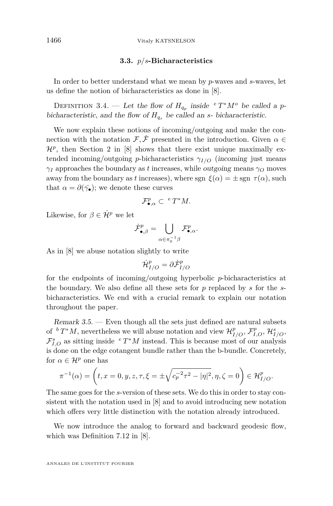<span id="page-20-0"></span>1466 Vitaly KATSNELSON

#### **3.3.** *p/s***-Bicharacteristics**

In order to better understand what we mean by *p*-waves and *s*-waves, let us define the notion of bicharacteristics as done in [\[8\]](#page-70-4).

DEFINITION 3.4. — Let the flow of  $H_{q_p}$  inside  $e^T T^* M^o$  be called a pbicharacteristic, and the flow of  $H_{q_s}$  be called an *s*- bicharacteristic.

We now explain these notions of incoming/outgoing and make the connection with the notation  $\mathcal{F}, \dot{\mathcal{F}}$  presented in the introduction. Given  $\alpha \in$  $\mathcal{H}^p$ , then Section 2 in [\[8\]](#page-70-4) shows that there exist unique maximally extended incoming/outgoing *p*-bicharacteristics  $\gamma_{I/O}$  (incoming just means *γ<sup>I</sup>* approaches the boundary as *t* increases, while outgoing means *γ<sup>O</sup>* moves away from the boundary as *t* increases), where sgn  $\xi(\alpha) = \pm$  sgn  $\tau(\alpha)$ , such that  $\alpha = \partial(\bar{\gamma}_\bullet)$ ; we denote these curves

$$
\mathcal{F}_{\bullet,\alpha}^p \subset \ ^eT^*M.
$$

Likewise, for  $\beta \in \dot{\mathcal{H}}^p$  we let

$$
\dot{\mathcal{F}}^p_{\bullet,\beta} = \bigcup_{\alpha \in \pi_0^{-1} \beta} \mathcal{F}^p_{\bullet,\alpha}.
$$

As in [\[8\]](#page-70-4) we abuse notation slightly to write

$$
{\dot{\cal H}}^p_{I/O}=\partial {\dot{\cal F}}^p_{I/O}
$$

for the endpoints of incoming/outgoing hyperbolic *p*-bicharacteristics at the boundary. We also define all these sets for *p* replaced by *s* for the *s*bicharacteristics. We end with a crucial remark to explain our notation throughout the paper.

Remark 3.5. — Even though all the sets just defined are natural subsets of  ${}^bT^*M$ , nevertheless we will abuse notation and view  $\mathcal{H}_{I/O}^p$ ,  $\mathcal{F}_{I,O}^p$ ,  $\mathcal{H}_{I/O}^s$ ,  $\mathcal{F}_{I,O}^s$  as sitting inside  ${}^eT^*M$  instead. This is because most of our analysis is done on the edge cotangent bundle rather than the b-bundle. Concretely, for  $\alpha \in \mathcal{H}^p$  one has

$$
\pi^{-1}(\alpha) = \left(t, x = 0, y, z, \tau, \xi = \pm \sqrt{c_p^{-2} \tau^2 - |\eta|^2}, \eta, \zeta = 0\right) \in \mathcal{H}_{I/O}^p.
$$

The same goes for the *s*-version of these sets. We do this in order to stay consistent with the notation used in [\[8\]](#page-70-4) and to avoid introducing new notation which offers very little distinction with the notation already introduced.

We now introduce the analog to forward and backward geodesic flow, which was Definition 7.12 in [\[8\]](#page-70-4).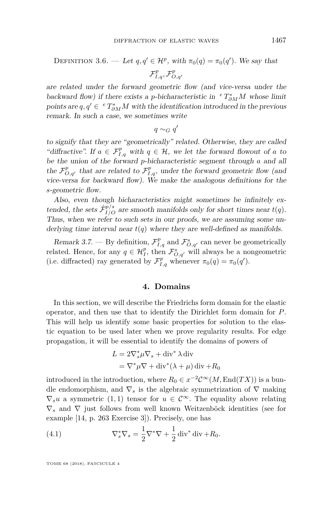DEFINITION 3.6. — Let 
$$
q, q' \in \mathcal{H}^p
$$
, with  $\pi_0(q) = \pi_0(q')$ . We say that 
$$
\mathcal{F}^p_{I,q}, \mathcal{F}^p_{O,q'}
$$

are related under the forward geometric flow (and vice-versa under the backward flow) if there exists a *p*-bicharacteristic in  ${}^eT^*_{\partial M}M$  whose limit points are  $q, q' \in {}^{e}T^{*}_{\partial M}M$  with the identification introduced in the previous remark. In such a case, we sometimes write

*q* ∼*G q*<sup> $'$ </sup>

to signify that they are "geometrically" related. Otherwise, they are called "diffractive". If  $a \in \mathcal{F}_{I,q}^p$  with  $q \in \mathcal{H}$ , we let the forward flowout of *a* to be the union of the forward *p*-bicharacteristic segment through *a* and all the  $\mathcal{F}_{O,q'}^p$  that are related to  $\mathcal{F}_{I,q}^p$ , under the forward geometric flow (and vice-versa for backward flow). We make the analogous definitions for the *s*-geometric flow.

Also, even though bicharacteristics might sometimes be infinitely extended, the sets  $\dot{\mathcal{F}}_{I/O}^{p/s}$  are smooth manifolds only for short times near  $t(q)$ . Thus, when we refer to such sets in our proofs, we are assuming some underlying time interval near  $t(q)$  where they are well-defined as manifolds.

Remark 3.7. — By definition,  $\mathcal{F}_{I,q}^p$  and  $\mathcal{F}_{O,q'}^s$  can never be geometrically related. Hence, for any  $q \in \mathcal{H}_{I}^{p}$ , then  $\mathcal{F}_{O,q'}^{s}$  will always be a nongeometric (i.e. diffracted) ray generated by  $\mathcal{F}_{I,q}^p$  whenever  $\pi_0(q) = \pi_0(q')$ .

#### **4. Domains**

In this section, we will describe the Friedrichs form domain for the elastic operator, and then use that to identify the Dirichlet form domain for *P*. This will help us identify some basic properties for solution to the elastic equation to be used later when we prove regularity results. For edge propagation, it will be essential to identify the domains of powers of

$$
L = 2\nabla_s^* \mu \nabla_s + \text{div}^* \lambda \text{ div}
$$
  
=  $\nabla^* \mu \nabla + \text{div}^* (\lambda + \mu) \text{ div} + R_0$ 

introduced in the introduction, where  $R_0 \in x^{-2} \mathcal{C}^{\infty}(M, \text{End}(TX))$  is a bundle endomorphism, and  $\nabla_s$  is the algebraic symmetrization of  $\nabla$  making  $\nabla_s u$  a symmetric (1, 1) tensor for  $u \in C^\infty$ . The equality above relating ∇*<sup>s</sup>* and ∇ just follows from well known Weitzenböck identities (see for example [\[14,](#page-71-4) p. 263 Exercise 3]). Precisely, one has

(4.1) 
$$
\nabla_s^* \nabla_s = \frac{1}{2} \nabla^* \nabla + \frac{1}{2} \operatorname{div}^* \operatorname{div} + R_0.
$$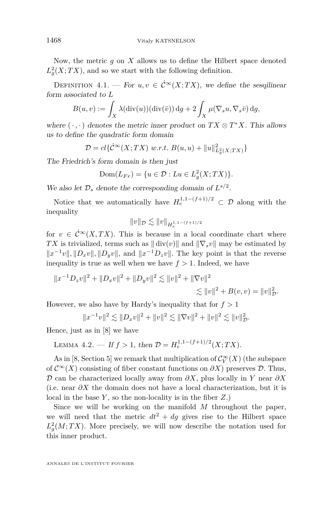Now, the metric *g* on *X* allows us to define the Hilbert space denoted  $L_g^2(X;TX)$ , and so we start with the following definition.

DEFINITION 4.1. — For  $u, v \in \mathcal{C}^{\infty}(X;TX)$ , we define the sesqilinear form associated to *L*

$$
B(u, v) := \int_X \lambda(\text{div}(u))(\text{div}(\bar{v})) \, dg + 2 \int_X \mu(\nabla_s u, \nabla_s \bar{v}) \, dg,
$$

where  $(\cdot, \cdot)$  denotes the metric inner product on  $TX \otimes T^*X$ . This allows us to define the quadratic form domain

$$
\mathcal{D} = cl\{\dot{\mathcal{C}}^{\infty}(X;TX) \ w.r.t. \ B(u,u) + ||u||^2_{L_g^2(X;TX)}\}
$$

The Friedrich's form domain is then just

$$
Dom(L_{Fr}) = \{ u \in \mathcal{D} : Lu \in L_g^2(X;TX) \}.
$$

We also let  $\mathcal{D}_s$  denote the corresponding domain of  $L^{s/2}$ .

Notice that we automatically have  $H_e^{1,1-(f+1)/2} \subset \mathcal{D}$  along with the inequality

$$
||v||_{\mathcal{D}} \lesssim ||v||_{H_e^{1,1-(f+1)/2}}
$$

for  $v \in \dot{C}^{\infty}(X,TX)$ . This is because in a local coordinate chart where *TX* is trivialized, terms such as  $\|\text{div}(v)\|$  and  $\|\nabla_s v\|$  may be estimated by  $||x^{-1}v||, ||D_xv||, ||D_yv||, \text{ and } ||x^{-1}D_zv||. \text{ The key point is that the reverse$ inequality is true as well when we have  $f > 1$ . Indeed, we have

$$
||x^{-1}D_z v||^2 + ||D_x v||^2 + ||D_y v||^2 \lesssim ||v||^2 + ||\nabla v||^2
$$
  

$$
\lesssim ||v||^2 + B(v, v) = ||v||_D^2.
$$

However, we also have by Hardy's inequality that for  $f > 1$ 

$$
||x^{-1}v||^2 \lesssim ||D_x v||^2 + ||v||^2 \lesssim ||\nabla v||^2 + ||v||^2 \lesssim ||v||_D^2.
$$

Hence, just as in [\[8\]](#page-70-4) we have

LEMMA 4.2. — If 
$$
f > 1
$$
, then  $\mathcal{D} = H_e^{1,1-(f+1)/2}(X;TX)$ .

As in [\[8,](#page-70-4) Section 5] we remark that multiplication of  $\mathcal{C}^\infty_Y(X)$  (the subspace of  $\mathcal{C}^{\infty}(X)$  consisting of fiber constant functions on  $\partial X$ ) preserves  $\mathcal{D}$ . Thus, D can be characterized locally away from *∂X*, plus locally in *Y* near *∂X* (i.e. near *∂X* the domain does not have a local characterization, but it is local in the base *Y* , so the non-locality is in the fiber *Z*.)

Since we will be working on the manifold *M* throughout the paper, we will need that the metric  $dt^2 + dg$  gives rise to the Hilbert space  $L_g^2(M;TX)$ . More precisely, we will now describe the notation used for this inner product.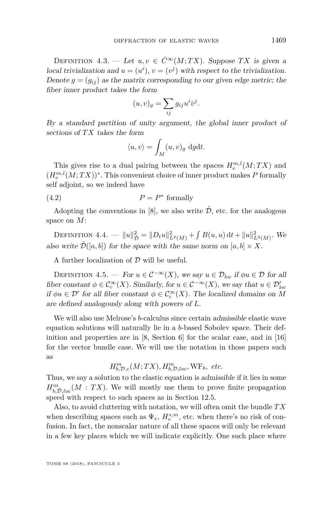<span id="page-23-0"></span>DEFINITION 4.3. — Let  $u, v \in \dot{C}^{\infty}(M; TX)$ . Suppose *TX* is given a local trivialization and  $u = (u^i)$ ,  $v = (v^j)$  with respect to the trivialization. Denote  $g = (g_{ij})$  as the matrix corresponding to our given edge metric; the fiber inner product takes the form

$$
(u,v)_g = \sum_{ij} g_{ij} u^i \bar{v}^j.
$$

By a standard partition of unity argument, the global inner product of sections of *T X* takes the form

$$
\langle u, v \rangle = \int_M (u, v)_g \, \mathrm{d}g \mathrm{d}t.
$$

This gives rise to a dual pairing between the spaces  $H_e^{m,l}(M;TX)$  and  $(H_e^{m,l}(M;TX))^*$ . This convenient choice of inner product makes P formally self adjoint, so we indeed have

$$
(4.2) \t\t P = P^* \text{ formally}
$$

Adopting the conventions in [\[8\]](#page-70-4), we also write  $\tilde{\mathcal{D}}$ , etc. for the analogous space on *M*:

DEFINITION 4.4. —  $||u||_{\tilde{D}}^2 = ||D_t u||_{L^2(M)}^2 + \int B(u, u) dt + ||u||_{L^2(M)}^2$ . We also write  $\tilde{\mathcal{D}}([a, b])$  for the space with the same norm on  $[a, b] \times X$ .

A further localization of  $D$  will be useful.

DEFINITION 4.5. — For  $u \in C^{-\infty}(X)$ , we say  $u \in \mathcal{D}_{loc}$  if  $\phi u \in \mathcal{D}$  for all fiber constant  $\phi \in C_c^{\infty}(X)$ . Similarly, for  $u \in C^{-\infty}(X)$ , we say that  $u \in \mathcal{D}'_{loc}$ if  $\phi u \in \mathcal{D}'$  for all fiber constant  $\phi \in C_c^{\infty}(X)$ . The localized domains on M are defined analogously along with powers of *L*.

We will also use Melrose's *b*-calculus since certain admissible elastic wave equation solutions will naturally lie in a *b*-based Sobolev space. Their definition and properties are in [\[8,](#page-70-4) Section 6] for the scalar case, and in [\[16\]](#page-71-3) for the vector bundle case. We will use the notation in those papers such as

 $H_{b,\mathcal{D},c}^m(M;TX), H_{b,\mathcal{D},loc}^m, \text{WF}_b, etc.$ 

Thus, we say a solution to the elastic equation is admissible if it lies in some  $H^m_{b,\tilde{D},loc}(M:TX)$ . We will mostly use them to prove finite propagation speed with respect to such spaces as in Section [12.5.](#page-61-0)

Also, to avoid cluttering with notation, we will often omit the bundle *T X* when describing spaces such as  $\Psi_e$ ,  $H_e^{s,m}$ , etc. when there's no risk of confusion. In fact, the nonscalar nature of all these spaces will only be relevant in a few key places which we will indicate explicitly. One such place where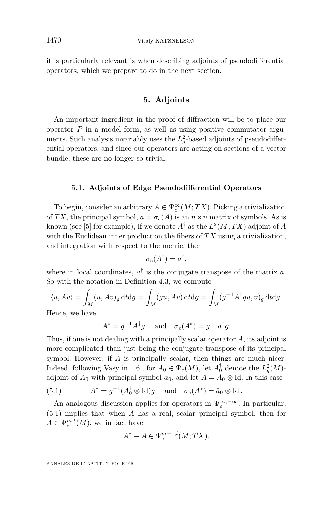it is particularly relevant is when describing adjoints of pseudodifferential operators, which we prepare to do in the next section.

#### **5. Adjoints**

An important ingredient in the proof of diffraction will be to place our operator *P* in a model form, as well as using positive commutator arguments. Such analysis invariably uses the  $L_g^2$ -based adjoints of pseudodifferential operators, and since our operators are acting on sections of a vector bundle, these are no longer so trivial.

#### **5.1. Adjoints of Edge Pseudodifferential Operators**

To begin, consider an arbitrary  $A \in \Psi_e^{\infty}(M;TX)$ . Picking a trivialization of *TX*, the principal symbol,  $a = \sigma_e(A)$  is an  $n \times n$  matrix of symbols. As is known (see [\[5\]](#page-70-1) for example), if we denote  $A^{\dagger}$  as the  $L^2(M;TX)$  adjoint of  $A$ with the Euclidean inner product on the fibers of *TX* using a trivialization, and integration with respect to the metric, then

$$
\sigma_e(A^{\dagger}) = a^{\dagger},
$$

where in local coordinates,  $a^{\dagger}$  is the conjugate transpose of the matrix *a*. So with the notation in Definition [4.3,](#page-23-0) we compute

$$
\langle u, Av \rangle = \int_M (u, Av)_g \, dt \, dg = \int_M (gu, Av) \, dt \, dg = \int_M (g^{-1}A^{\dagger}gu, v)_g \, dt \, dg.
$$

Hence, we have

$$
A^* = g^{-1}A^{\dagger}g \quad \text{ and} \quad \sigma_e(A^*) = g^{-1}a^{\dagger}g.
$$

Thus, if one is not dealing with a principally scalar operator *A*, its adjoint is more complicated than just being the conjugate transpose of its principal symbol. However, if *A* is principally scalar, then things are much nicer. Indeed, following Vasy in [\[16\]](#page-71-3), for  $A_0 \in \Psi_e(M)$ , let  $A_0^{\dagger}$  denote the  $L_g^2(M)$ adjoint of  $A_0$  with principal symbol  $a_0$ , and let  $A = A_0 \otimes \text{Id}$ . In this case

<span id="page-24-0"></span>(5.1) 
$$
A^* = g^{-1}(A_0^{\dagger} \otimes \mathrm{Id})g \quad \text{and} \quad \sigma_e(A^*) = \bar{a}_0 \otimes \mathrm{Id}.
$$

An analogous discussion applies for operators in  $\Psi_e^{\infty, -\infty}$ . In particular, [\(5.1\)](#page-24-0) implies that when *A* has a real, scalar principal symbol, then for  $A \in \Psi_e^{m,l}(M)$ , we in fact have

$$
A^* - A \in \Psi_e^{m-1,l}(M;TX).
$$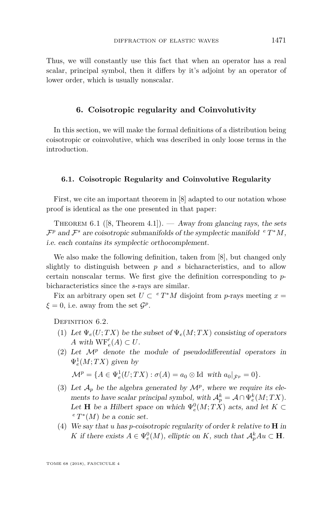Thus, we will constantly use this fact that when an operator has a real scalar, principal symbol, then it differs by it's adjoint by an operator of lower order, which is usually nonscalar.

#### **6. Coisotropic regularity and Coinvolutivity**

In this section, we will make the formal definitions of a distribution being coisotropic or coinvolutive, which was described in only loose terms in the introduction.

#### **6.1. Coisotropic Regularity and Coinvolutive Regularity**

First, we cite an important theorem in [\[8\]](#page-70-4) adapted to our notation whose proof is identical as the one presented in that paper:

THEOREM 6.1 ([\[8,](#page-70-4) Theorem 4.1]). — Away from glancing rays, the sets  $\mathcal{F}^p$  and  $\mathcal{F}^s$  are coisotropic submanifolds of the symplectic manifold  $e^T^*M$ , i.e. each contains its symplectic orthocomplement.

We also make the following definition, taken from [\[8\]](#page-70-4), but changed only slightly to distinguish between *p* and *s* bicharacteristics, and to allow certain nonscalar terms. We first give the definition corresponding to *p*bicharacteristics since the *s*-rays are similar.

Fix an arbitrary open set  $U \subset {}^{e}T^{*}M$  disjoint from *p*-rays meeting  $x =$  $\xi = 0$ , i.e. away from the set  $\mathcal{G}^p$ .

<span id="page-25-0"></span>DEFINITION 6.2.

- (1) Let  $\Psi_e(U;TX)$  be the subset of  $\Psi_e(M;TX)$  consisting of operators *A* with  $WF'_{e}(A) \subset U$ .
- (2) Let  $\mathcal{M}^p$  denote the module of pseudodifferential operators in  $\Psi_e^1(M;TX)$  given by

$$
\mathcal{M}^p = \{ A \in \Psi_e^1(U;TX) : \sigma(A) = a_0 \otimes \text{Id} \text{ with } a_0|_{\dot{\mathcal{F}}^p} = 0 \}.
$$

- (3) Let  $\mathcal{A}_p$  be the algebra generated by  $\mathcal{M}^p$ , where we require its elements to have scalar principal symbol, with  $\mathcal{A}_p^k = \mathcal{A} \cap \Psi_e^k(M;TX)$ . Let **H** be a Hilbert space on which  $\Psi_e^0(M;TX)$  acts, and let  $K \subset$  $e^e T^*(M)$  be a conic set.
- (4) We say that *u* has *p*-coisotropic regularity of order *k* relative to **H** in *K* if there exists  $A \in \Psi_e^0(M)$ , elliptic on *K*, such that  $\mathcal{A}_p^k A u \subset \mathbf{H}$ .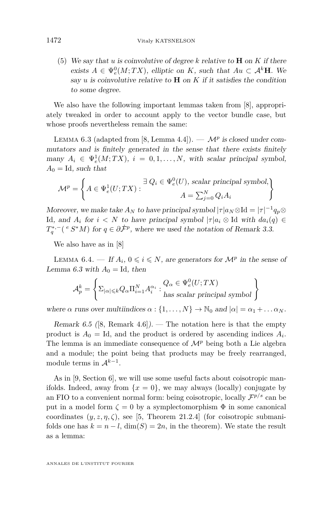(5) We say that *u* is coinvolutive of degree *k* relative to **H** on *K* if there exists  $A \in \Psi_e^0(M;TX)$ , elliptic on *K*, such that  $Au \subset A^k$ **H**. We say  $u$  is coinvolutive relative to  $H$  on  $K$  if it satisfies the condition to some degree.

We also have the following important lemmas taken from [\[8\]](#page-70-4), appropriately tweaked in order to account apply to the vector bundle case, but whose proofs nevertheless remain the same:

<span id="page-26-0"></span>LEMMA 6.3 (adapted from [\[8,](#page-70-4) Lemma 4.4]).  $-\mathcal{M}^p$  is closed under commutators and is finitely generated in the sense that there exists finitely  $\text{many } A_i \in \Psi_e^1(M;TX), i = 0, 1, \ldots, N, \text{ with scalar principal symbol,}$  $A_0 =$ Id, such that

$$
\mathcal{M}^{p} = \left\{ A \in \Psi_e^1(U;TX) : \begin{aligned} \exists \ Q_i \in \Psi_e^0(U), \text{ scalar principal symbol,} \\ A = \sum_{j=0}^{N} Q_i A_i \end{aligned} \right\}
$$

Moreover, we make take  $A_N$  to have principal symbol  $|\tau|a_N \otimes \text{Id} = |\tau|^{-1}a_p \otimes$ Id, and  $A_i$  for  $i < N$  to have principal symbol  $|\tau|a_i \otimes \text{Id}$  with  $da_i(q) \in$  $T_q^{*,-}$  (<sup>*e*</sup> *S*<sup>\*</sup>*M*) for  $q \in \partial \dot{\mathcal{F}}^p$ , where we used the notation of Remark [3.3.](#page-18-0)

We also have as in [\[8\]](#page-70-4)

LEMMA 6.4. — If  $A_i$ ,  $0 \leq i \leq N$ , are generators for  $\mathcal{M}^p$  in the sense of Lemma [6.3](#page-26-0) with  $A_0 = Id$ , then

$$
\mathcal{A}_p^k = \left\{ \Sigma_{|\alpha| \leq k} Q_\alpha \Pi_{i=1}^N A_i^{\alpha_i} : \begin{matrix} Q_\alpha \in \Psi_e^0(U;TX) \\ \text{has scalar principal symbol} \end{matrix} \right\}
$$

where  $\alpha$  runs over multiindices  $\alpha$  :  $\{1, \ldots, N\} \rightarrow \mathbb{N}_0$  and  $|\alpha| = \alpha_1 + \ldots + \alpha_N$ .

Remark 6.5 ([\[8,](#page-70-4) Remark 4.6]). — The notation here is that the empty product is  $A_0 = \text{Id}$ , and the product is ordered by ascending indices  $A_i$ . The lemma is an immediate consequence of  $\mathcal{M}^p$  being both a Lie algebra and a module; the point being that products may be freely rearranged, module terms in  $\mathcal{A}^{k-1}$ .

As in [\[9,](#page-70-5) Section 6], we will use some useful facts about coisotropic manifolds. Indeed, away from  $\{x = 0\}$ , we may always (locally) conjugate by an FIO to a convenient normal form: being coisotropic, locally  $\mathcal{F}^{p/s}$  can be put in a model form  $\zeta = 0$  by a symplectomorphism  $\Phi$  in some canonical coordinates  $(y, z, \eta, \zeta)$ , see [\[5,](#page-70-1) Theorem 21.2.4] (for coisotropic submanifolds one has  $k = n - l$ ,  $\dim(S) = 2n$ , in the theorem). We state the result as a lemma: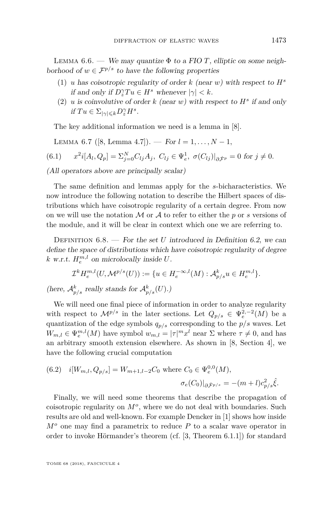LEMMA 6.6. — We may quantize  $\Phi$  to a FIO *T*, elliptic on some neighborhood of  $w \in \mathcal{F}^{p/s}$  to have the following properties

- (1) *u* has coisotropic regularity of order *k* (near *w*) with respect to  $H^s$ *if* and only if  $D_z^{\gamma} T u \in H^s$  whenever  $|\gamma| < k$ .
- (2)  $u$  is coinvolutive of order  $k$  (near  $w$ ) with respect to  $H^s$  if and only  $if Tu \in \sum_{|\gamma| \leqslant k} D^{\gamma}_z H^s.$

The key additional information we need is a lemma in [\[8\]](#page-70-4).

LEMMA 6.7 ([\[8,](#page-70-4) Lemma 4.7]). — For  $l = 1, ..., N - 1$ ,

$$
(6.1) \t x^2 i[A_l, Q_p] = \sum_{j=0}^N C_{lj} A_j, \ C_{lj} \in \Psi_e^1, \ \sigma(C_{lj})|_{\partial \dot{\mathcal{F}}^p} = 0 \text{ for } j \neq 0.
$$

(All operators above are principally scalar)

The same definition and lemmas apply for the *s*-bicharacteristics. We now introduce the following notation to describe the Hilbert spaces of distributions which have coisotropic regularity of a certain degree. From now on we will use the notation M or A to refer to either the *p* or *s* versions of the module, and it will be clear in context which one we are referring to.

Definition 6.8. — For the set *U* introduced in Definition [6.2,](#page-25-0) we can define the space of distributions which have coisotropic regularity of degree  $k \text{ w.r.t. } H_e^{m,l}$  on microlocally inside *U*.

$$
\mathcal{I}^k H_e^{m,l}(U,\mathcal{M}^{p/s}(U)) := \{ u \in H_e^{-\infty,l}(M) : \mathcal{A}_{p/s}^k u \in H_e^{m,l} \}.
$$

(here,  $\mathcal{A}_{p/s}^k$  really stands for  $\mathcal{A}_{p/s}^k(U)$ .)

We will need one final piece of information in order to analyze regularity with respect to  $\mathcal{M}^{p/s}$  in the later sections. Let  $Q_{p/s} \in \Psi_e^{2,-2}(M)$  be a quantization of the edge symbols  $q_{p/s}$  corresponding to the  $p/s$  waves. Let  $W_{m,l} \in \Psi_e^{m,l}(M)$  have symbol  $w_{m,l} = |\tau|^m x^l$  near  $\Sigma$  where  $\tau \neq 0$ , and has an arbitrary smooth extension elsewhere. As shown in [\[8,](#page-70-4) Section 4], we have the following crucial computation

(6.2) 
$$
i[W_{m,l}, Q_{p/s}] = W_{m+1,l-2}C_0
$$
 where  $C_0 \in \Psi_e^{0,0}(M)$ ,  

$$
\sigma_e(C_0)|_{\partial \dot{\mathcal{F}}^{p/s}} = -(m+l)c_{p/s}^2 \hat{\xi}.
$$

Finally, we will need some theorems that describe the propagation of coisotropic regularity on *M<sup>o</sup>* , where we do not deal with boundaries. Such results are old and well-known. For example Dencker in [\[1\]](#page-70-2) shows how inside *M<sup>o</sup>* one may find a parametrix to reduce *P* to a scalar wave operator in order to invoke Hörmander's theorem (cf. [\[3,](#page-70-8) Theorem 6.1.1]) for standard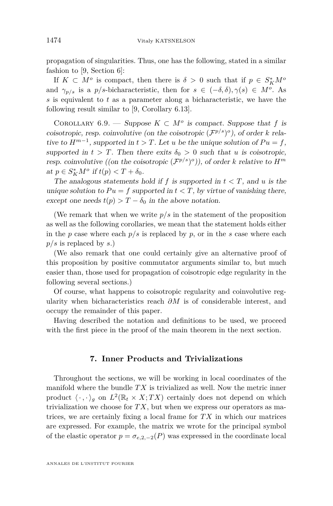propagation of singularities. Thus, one has the following, stated in a similar fashion to [\[9,](#page-70-5) Section 6]:

If  $K \subset M^o$  is compact, then there is  $\delta > 0$  such that if  $p \in S_K^*M^o$ and  $\gamma_{p/s}$  is a  $p/s$ -bicharacteristic, then for  $s \in (-\delta, \delta), \gamma(s) \in M^o$ . As *s* is equivalent to *t* as a parameter along a bicharacteristic, we have the following result similar to [\[9,](#page-70-5) Corollary 6.13].

COROLLARY 6.9. — Suppose  $K \subset M^o$  is compact. Suppose that *f* is coisotropic, resp. coinvolutive (on the coisotropic  $(\mathcal{F}^{p/s})^o$ ), of order *k* relative to  $H^{m-1}$ , supported in  $t > T$ . Let *u* be the unique solution of  $Pu = f$ , supported in  $t > T$ . Then there exits  $\delta_0 > 0$  such that *u* is coisotropic, resp. coinvolutive ((on the coisotropic  $(\mathcal{F}^{p/s})^{\circ}$ )), of order *k* relative to  $H^m$  $at \ p \in S_K^*M^o \text{ if } t(p) < T + \delta_0.$ 

The analogous statements hold if  $f$  is supported in  $t < T$ , and  $u$  is the unique solution to  $Pu = f$  supported in  $t < T$ , by virtue of vanishing there, except one needs  $t(p) > T - \delta_0$  in the above notation.

(We remark that when we write  $p/s$  in the statement of the proposition as well as the following corollaries, we mean that the statement holds either in the *p* case where each  $p/s$  is replaced by *p*, or in the *s* case where each *p/s* is replaced by *s*.)

(We also remark that one could certainly give an alternative proof of this proposition by positive commutator arguments similar to, but much easier than, those used for propagation of coisotropic edge regularity in the following several sections.)

Of course, what happens to coisotropic regularity and coinvolutive regularity when bicharacteristics reach *∂M* is of considerable interest, and occupy the remainder of this paper.

Having described the notation and definitions to be used, we proceed with the first piece in the proof of the main theorem in the next section.

#### **7. Inner Products and Trivializations**

Throughout the sections, we will be working in local coordinates of the manifold where the bundle *T X* is trivialized as well. Now the metric inner product  $\langle \cdot, \cdot \rangle_g$  on  $L^2(\mathbb{R}_t \times X; TX)$  certainly does not depend on which trivialization we choose for  $TX$ , but when we express our operators as matrices, we are certainly fixing a local frame for *T X* in which our matrices are expressed. For example, the matrix we wrote for the principal symbol of the elastic operator  $p = \sigma_{e,2,-2}(P)$  was expressed in the coordinate local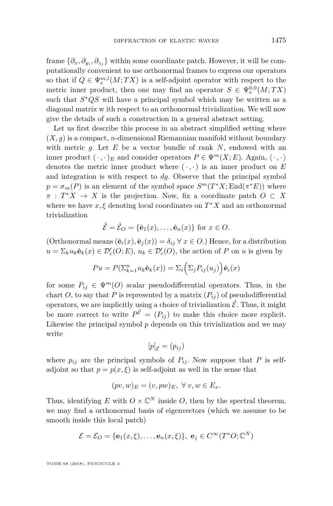frame  $\{\partial_x, \partial_{y_i}, \partial_{z_j}\}\$  within some coordinate patch. However, it will be computationally convenient to use orthonormal frames to express our operators so that if  $Q \in \Psi_e^{m,l}(M;TX)$  is a self-adjoint operator with respect to the metric inner product, then one may find an operator  $S \in \Psi_e^{0,0}(M;TX)$ such that *S* <sup>∗</sup>*QS* will have a principal symbol which may be written as a diagonal matrix w ith respect to an orthonormal trivialization. We will now give the details of such a construction in a general abstract setting.

Let us first describe this process in an abstract simplified setting where  $(X, g)$  is a compact, *n*-dimensional Riemannian manifold without boundary with metric *g*. Let *E* be a vector bundle of rank *N*, endowed with an inner product  $(\cdot, \cdot)_E$  and consider operators  $P \in \Psi^m(X; E)$ . Again,  $\langle \cdot, \cdot \rangle$ denotes the metric inner product where  $(\cdot, \cdot)$  is an inner product on  $E$ and integration is with respect to *dg*. Observe that the principal symbol  $p = \sigma_m(P)$  is an element of the symbol space  $S^m(T^*X; \text{End}(\pi^*E))$  where  $\pi$  :  $T^*X \to X$  is the projection. Now, fix a coordinate patch  $O \subset X$ where we have  $x, \xi$  denoting local coordinates on  $T^*X$  and an orthonormal trivialization

$$
\hat{\mathcal{E}} = \hat{\mathcal{E}}_O = \{ \hat{\mathbf{e}}_1(x), \dots, \hat{\mathbf{e}}_n(x) \} \text{ for } x \in O.
$$

(Orthonormal means  $(\hat{\mathbf{e}}_i(x), \hat{\mathbf{e}}_j(x)) = \delta_{ij} \ \forall \ x \in O$ .) Hence, for a distribution  $u = \sum_k u_k \hat{\mathbf{e}}_k(x) \in \mathcal{D}'_c(O; E), u_k \in \mathcal{D}'_c(O),$  the action of *P* on *u* is given by

$$
Pu = P(\Sigma_{k=1}^n u_k \hat{\mathbf{e}}_k(x)) = \Sigma_i \left(\Sigma_j P_{ij}(u_j)\right) \hat{\mathbf{e}}_i(x)
$$

for some  $P_{ij} \in \Psi^m(O)$  scalar pseudodifferential operators. Thus, in the chart *O*, to say that *P* is represented by a matrix  $(P_{ij})$  of pseudodifferential operators, we are implicitly using a choice of trivialization  $\hat{\mathcal{E}}$ . Thus, it might be more correct to write  $P^{\hat{\mathcal{E}}} = (P_{ij})$  to make this choice more explicit. Likewise the principal symbol *p* depends on this trivialization and we may write

$$
[p]_{\hat{\mathcal{E}}}=(p_{ij})
$$

where  $p_{ij}$  are the principal symbols of  $P_{ij}$ . Now suppose that P is selfadjoint so that  $p = p(x, \xi)$  is self-adjoint as well in the sense that

$$
(pv, w)_E = (v, pw)_E, \ \forall \ v, w \in E_x.
$$

Thus, identifying  $E$  with  $O \times \mathbb{C}^N$  inside  $O$ , then by the spectral theorem, we may find a orthonormal basis of eigenvectors (which we assume to be smooth inside this local patch)

$$
\mathcal{E} = \mathcal{E}_O = \{ \mathbf{e}_1(x, \xi), \dots, \mathbf{e}_n(x, \xi) \}, \ \mathbf{e}_j \in C^\infty(T^*O; \mathbb{C}^N)
$$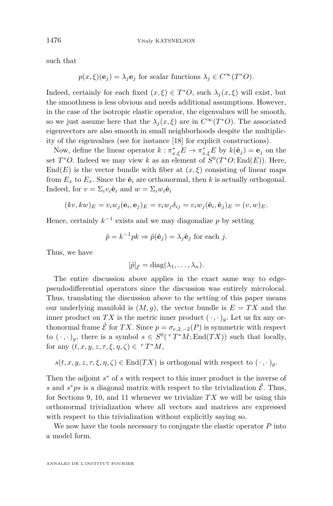such that

$$
p(x,\xi)(\mathbf{e}_j) = \lambda_j \mathbf{e}_j \text{ for scalar functions } \lambda_j \in C^{\infty}(T^*O).
$$

Indeed, certainly for each fixed  $(x, \xi) \in T^*O$ , such  $\lambda_j(x, \xi)$  will exist, but the smoothness is less obvious and needs additional assumptions. However, in the case of the isotropic elastic operator, the eigenvalues will be smooth, so we just assume here that the  $\lambda_j(x,\xi)$  are in  $C^{\infty}(T^*O)$ . The associated eigenvectors are also smooth in small neighborhoods despite the multiplicity of the eigenvalues (see for instance [\[18\]](#page-71-0) for explicit constructions).

Now, define the linear operator  $k : \pi^*_{x,\xi} E \to \pi^*_{x,\xi} E$  by  $k(\hat{\mathbf{e}}_j) = \mathbf{e}_j$  on the set  $T^*O$ . Indeed we may view *k* as an element of  $S^0(T^*O; \text{End}(E))$ . Here,  $\text{End}(E)$  is the vector bundle with fiber at  $(x,\xi)$  consisting of linear maps from  $E_x$  to  $E_x$ . Since the  $\hat{\mathbf{e}}_i$  are orthonormal, then *k* is actually orthogonal. Indeed, for  $v = \sum_i v_i \hat{\mathbf{e}}_i$  and  $w = \sum_i w_i \hat{\mathbf{e}}_i$ 

$$
(kv, kw)_E = v_i w_j(\mathbf{e}_i, \mathbf{e}_j)_E = v_i w_j \delta_{ij} = v_i w_j(\hat{\mathbf{e}}_i, \hat{\mathbf{e}}_j)_E = (v, w)_E.
$$

Hence, certainly  $k^{-1}$  exists and we may diagonalize  $p$  by setting

$$
\tilde{p} = k^{-1}pk \Rightarrow \tilde{p}(\hat{\mathbf{e}}_j) = \lambda_j \hat{\mathbf{e}}_j \text{ for each } j.
$$

Thus, we have

$$
[\tilde{p}]_{\hat{\mathcal{E}}} = \mathrm{diag}(\lambda_1,\ldots,\lambda_n).
$$

The entire discussion above applies in the exact same way to edgepseudodifferential operators since the discussion was entirely microlocal. Thus, translating the discussion above to the setting of this paper means our underlying manifold is  $(M, g)$ , the vector bundle is  $E = TX$  and the inner product on *TX* is the metric inner product  $(\cdot, \cdot)_q$ . Let us fix any orthonormal frame  $\hat{\mathcal{E}}$  for *TX*. Since  $p = \sigma_{e,2,-2}(P)$  is symmetric with respect to  $(\cdot \, , \cdot)_g$ , there is a symbol  $s \in S^0$  ( ${}^eT^*M$ ; End $(TX)$ ) such that locally, for any  $(t, x, y, z, \tau, \xi, \eta, \zeta) \in {}^{e}T^{*}M$ ,

$$
s(t, x, y, z, \tau, \xi, \eta, \zeta) \in \text{End}(TX)
$$
 is orthogonal with respect to  $(\cdot, \cdot)_g$ .

Then the adjoint  $s^*$  of  $s$  with respect to this inner product is the inverse of *s* and  $s^*ps$  is a diagonal matrix with respect to the trivialization  $\hat{\mathcal{E}}$ . Thus, for Sections [9,](#page-31-0) [10,](#page-35-0) and [11](#page-44-0) whenever we trivialize *T X* we will be using this orthonormal trivialization where all vectors and matrices are expressed with respect to this trivialization without explicitly saying so.

We now have the tools necessary to conjugate the elastic operator *P* into a model form.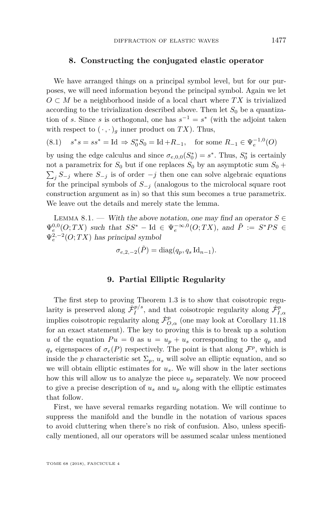#### **8. Constructing the conjugated elastic operator**

We have arranged things on a principal symbol level, but for our purposes, we will need information beyond the principal symbol. Again we let  $O \subset M$  be a neighborhood inside of a local chart where  $TX$  is trivialized according to the trivialization described above. Then let  $S_0$  be a quantization of *s*. Since *s* is orthogonal, one has  $s^{-1} = s^*$  (with the adjoint taken with respect to  $(\cdot, \cdot)_q$  inner product on *TX*). Thus,

$$
(8.1) \quad s^*s = ss^* = \text{Id} \Rightarrow S_0^*S_0 = \text{Id} + R_{-1}, \quad \text{for some } R_{-1} \in \Psi_e^{-1,0}(O)
$$

by using the edge calculus and since  $\sigma_{e,0,0}(S_0^*) = s^*$ . Thus,  $S_0^*$  is certainly not a parametrix for  $S_0$  but if one replaces  $S_0$  by an asymptotic sum  $S_0$  +  $\sum_{j} S_{-j}$  where  $S_{-j}$  is of order  $-j$  then one can solve algebraic equations for the principal symbols of  $S_{-j}$  (analogous to the microlocal square root construction argument as in) so that this sum becomes a true parametrix. We leave out the details and merely state the lemma.

<span id="page-31-1"></span>LEMMA 8.1. — With the above notation, one may find an operator  $S \in$  $\Psi_e^{0,0}(O;TX)$  such that  $SS^*$  – Id  $\in \Psi_e^{-\infty,0}(O;TX)$ , and  $\tilde{P} := S^*PS \in$  $\Psi_e^{2,-2}(O;TX)$  has principal symbol

$$
\sigma_{e,2,-2}(\tilde{P}) = \text{diag}(q_p, q_s \,\text{Id}_{n-1}).
$$

#### **9. Partial Elliptic Regularity**

<span id="page-31-0"></span>The first step to proving Theorem [1.3](#page-10-0) is to show that coisotropic regularity is preserved along  $\dot{\mathcal{F}}_I^{p/s}$  $\dot{\mathcal{F}}_{I,\alpha}^{p/s}$ , and that coisotropic regularity along  $\dot{\mathcal{F}}_{I,\alpha}^{p}$ implies coisotropic regularity along  $\dot{\mathcal{F}}^p_{O,\alpha}$  (one may look at Corollary [11.18](#page-57-0) for an exact statement). The key to proving this is to break up a solution *u* of the equation  $Pu = 0$  as  $u = u_p + u_s$  corresponding to the  $q_p$  and  $q_s$  eigenspaces of  $\sigma_e(P)$  respectively. The point is that along  $\mathcal{F}^p$ , which is inside the *p* characteristic set  $\Sigma_p$ ,  $u_s$  will solve an elliptic equation, and so we will obtain elliptic estimates for  $u_s$ . We will show in the later sections how this will allow us to analyze the piece  $u_p$  separately. We now proceed to give a precise description of  $u_s$  and  $u_p$  along with the elliptic estimates that follow.

First, we have several remarks regarding notation. We will continue to suppress the manifold and the bundle in the notation of various spaces to avoid cluttering when there's no risk of confusion. Also, unless specifically mentioned, all our operators will be assumed scalar unless mentioned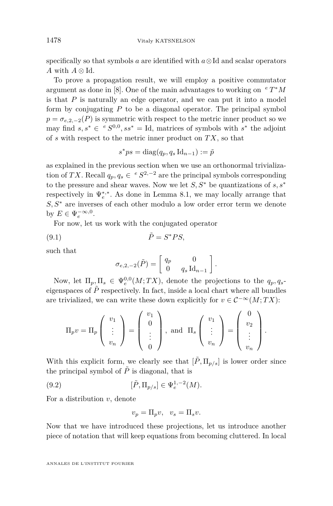specifically so that symbols *a* are identified with *a*⊗Id and scalar operators *A* with  $A \otimes \mathrm{Id}$ .

To prove a propagation result, we will employ a positive commutator argument as done in [\[8\]](#page-70-4). One of the main advantages to working on *<sup>e</sup> T* <sup>∗</sup>*M* is that *P* is naturally an edge operator, and we can put it into a model form by conjugating *P* to be a diagonal operator. The principal symbol  $p = \sigma_{e,2,-2}(P)$  is symmetric with respect to the metric inner product so we may find  $s, s^* \in {^eS^{0,0},ss^*} = \text{Id}$ , matrices of symbols with  $s^*$  the adjoint of *s* with respect to the metric inner product on *T X*, so that

$$
s^*ps = \text{diag}(q_p, q_s \, \text{Id}_{n-1}) := \tilde{p}
$$

as explained in the previous section when we use an orthonormal trivialization of *TX*. Recall  $q_p, q_s \in {}^eS^{2,-2}$  are the principal symbols corresponding to the pressure and shear waves. Now we let *S, S*<sup>∗</sup> be quantizations of *s, s*<sup>∗</sup> respectively in  $\Psi_e^{*,*}$ . As done in Lemma [8.1,](#page-31-1) we may locally arrange that *S, S*<sup>∗</sup> are inverses of each other modulo a low order error term we denote by  $E \in \Psi_e^{-\infty,0}$ .

For now, let us work with the conjugated operator

$$
\tilde{P} = S^* PS,
$$

such that

$$
\sigma_{e,2,-2}(\tilde{P}) = \begin{bmatrix} q_p & 0 \\ 0 & q_s \operatorname{Id}_{n-1} \end{bmatrix}.
$$

Now, let  $\Pi_p, \Pi_s \in \Psi_e^{0,0}(M;TX)$ , denote the projections to the  $q_p, q_s$ eigenspaces of  $\tilde{P}$  respectively. In fact, inside a local chart where all bundles are trivialized, we can write these down explicitly for  $v \in C^{-\infty}(M; TX)$ :

$$
\Pi_p v = \Pi_p \left( \begin{array}{c} v_1 \\ \vdots \\ v_n \end{array} \right) = \left( \begin{array}{c} v_1 \\ 0 \\ \vdots \\ 0 \end{array} \right), \text{ and } \Pi_s \left( \begin{array}{c} v_1 \\ \vdots \\ v_n \end{array} \right) = \left( \begin{array}{c} 0 \\ v_2 \\ \vdots \\ v_n \end{array} \right).
$$

With this explicit form, we clearly see that  $[\tilde{P}, \Pi_{p/s}]$  is lower order since the principal symbol of  $\tilde{P}$  is diagonal, that is

(9.2) 
$$
[\tilde{P}, \Pi_{p/s}] \in \Psi_e^{1,-2}(M).
$$

For a distribution *v*, denote

$$
v_p = \Pi_p v, \quad v_s = \Pi_s v.
$$

Now that we have introduced these projections, let us introduce another piece of notation that will keep equations from becoming cluttered. In local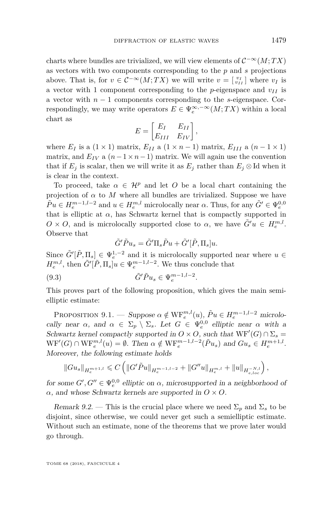charts where bundles are trivialized, we will view elements of  $C^{-\infty}(M;TX)$ as vectors with two components corresponding to the *p* and *s* projections above. That is, for  $v \in C^{-\infty}(M;TX)$  we will write  $v = \begin{bmatrix} v_I \\ v_{II} \end{bmatrix}$  where  $v_I$  is a vector with 1 component corresponding to the *p*-eigenspace and  $v_I$  is a vector with *n* − 1 components corresponding to the *s*-eigenspace. Correspondingly, we may write operators  $E \in \Psi_e^{\infty, -\infty}(M; TX)$  within a local chart as

$$
E = \begin{bmatrix} E_I & E_{II} \\ E_{III} & E_{IV} \end{bmatrix},
$$

where  $E_I$  is a (1 × 1) matrix,  $E_{II}$  a (1 × *n* − 1) matrix,  $E_{III}$  a (*n* − 1 × 1) matrix, and  $E_{IV}$  a  $(n-1 \times n-1)$  matrix. We will again use the convention that if  $E_j$  is scalar, then we will write it as  $E_j$  rather than  $E_j \otimes \text{Id}$  when it is clear in the context.

To proceed, take  $\alpha \in \mathcal{H}^p$  and let O be a local chart containing the projection of  $\alpha$  to  $M$  where all bundles are trivialized. Suppose we have  $\tilde{P}u \in H_e^{m-1,l-2}$  and  $u \in H_e^{m,l}$  microlocally near  $\alpha$ . Thus, for any  $\tilde{G}' \in \Psi_e^{0,0}$ that is elliptic at  $\alpha$ , has Schwartz kernel that is compactly supported in  $O \times O$ , and is microlocally supported close to  $\alpha$ , we have  $\tilde{G}'u \in H_e^{m,l}$ . Observe that

<span id="page-33-0"></span>
$$
\tilde{G}'\tilde{P}u_s = \tilde{G}'\Pi_s\tilde{P}u + \tilde{G}'[\tilde{P},\Pi_s]u.
$$

Since  $\tilde{G}'[\tilde{P}, \Pi_s] \in \Psi_e^{1,-2}$  and it is microlocally supported near where  $u \in$  $H_e^{m,l}$ , then  $\tilde{G}'[\tilde{P}, \Pi_s]u \in \Psi_e^{m-1,l-2}$ . We thus conclude that

$$
(9.3) \qquad \qquad \tilde{G}' \tilde{P} u_s \in \Psi_e^{m-1,l-2}.
$$

This proves part of the following proposition, which gives the main semielliptic estimate:

PROPOSITION 9.1. — Suppose  $\alpha \notin \text{WF}_{e}^{m,l}(u)$ ,  $\tilde{P}u \in H_{e}^{m-1,l-2}$  microlocally near  $\alpha$ , and  $\alpha \in \Sigma_p \setminus \Sigma_s$ . Let  $G \in \Psi_e^{0,0}$  elliptic near  $\alpha$  with a Schwartz kernel compactly supported in  $O \times O$ , such that  $WF'(G) \cap \Sigma_s =$  $WF'(G) \cap WF_e^{m,l}(u) = \emptyset$ . Then  $\alpha \notin WF_e^{m-1,l-2}(\tilde{P}u_s)$  and  $Gu_s \in H_e^{m+1,l}$ . Moreover, the following estimate holds

$$
||Gu_s||_{H_e^{m+1,l}} \leqslant C \left( ||G'\tilde{P}u||_{H_e^{m-1,l-2}} + ||G''u||_{H_e^{m,l}} + ||u||_{H_{e, loc}^{-N,l}} \right),
$$

for some  $G', G'' \in \Psi_e^{0,0}$  elliptic on  $\alpha$ , microsupported in a neighborhood of *α*, and whose Schwartz kernels are supported in *O* × *O*.

Remark 9.2. — This is the crucial place where we need  $\Sigma_p$  and  $\Sigma_s$  to be disjoint, since otherwise, we could never get such a semielliptic estimate. Without such an estimate, none of the theorems that we prove later would go through.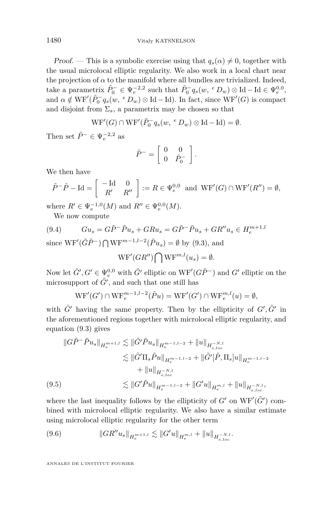*Proof.* — This is a symbolic exercise using that  $q_s(\alpha) \neq 0$ , together with the usual microlocal elliptic regularity. We also work in a local chart near the projection of  $\alpha$  to the manifold where all bundles are trivialized. Indeed, take a parametrix  $\tilde{P}_0^- \in \Psi_e^{-2,2}$  such that  $\tilde{P}_0^- q_s(w, e D_w) \otimes \text{Id} - \text{Id} \in \Psi_e^{0,0}$ , and  $\alpha \notin \text{WF}'(\tilde{P}_0^- q_s(w, e D_w) \otimes \text{Id} - \text{Id})$ . In fact, since  $\text{WF}'(G)$  is compact and disjoint from  $\Sigma_s$ , a parametrix may be chosen so that

$$
\mathrm{WF}'(G) \cap \mathrm{WF}'(\tilde{P}_0^-q_s(w, \ ^eD_w) \otimes \mathrm{Id} - \mathrm{Id}) = \emptyset.
$$

Then set  $\tilde{P}^- \in \Psi_e^{-2,2}$  as

$$
\tilde{P}^- = \left[ \begin{array}{cc} 0 & 0 \\ 0 & \tilde{P}_0^- \end{array} \right].
$$

We then have

$$
\tilde{P}^-\tilde{P} - \text{Id} = \begin{bmatrix} -\text{Id} & 0 \\ R' & R'' \end{bmatrix} := R \in \Psi_e^{0,0} \text{ and } \text{WF}'(G) \cap \text{WF}'(R'') = \emptyset,
$$

where  $R' \in \Psi_e^{-1,0}(M)$  and  $R'' \in \Psi_e^{0,0}(M)$ .

<span id="page-34-0"></span>We now compute

$$
(9.4) \qquad Gu_s = G\tilde{P}^-\tilde{P}u_s + GRu_s = G\tilde{P}^-\tilde{P}u_s + GR''u_s \in H_e^{m+1,l}
$$
  
since  $W\tilde{P}'(\tilde{C}\tilde{P}^-) \cap W\tilde{P}^{m-1,l-2}(\tilde{P}^{\perp,l})$ ,  $\emptyset$  has (9.3) and

since  $WF'(\tilde{G}\tilde{P}^{-}) \bigcap \text{WF}^{m-1,l-2}(\tilde{P}u_s) = \emptyset$  by [\(9.3\)](#page-33-0), and

$$
\mathrm{WF}'(GR'') \bigcap \mathrm{WF}^{m,l}(u_s) = \emptyset.
$$

Now let  $\tilde{G}', G' \in \Psi_e^{0,0}$  with  $\tilde{G}'$  elliptic on WF' $(G\tilde{P}^-)$  and  $G'$  elliptic on the microsupport of  $\tilde{G}'$ , and such that one still has

$$
WF'(G') \cap WF_e^{m-1,l-2}(\tilde{P}u) = WF'(G') \cap WF_e^{m,l}(u) = \emptyset,
$$

with  $\tilde{G}'$  having the same property. Then by the ellipticity of  $G', \tilde{G}'$  in the aforementioned regions together with microlocal elliptic regularity, and equation [\(9.3\)](#page-33-0) gives

$$
\|G\tilde{P}^{-}\tilde{P}u_{s}\|_{H_{e}^{m+1,l}} \lesssim \|\tilde{G}'\tilde{P}u_{s}\|_{H_{e}^{m-1,l-2}} + \|u\|_{H_{e,loc}^{-N,l}}
$$
  

$$
\lesssim \|\tilde{G}'\Pi_{s}\tilde{P}u\|_{H_{e}^{m-1,l-2}} + \|\tilde{G}'[\tilde{P},\Pi_{s}]u\|_{H_{e}^{m-1,l-2}}
$$
  

$$
+ \|u\|_{H_{e,loc}^{-N,l}}
$$
  
(9.5)  

$$
\lesssim \|G'\tilde{P}u\|_{H_{e}^{m-1,l-2}} + \|G'u\|_{H_{e}^{m,l}} + \|u\|_{H_{e,loc}^{-N,l}},
$$

<span id="page-34-1"></span>where the last inequality follows by the ellipticity of  $G'$  on  $WF'(\tilde{G}')$  combined with microlocal elliptic regularity. We also have a similar estimate using microlocal elliptic regularity for the other term

<span id="page-34-2"></span>(9.6) 
$$
||GR''u_s||_{H_e^{m+1,l}} \lesssim ||G'u||_{H_e^{m,l}} + ||u||_{H_{e,loc}^{-N,l}}.
$$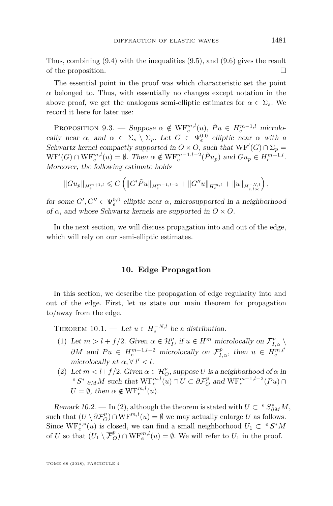Thus, combining [\(9.4\)](#page-34-0) with the inequalities [\(9.5\)](#page-34-1), and [\(9.6\)](#page-34-2) gives the result of the proposition.

The essential point in the proof was which characteristic set the point  $\alpha$  belonged to. Thus, with essentially no changes except notation in the above proof, we get the analogous semi-elliptic estimates for  $\alpha \in \Sigma_s$ . We record it here for later use:

PROPOSITION 9.3. — Suppose  $\alpha \notin \text{WF}_{e}^{m,l}(u)$ ,  $\tilde{P}u \in H_{e}^{m-1,l}$  microlocally near  $\alpha$ , and  $\alpha \in \Sigma_s \setminus \Sigma_p$ . Let  $G \in \Psi_e^{0,0}$  elliptic near  $\alpha$  with a Schwartz kernel compactly supported in  $O \times O$ , such that  $WF'(G) \cap \Sigma_p =$  $WF'(G) \cap WF_e^{m,l}(u) = \emptyset$ . Then  $\alpha \notin WF_e^{m-1,l-2}(\tilde{P}u_p)$  and  $Gu_p \in H_e^{m+1,l}$ . Moreover, the following estimate holds

$$
||Gu_p||_{H_e^{m+1,l}} \leqslant C \left( ||G'\tilde{P}u||_{H_e^{m-1,l-2}} + ||G''u||_{H_e^{m,l}} + ||u||_{H_{e, loc}^{-N,l}} \right),
$$

for some  $G', G'' \in \Psi_e^{0,0}$  elliptic near  $\alpha$ , microsupported in a neighborhood of  $\alpha$ , and whose Schwartz kernels are supported in  $O \times O$ .

In the next section, we will discuss propagation into and out of the edge, which will rely on our semi-elliptic estimates.

#### **10. Edge Propagation**

<span id="page-35-0"></span>In this section, we describe the propagation of edge regularity into and out of the edge. First, let us state our main theorem for propagation to/away from the edge.

THEOREM 10.1. — Let  $u \in H_e^{-N,l}$  be a distribution.

- (1) Let  $m > l + f/2$ . Given  $\alpha \in \mathcal{H}_I^p$ , if  $u \in H^m$  microlocally on  $\mathcal{F}_{I,\alpha}^p \setminus$  $\partial M$  and  $Pu \in H_e^{m-1,l-2}$  microlocally on  $\bar{\mathcal{F}}_{I,\alpha}^p$ , then  $u \in H_e^{m,l'}$ microlocally at  $\alpha, \forall l' < l$ .
- <span id="page-35-1"></span>(2) Let  $m < l + f/2$ . Given  $\alpha \in \mathcal{H}_O^p$ , suppose *U* is a neighborhood of  $\alpha$  in *e*  $S^*$ |∂*M M* such that  $WF_e^{m,l}(u) \cap U \subset \partial \mathcal{F}_O^p$  and  $WF_e^{m-1,l-2}(Pu) \cap$  $U = \emptyset$ , then  $\alpha \notin \text{WF}_{e}^{m,l}(u)$ .

Remark 10.2. — In [\(2\)](#page-35-1), although the theorem is stated with  $U \subset {}^{e}S_{\partial M}^{*}M$ , such that  $(U \setminus \partial \mathcal{F}_O^p) \cap \text{WF}^{m,l}(u) = \emptyset$  we may actually enlarge *U* as follows. Since  $WF_e^{*,*}(u)$  is closed, we can find a small neighborhood  $U_1 \subset e^{iS^*M}$ of *U* so that  $(U_1 \setminus \overline{\mathcal{F}}_O^p) \cap \text{WF}_e^{m,l}(u) = \emptyset$ . We will refer to  $U_1$  in the proof.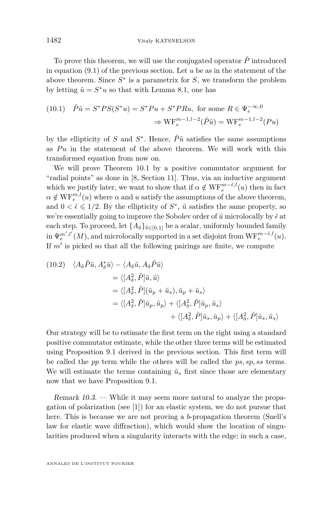To prove this theorem, we will use the conjugated operator  $\tilde{P}$  introduced in equation [\(9.1\)](#page-32-0) of the previous section. Let *u* be as in the statement of the above theorem. Since  $S^*$  is a parametrix for  $S$ , we transform the problem by letting  $\tilde{u} = S^*u$  so that with Lemma [8.1,](#page-31-0) one has

(10.1) 
$$
\tilde{P}\tilde{u} = S^*PS(S^*u) = S^*Pu + S^*PRu
$$
, for some  $R \in \Psi_e^{-\infty,0}$   
 $\Rightarrow \text{WF}_e^{m-1,l-2}(\tilde{P}\tilde{u}) = \text{WF}_e^{m-1,l-2}(Pu)$ 

by the ellipticity of *S* and  $S^*$ . Hence,  $\tilde{P}\tilde{u}$  satisfies the same assumptions as Pu in the statement of the above theorem. We will work with this transformed equation from now on.

We will prove Theorem [10.1](#page-35-0) by a positive commutator argument for "radial points" as done in [\[8,](#page-70-0) Section 11]. Thus, via an inductive argument which we justify later, we want to show that if  $\alpha \notin \text{WF}_{e}^{m-\tilde{\epsilon},l}(u)$  then in fact  $\alpha \notin \text{WF}_{e}^{m,l}(u)$  where  $\alpha$  and  $u$  satisfy the assumptions of the above theorem, and  $0 < \tilde{\epsilon} \leq 1/2$ . By the ellipticity of  $S^*$ ,  $\tilde{u}$  satisfies the same property, so we're essentially going to improve the Sobolev order of  $\tilde{u}$  microlocally by  $\tilde{\epsilon}$  at each step. To proceed, let  $\{A_\delta\}_{\delta \in [0,1]}$  be a scalar, uniformly bounded family  $\lim \Psi_e^{m',l'}(M)$ , and microlocally supported in a set disjoint from  $\text{WF}_e^{m-\tilde{\epsilon},l}(u)$ . If  $m'$  is picked so that all the following pairings are finite, we compute

<span id="page-36-0"></span>(10.2) 
$$
\langle A_{\delta} \tilde{P} \tilde{u}, A_{\delta}^* \tilde{u} \rangle - \langle A_{\delta} \tilde{u}, A_{\delta} \tilde{P} \tilde{u} \rangle
$$
  
\n
$$
= \langle [A_{\delta}^2, \tilde{P}] \tilde{u}, \tilde{u} \rangle
$$
  
\n
$$
= \langle [A_{\delta}^2, \tilde{P}] (\tilde{u}_p + \tilde{u}_s), \tilde{u}_p + \tilde{u}_s \rangle
$$
  
\n
$$
= \langle [A_{\delta}^2, \tilde{P}] \tilde{u}_p, \tilde{u}_p \rangle + \langle [A_{\delta}^2, \tilde{P}] \tilde{u}_p, \tilde{u}_s \rangle
$$
  
\n
$$
+ \langle [A_{\delta}^2, \tilde{P}] \tilde{u}_s, \tilde{u}_p \rangle + \langle [A_{\delta}^2, \tilde{P}] \tilde{u}_s, \tilde{u}_s \rangle
$$

Our strategy will be to estimate the first term on the right using a standard positive commutator estimate, while the other three terms will be estimated using Proposition [9.1](#page-33-0) derived in the previous section. This first term will be called the *pp* term while the others will be called the *ps, sp, ss* terms. We will estimate the terms containing  $\tilde{u}_s$  first since those are elementary now that we have Proposition [9.1.](#page-33-0)

Remark 10.3. — While it may seem more natural to analyze the propagation of polarization (see [\[1\]](#page-70-1)) for an elastic system, we do not pursue that here. This is because we are not proving a *b*-propagation theorem (Snell's law for elastic wave diffraction), which would show the location of singularities produced when a singularity interacts with the edge; in such a case,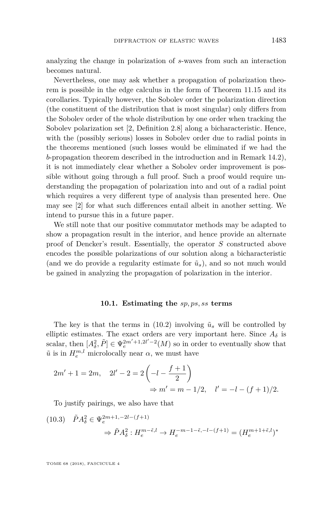analyzing the change in polarization of *s*-waves from such an interaction becomes natural.

Nevertheless, one may ask whether a propagation of polarization theorem is possible in the edge calculus in the form of Theorem [11.15](#page-56-0) and its corollaries. Typically however, the Sobolev order the polarization direction (the constituent of the distribution that is most singular) only differs from the Sobolev order of the whole distribution by one order when tracking the Sobolev polarization set [\[2,](#page-70-2) Definition 2.8] along a bicharacteristic. Hence, with the (possibly serious) losses in Sobolev order due to radial points in the theorems mentioned (such losses would be eliminated if we had the *b*-propagation theorem described in the introduction and in Remark [14.2\)](#page-66-0), it is not immediately clear whether a Sobolev order improvement is possible without going through a full proof. Such a proof would require understanding the propagation of polarization into and out of a radial point which requires a very different type of analysis than presented here. One may see [\[2\]](#page-70-2) for what such differences entail albeit in another setting. We intend to pursue this in a future paper.

We still note that our positive commutator methods may be adapted to show a propagation result in the interior, and hence provide an alternate proof of Dencker's result. Essentially, the operator *S* constructed above encodes the possible polarizations of our solution along a bicharacteristic (and we do provide a regularity estimate for  $\tilde{u}_s$ ), and so not much would be gained in analyzing the propagation of polarization in the interior.

#### **10.1. Estimating the** *sp, ps, ss* **terms**

The key is that the terms in [\(10.2\)](#page-36-0) involving  $\tilde{u}_s$  will be controlled by elliptic estimates. The exact orders are very important here. Since  $A_{\delta}$  is scalar, then  $[A_\delta^2, \tilde{P}] \in \Psi_e^{2m'+1,2l'-2}(M)$  so in order to eventually show that  $\tilde{u}$  is in  $H_e^{m,l}$  microlocally near  $\alpha$ , we must have

$$
2m' + 1 = 2m, \quad 2l' - 2 = 2\left(-l - \frac{f+1}{2}\right)
$$
  

$$
\Rightarrow m' = m - 1/2, \quad l' = -l - (f+1)/2.
$$

To justify pairings, we also have that

$$
(10.3) \quad \tilde{P}A_{\delta}^{2} \in \Psi_{e}^{2m+1, -2l - (f+1)}
$$

$$
\Rightarrow \tilde{P}A_{\delta}^{2} : H_{e}^{m-\tilde{\epsilon},l} \to H_{e}^{-m-1-\tilde{\epsilon}, -l - (f+1)} = (H_{e}^{m+1+\tilde{\epsilon},l})^{*}
$$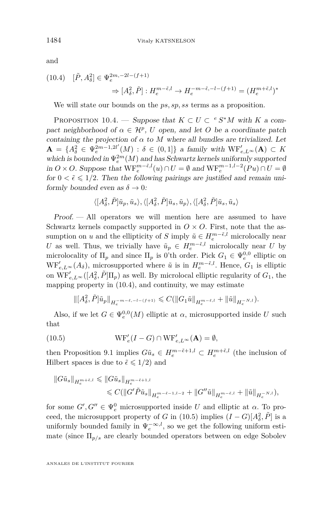<span id="page-38-0"></span>
$$
(10.4) \quad [\tilde{P}, A_{\delta}^2] \in \Psi_e^{2m, -2l - (f+1)}
$$
\n
$$
\Rightarrow [A_{\delta}^2, \tilde{P}] : H_e^{m - \tilde{\epsilon}, l} \to H_e^{-m - \tilde{\epsilon}, -l - (f+1)} = (H_e^{m + \tilde{\epsilon}, l})^*
$$

We will state our bounds on the *ps, sp, ss* terms as a proposition.

<span id="page-38-2"></span>PROPOSITION 10.4. — Suppose that  $K \subset U \subset e^s S^*M$  with *K* a compact neighborhood of  $\alpha \in \mathcal{H}^p$ , *U* open, and let *O* be a coordinate patch containing the projection of  $\alpha$  to  $M$  where all bundles are trivialized. Let  $\mathbf{A} = \{A_{\delta}^2 \in \Psi_e^{2m-1,2l'}(M) : \delta \in (0,1]\}$  a family with  $\mathrm{WF}_{e,L^{\infty}}'(\mathbf{A}) \subset K$ which is bounded in  $\Psi_e^{2m}(M)$  and has Schwartz kernels uniformly supported in *O* × *O*. Suppose that  $WF_e^{m-*i*,l}(u) ∩ U = ∅$  and  $WF_e^{m-1,l-2}(Pu) ∩ U = ∅$ for  $0 < \tilde{\epsilon} \leq 1/2$ . Then the following pairings are justified and remain uniformly bounded even as  $\delta \to 0$ :

$$
\langle [A^2_\delta,\tilde{P}] \tilde{u}_p, \tilde{u}_s \rangle, \langle [A^2_\delta,\tilde{P}] \tilde{u}_s, \tilde{u}_p \rangle, \langle [A^2_\delta,\tilde{P}] \tilde{u}_s, \tilde{u}_s \rangle
$$

Proof. — All operators we will mention here are assumed to have Schwartz kernels compactly supported in  $O \times O$ . First, note that the assumption on *u* and the ellipticity of *S* imply  $\tilde{u} \in H_e^{m-\tilde{\epsilon},l}$  microlocally near *U* as well. Thus, we trivially have  $\tilde{u}_p \in H_e^{m-\tilde{\epsilon},l}$  microlocally near *U* by microlocality of  $\Pi_p$  and since  $\Pi_p$  is 0'th order. Pick  $G_1 \in \Psi_e^{0,0}$  elliptic on  $WF'_{e,L} \infty(A_{\delta})$ , microsupported where  $\tilde{u}$  is in  $H_e^{m-\tilde{e},l}$ . Hence,  $G_1$  is elliptic on  $\overline{\text{WF}}'_{e,L^{\infty}}([A_{\delta}^2, \tilde{P}]\Pi_p)$  as well. By microlocal elliptic regularity of  $G_1$ , the mapping property in [\(10.4\)](#page-38-0), and continuity, we may estimate

<span id="page-38-1"></span>
$$
\|[A_\delta^2,\tilde{P}]\tilde{u}_p\|_{H^{-m-\tilde{\epsilon},-l-(f+1)}_e}\leqslant C(\|G_1\tilde{u}\|_{H^{m-\tilde{\epsilon},l}_e}+\|\tilde{u}\|_{H^{-N,l}_e}).
$$

Also, if we let  $G \in \Psi_e^{0,0}(M)$  elliptic at  $\alpha$ , microsupported inside  $U$  such that

(10.5) 
$$
\operatorname{WF}_{e}'(I - G) \cap \operatorname{WF}_{e, L^{\infty}}'(\mathbf{A}) = \emptyset,
$$

then Proposition [9.1](#page-33-0) implies  $G\tilde{u}_s \in H_e^{m-\tilde{\epsilon}+1,l} \subset H_e^{m+\tilde{\epsilon},l}$  (the inclusion of Hilbert spaces is due to  $\tilde{\epsilon} \leq 1/2$  and

$$
\begin{aligned} \left\|G\tilde{u}_s\right\|_{H_e^{m+\tilde{\epsilon},l}} &\leqslant \left\|G\tilde{u}_s\right\|_{H_e^{m-\tilde{\epsilon}+1,l}}\\ &\leqslant C(\left\|G'\tilde{P}\tilde{u}_s\right\|_{H_e^{m-\tilde{\epsilon}-1,l-2}}+\left\|G''\tilde{u}\right\|_{H_e^{m-\tilde{\epsilon},l}}+\left\|\tilde{u}\right\|_{H_e^{-N,l}}),\end{aligned}
$$

for some  $G', G'' \in \Psi_e^0$  microsupported inside *U* and elliptic at  $\alpha$ . To proceed, the microsupport property of *G* in [\(10.5\)](#page-38-1) implies  $(I - G)[A_{\delta}^2, \tilde{P}]$  is a uniformly bounded family in  $\Psi_e^{-\infty, l}$ , so we get the following uniform estimate (since Π*p/s* are clearly bounded operators between on edge Sobolev

and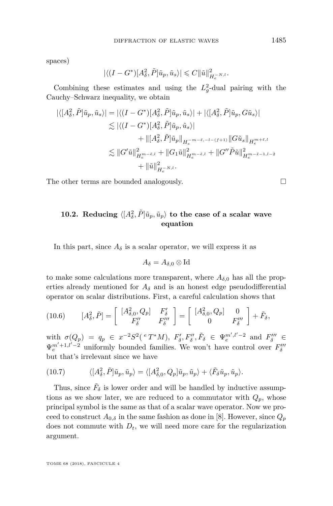spaces)

$$
|\langle (I - G^*)[A_{\delta}^2, \tilde{P}]\tilde{u}_p, \tilde{u}_s \rangle| \leqslant C \|\tilde{u}\|_{H_c^{-N,l}}^2.
$$

Combining these estimates and using the  $L_g^2$ -dual pairing with the Cauchy–Schwarz inequality, we obtain

$$
\begin{split} |\langle [A^2_{\delta}, \tilde{P}] \tilde{u}_p, \tilde{u}_s \rangle| &= |\langle (I - G^*)[A^2_{\delta}, \tilde{P}] \tilde{u}_p, \tilde{u}_s \rangle| + |\langle [A^2_{\delta}, \tilde{P}] \tilde{u}_p, G \tilde{u}_s \rangle| \\ &\lesssim |\langle (I - G^*)[A^2_{\delta}, \tilde{P}] \tilde{u}_p, \tilde{u}_s \rangle| \\ &+ \| [A^2_{\delta}, \tilde{P}] \tilde{u}_p \|_{H_e^{-m-\tilde{\epsilon}, -l-(f+1)}} \| G \tilde{u}_s \|_{H_e^{m+\tilde{\epsilon}, l}} \\ &\lesssim \| G' \tilde{u} \|_{H_e^{m-\tilde{\epsilon}, l}}^2 + \| G_1 \tilde{u} \|_{H_e^{m-\tilde{\epsilon}, l}}^2 + \| G'' \tilde{P} \tilde{u} \|_{H_e^{m-\tilde{\epsilon}-1, l-2}}^2 \\ &+ \| \tilde{u} \|_{H_e^{-N, l}}^2. \end{split}
$$

The other terms are bounded analogously.  $\Box$ 

# **10.2.** Reducing  $\langle [A^2_\delta, \tilde{P}] \tilde{u}_p, \tilde{u}_p \rangle$  to the case of a scalar wave **equation**

In this part, since  $A_{\delta}$  is a scalar operator, we will express it as

$$
A_\delta=A_{\delta,0}\otimes {\rm Id}
$$

to make some calculations more transparent, where  $A_{\delta,0}$  has all the properties already mentioned for  $A_{\delta}$  and is an honest edge pseudodifferential operator on scalar distributions. First, a careful calculation shows that

<span id="page-39-1"></span>
$$
(10.6) \qquad [A^2_{\delta}, \tilde{P}] = \begin{bmatrix} [A^2_{\delta,0}, Q_p] & F'_{\delta} \\ F''_{\delta} & F'''_{\delta} \end{bmatrix} = \begin{bmatrix} [A^2_{\delta,0}, Q_p] & 0 \\ 0 & F'''_{\delta} \end{bmatrix} + \tilde{F}_{\delta},
$$

with  $\sigma(Q_p) = q_p \in x^{-2}S^2({}^eT^*M), F'_\delta, F''_\delta, \tilde{F}_\delta \in \Psi_e^{m',l'-2}$  and  $F''_\delta \in$  $\Psi_e^{m'+1,l'-2}$  uniformly bounded families. We won't have control over  $F_\delta^m$ but that's irrelevant since we have

<span id="page-39-0"></span>(10.7) 
$$
\langle [A_{\delta}^2, \tilde{P}] \tilde{u}_p, \tilde{u}_p \rangle = \langle [A_{\delta,0}^2, Q_p] \tilde{u}_p, \tilde{u}_p \rangle + \langle \tilde{F}_{\delta} \tilde{u}_p, \tilde{u}_p \rangle.
$$

Thus, since  $\tilde{F}_{\delta}$  is lower order and will be handled by inductive assumptions as we show later, we are reduced to a commutator with  $Q_p$ , whose principal symbol is the same as that of a scalar wave operator. Now we proceed to construct  $A_{0,\delta}$  in the same fashion as done in [\[8\]](#page-70-0). However, since  $Q_p$ does not commute with  $D_t$ , we will need more care for the regularization argument.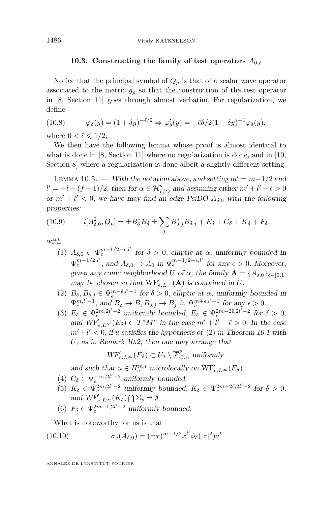#### **10.3. Constructing the family of test operators** *A*0*,δ*

Notice that the principal symbol of  $Q_p$  is that of a scalar wave operator associated to the metric  $g_p$  so that the construction of the test operator in [\[8,](#page-70-0) Section 11] goes through almost verbatim. For regularization, we define

<span id="page-40-3"></span>(10.8) 
$$
\varphi_{\delta}(y) = (1 + \delta y)^{-\tilde{\epsilon}/2} \Rightarrow \varphi'_{\delta}(y) = -\tilde{\epsilon}\delta/2(1 + \delta y)^{-1}\varphi_{\delta}(y),
$$

where  $0 < \tilde{\epsilon} \leqslant 1/2$ ,

We then have the following lemma whose proof is almost identical to what is done in [\[8,](#page-70-0) Section 11] where no regularization is done, and in [\[10,](#page-70-3) Section 8] where a regularization is done albeit a slightly different setting.

<span id="page-40-0"></span>LEMMA 10.5. — With the notation above, and setting  $m' = m - 1/2$  and  $l' = -l - (f - 1)/2$ , then for  $\alpha \in \mathcal{H}_{I/O}^p$  and assuming either  $m' + l' - \tilde{\epsilon} > 0$ or  $m' + l' < 0$ , we have may find an edge PsiDO  $A_{\delta,0}$  with the following properties:

(10.9) 
$$
i[A_{\delta,0}^2, Q_p] = \pm B_{\delta}^* B_{\delta} \pm \sum_j B_{\delta,j}^* B_{\delta,j} + E_{\delta} + C_{\delta} + K_{\delta} + F_{\delta}
$$

with

- (1)  $A_{\delta,0} \in \Psi_e^{m-1/2-\tilde{\epsilon},l'}$  for  $\delta > 0$ , elliptic at  $\alpha$ , uniformly bounded in  $\Psi_e^{m-1/2,l'}$ , and  $A_{\delta,0} \to A_0$  in  $\Psi_e^{m-1/2+\epsilon,l'}$  for any  $\epsilon > 0$ . Moreover, given any conic neighborhood *U* of  $\alpha$ , the family  $\mathbf{A} = \{A_{\delta,0}\}_{\delta \in [0,1]}$ may be chosen so that  $WF'_{e,L^{\infty}}(A)$  is contained in *U*.
- (2)  $B_{\delta}, B_{\delta,j} \in \Psi_e^{m-\tilde{\epsilon},l'-1}$  for  $\delta > 0$ , elliptic at  $\alpha$ , uniformly bounded in  $\Psi_e^{m,l'-1}$ , and  $B_\delta \to B$ ,  $B_{\delta,j} \to B_j$  in  $\Psi_e^{m+\epsilon,l'-1}$  for any  $\epsilon > 0$ .
- <span id="page-40-1"></span>(3)  $E_{\delta} \in \Psi_e^{2m, 2l' - 2}$  uniformly bounded,  $E_{\delta} \in \Psi_e^{2m - 2\tilde{\epsilon}, 2l' - 2}$  for  $\delta > 0$ , and  $WF'_{e,L^{\infty}}(E_{\delta}) \subset T^*M^o$  in the case  $m' + l' - \tilde{\epsilon} > 0$ . In the case  $m'+l' < 0$ , if *u* satisfies the hypothesis of [\(2\)](#page-35-1) in Theorem [10.1](#page-35-0) with *U*<sup>1</sup> as in Remark [10.2,](#page-35-2) then one may arrange that

$$
WF'_{e,L^{\infty}}(E_{\delta}) \subset U_1 \setminus \overline{\mathcal{F}}^p_{O,\alpha}
$$
 uniformly

and such that  $u \in H_e^{m,l}$  microlocally on  $\mathrm{WF}_{e,L^{\infty}}'(E_{\delta}).$ 

- (4)  $C_{\delta} \in \Psi_e^{-\infty, 2l'-2}$  uniformly bounded.
- (5)  $K_{\delta} \in \Psi_e^{2m, 2l'-2}$  uniformly bounded,  $K_{\delta} \in \Psi_e^{2m-2\tilde{\epsilon}, 2l'-2}$  for  $\delta > 0$ , and  $\overline{WF}_{e,L^{\infty}}'(K_{\delta}) \bigcap \Sigma_p = \emptyset$
- (6)  $F_{\delta} \in \Psi_e^{2m-1,2l'-2}$  uniformly bounded.

<span id="page-40-2"></span>What is noteworthy for us is that

(10.10) 
$$
\sigma_e(A_{\delta,0}) = (\pm \tau)^{m-1/2} x^{l'} \phi_{\delta}(|\tau|^2) a'
$$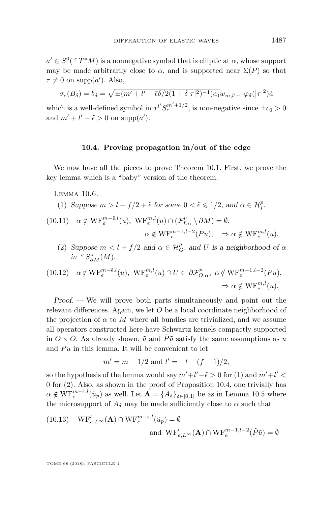$a' \in S^0$ <sup>(e T\*</sup>M) is a nonnegative symbol that is elliptic at  $\alpha$ , whose support may be made arbitrarily close to  $\alpha$ , and is supported near  $\Sigma(P)$  so that  $\tau \neq 0$  on supp(*a*'). Also,

$$
\sigma_e(B_\delta) = b_\delta = \sqrt{\pm (m' + l' - \tilde{\epsilon}\delta/2(1+\delta|\tau|^2)^{-1})c_0}w_{m,l'-1}\varphi_\delta(|\tau|^2)\hat{a}
$$

which is a well-defined symbol in  $x^{l'} S_e^{m'+1/2}$ , is non-negative since  $\pm c_0 > 0$ and  $m' + l' - \tilde{\epsilon} > 0$  on supp(*a'*).

## **10.4. Proving propagation in/out of the edge**

We now have all the pieces to prove Theorem [10.1.](#page-35-0) First, we prove the key lemma which is a "baby" version of the theorem.

<span id="page-41-3"></span>Lemma 10.6.

<span id="page-41-0"></span>(1) Suppose 
$$
m > l + f/2 + \tilde{\epsilon}
$$
 for some  $0 < \tilde{\epsilon} \leq 1/2$ , and  $\alpha \in \mathcal{H}_I^p$ .

<span id="page-41-2"></span>(10.11) 
$$
\alpha \notin \text{WF}_e^{m-\tilde{\epsilon},l}(u), \text{ WF}_e^{m,l}(u) \cap (\mathcal{F}_{I,\alpha}^p \setminus \partial M) = \emptyset,
$$
  
 $\alpha \notin \text{WF}_e^{m-1,l-2}(Pu), \Rightarrow \alpha \notin \text{WF}_e^{m,l}(u).$ 

<span id="page-41-1"></span>(2) Suppose  $m < l + f/2$  and  $\alpha \in \mathcal{H}_O^p$ , and *U* is a neighborhood of  $\alpha$  $in$ <sup>*e*</sup>  $S^*_{\partial M}(M)$ .

(10.12) 
$$
\alpha \notin \text{WF}_e^{m-\tilde{\epsilon},l}(u), \text{ WF}_e^{m,l}(u) \cap U \subset \partial \mathcal{F}_{O,\alpha}^p, \alpha \notin \text{WF}_e^{m-1,l-2}(Pu),
$$
  
 $\Rightarrow \alpha \notin \text{WF}_e^{m,l}(u).$ 

Proof. — We will prove both parts simultaneously and point out the relevant differences. Again, we let *O* be a local coordinate neighborhood of the projection of  $\alpha$  to M where all bundles are trivialized, and we assume all operators constructed here have Schwartz kernels compactly supported in  $O \times O$ . As already shown,  $\tilde{u}$  and  $\tilde{P}\tilde{u}$  satisfy the same assumptions as *u* and  $Pu$  in this lemma. It will be convenient to let

$$
m' = m - 1/2
$$
 and  $l' = -l - (f - 1)/2$ ,

so the hypothesis of the lemma would say  $m'+l'-\tilde{\epsilon} > 0$  for [\(1\)](#page-41-0) and  $m'+l' < \tilde{\epsilon}$ 0 for [\(2\)](#page-41-1). Also, as shown in the proof of Proposition [10.4,](#page-38-2) one trivially has  $\alpha \notin \text{WF}_{e}^{m-\tilde{\epsilon},l}(\tilde{u}_p)$  as well. Let  $\mathbf{A} = \{A_{\delta}\}_{\delta \in [0,1]}$  be as in Lemma [10.5](#page-40-0) where the microsupport of  $A_\delta$  may be made sufficiently close to  $\alpha$  such that

(10.13) 
$$
WF'_{e,L^{\infty}}(\mathbf{A}) \cap WF''_{e}^{-\tilde{\epsilon},l}(\tilde{u}_{p}) = \emptyset
$$
and 
$$
WF'_{e,L^{\infty}}(\mathbf{A}) \cap WF''_{e}^{-1,l-2}(\tilde{P}\tilde{u}) = \emptyset
$$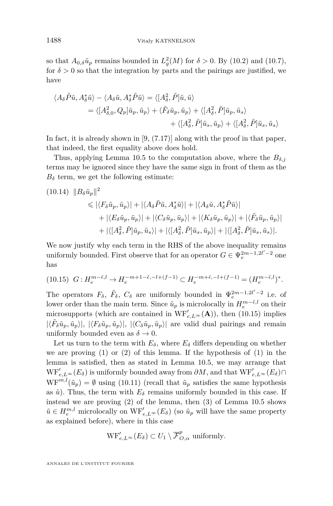so that  $A_{0,\delta}\tilde{u}_p$  remains bounded in  $L_g^2(M)$  for  $\delta > 0$ . By [\(10.2\)](#page-36-0) and [\(10.7\)](#page-39-0), for  $\delta > 0$  so that the integration by parts and the pairings are justified, we have

$$
\langle A_{\delta}\tilde{P}\tilde{u}, A_{\delta}^{*}\tilde{u}\rangle - \langle A_{\delta}\tilde{u}, A_{\delta}^{*}\tilde{P}\tilde{u}\rangle = \langle [A_{\delta}^{2}, \tilde{P}]\tilde{u}, \tilde{u}\rangle
$$
  

$$
= \langle [A_{\delta,0}^{2}, Q_{p}]\tilde{u}_{p}, \tilde{u}_{p}\rangle + \langle \tilde{F}_{\delta}\tilde{u}_{p}, \tilde{u}_{p}\rangle + \langle [A_{\delta}^{2}, \tilde{P}]\tilde{u}_{p}, \tilde{u}_{s}\rangle
$$
  

$$
+ \langle [A_{\delta}^{2}, \tilde{P}]\tilde{u}_{s}, \tilde{u}_{p}\rangle + \langle [A_{\delta}^{2}, \tilde{P}]\tilde{u}_{s}, \tilde{u}_{s}\rangle
$$

In fact, it is already shown in  $[9, (7.17)]$  $[9, (7.17)]$  along with the proof in that paper, that indeed, the first equality above does hold.

Thus, applying Lemma [10.5](#page-40-0) to the computation above, where the  $B_{\delta,i}$ terms may be ignored since they have the same sign in front of them as the  $B_{\delta}$  term, we get the following estimate:

<span id="page-42-1"></span>
$$
(10.14) \quad ||B_{\delta}\tilde{u}_{p}||^{2} \leq |\langle F_{\delta}\tilde{u}_{p}, \tilde{u}_{p}\rangle| + |\langle A_{\delta}\tilde{P}\tilde{u}, A_{\delta}^{*}\tilde{u}\rangle| + |\langle A_{\delta}\tilde{u}, A_{\delta}^{*}\tilde{P}\tilde{u}\rangle| + |\langle E_{\delta}\tilde{u}_{p}, \tilde{u}_{p}\rangle| + |\langle C_{\delta}\tilde{u}_{p}, \tilde{u}_{p}\rangle| + |\langle K_{\delta}\tilde{u}_{p}, \tilde{u}_{p}\rangle| + |\langle \tilde{F}_{\delta}\tilde{u}_{p}, \tilde{u}_{p}\rangle| + |\langle [A_{\delta}^{2}, \tilde{P}]\tilde{u}_{p}, \tilde{u}_{s}\rangle| + |\langle [A_{\delta}^{2}, \tilde{P}]\tilde{u}_{s}, \tilde{u}_{p}\rangle| + |\langle [A_{\delta}^{2}, \tilde{P}]\tilde{u}_{s}, \tilde{u}_{s}\rangle|.
$$

We now justify why each term in the RHS of the above inequality remains uniformly bounded. First observe that for an operator  $G \in \Psi_e^{2m-1,2l'-2}$  one has

<span id="page-42-0"></span>
$$
(10.15)\ \ G:H^{m-\tilde{\epsilon},l}_e\to H^{-m+1-\tilde{\epsilon},-l+(f-1)}_e\subset H^{-m+\tilde{\epsilon},-l+(f-1)}_e=(H^{m-\tilde{\epsilon},l}_e)^*.
$$

The operators  $F_{\delta}$ ,  $\tilde{F}_{\delta}$ ,  $C_{\delta}$  are uniformly bounded in  $\Psi_e^{2m-1,2l'-2}$  i.e. of lower order than the main term. Since  $\tilde{u}_p$  is microlocally in  $H_e^{m-\tilde{\epsilon},l}$  on their microsupports (which are contained in  $WF'_{e,L^{\infty}}(A)$ ), then [\(10.15\)](#page-42-0) implies  $|\langle \tilde{F}_{\delta}\tilde{u}_p, \tilde{u}_p\rangle|, |\langle F_{\delta}\tilde{u}_p, \tilde{u}_p\rangle|, |\langle C_{\delta}\tilde{u}_p, \tilde{u}_p\rangle|$  are valid dual pairings and remain uniformly bounded even as  $\delta \to 0$ .

Let us turn to the term with  $E_{\delta}$ , where  $E_{\delta}$  differs depending on whether we are proving  $(1)$  or  $(2)$  of this lemma. If the hypothesis of  $(1)$  in the lemma is satisfied, then as stated in Lemma [10.5,](#page-40-0) we may arrange that  $WF'_{e,L} \infty (E_{\delta})$  is uniformly bounded away from  $\partial M$ , and that  $WF'_{e,L} \infty (E_{\delta}) \cap$  $WF^{m,l}(\tilde{u}_p) = \emptyset$  using [\(10.11\)](#page-41-2) (recall that  $\tilde{u}_p$  satisfies the same hypothesis as  $\tilde{u}$ ). Thus, the term with  $E_{\delta}$  remains uniformly bounded in this case. If instead we are proving [\(2\)](#page-41-1) of the lemma, then [\(3\)](#page-40-1) of Lemma [10.5](#page-40-0) shows  $\tilde{u} \in H_e^{m,l}$  microlocally on  $\text{WF}_{e,L^\infty}'(E_\delta)$  (so  $\tilde{u}_p$  will have the same property as explained before), where in this case

$$
\mathrm{WF}_{e,L^{\infty}}'(E_{\delta}) \subset U_1 \setminus \overline{\mathcal{F}}_{O,\alpha}^p \text{ uniformly.}
$$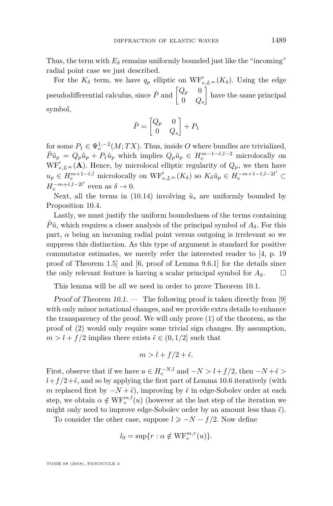Thus, the term with  $E_{\delta}$  remains uniformly bounded just like the "incoming" radial point case we just described.

For the  $K_{\delta}$  term, we have  $q_p$  elliptic on  $WF'_{e,L^{\infty}}(K_{\delta})$ . Using the edge pseudodifferential calculus, since  $\tilde{P}$  and  $\begin{bmatrix} Q_p & 0 \\ 0 & Q_p \end{bmatrix}$ 0 *Q<sup>s</sup>* have the same principal symbol,

$$
\tilde{P} = \begin{bmatrix} Q_p & 0 \\ 0 & Q_s \end{bmatrix} + P_1
$$

for some  $P_1 \in \Psi_e^{1,-2}(M;TX)$ . Thus, inside O where bundles are trivialized,  $\tilde{P}\tilde{u}_p = Q_p\tilde{u}_p + P_1\tilde{u}_p$  which implies  $Q_p\tilde{u}_p \in H_e^{m-1-\tilde{\epsilon},l-2}$  microlocally on  $WF'_{e,L^{\infty}}(A)$ . Hence, by microlocal elliptic regularity of  $Q_p$ , we then have  $u_p \in H_e^{m+1-\tilde{\epsilon},l}$  microlocally on  $\text{WF}_{e,L^\infty}^{\prime}(K_\delta)$  so  $K_\delta \tilde{u}_p \in H_e^{-m+1-\tilde{\epsilon},l-2l'} \subset$  $H_e^{-m+\tilde{\epsilon},l-2l'}$  even as  $\delta \to 0$ .

Next, all the terms in [\(10.14\)](#page-42-1) involving  $\tilde{u}_s$  are uniformly bounded by Proposition [10.4.](#page-38-2)

Lastly, we must justify the uniform boundedness of the terms containing  $\tilde{P}\tilde{u}$ , which requires a closer analysis of the principal symbol of  $A_{\delta}$ . For this part,  $\alpha$  being an incoming radial point versus outgoing is irrelevant so we suppress this distinction. As this type of argument is standard for positive commutator estimates, we merely refer the interested reader to [\[4,](#page-70-5) p. 19 proof of Theorem 1.5] and [\[6,](#page-70-6) proof of Lemma 9.6.1] for the details since the only relevant feature is having a scalar principal symbol for  $A_{\delta}$ .

This lemma will be all we need in order to prove Theorem [10.1.](#page-35-0)

Proof of Theorem  $10.1.$  — The following proof is taken directly from [\[9\]](#page-70-4) with only minor notational changes, and we provide extra details to enhance the transparency of the proof. We will only prove [\(1\)](#page-35-3) of the theorem, as the proof of [\(2\)](#page-35-1) would only require some trivial sign changes. By assumption,  $m > l + f/2$  implies there exists  $\tilde{\epsilon} \in (0, 1/2]$  such that

$$
m > l + f/2 + \tilde{\epsilon}.
$$

First, observe that if we have  $u \in H_e^{-N,l}$  and  $-N > l + f/2$ , then  $-N+\tilde{\epsilon} >$  $l+f/2+\tilde{\epsilon}$ , and so by applying the first part of Lemma [10.6](#page-41-3) iteratively (with *m* replaced first by  $-N+\tilde{\epsilon}$ , improving by  $\tilde{\epsilon}$  in edge-Sobolev order at each step, we obtain  $\alpha \notin \mathrm{WF}^{m,l}_{e}(u)$  (however at the last step of the iteration we might only need to improve edge-Sobolev order by an amount less than  $\tilde{\epsilon}$ ).

To consider the other case, suppose  $l \geq -N - f/2$ . Now define

$$
l_0 = \sup\{r : \alpha \notin \mathrm{WF}_e^{m,r}(u)\}.
$$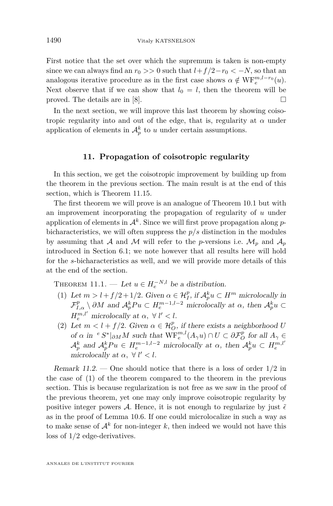First notice that the set over which the supremum is taken is non-empty since we can always find an  $r_0 \gg 0$  such that  $l+f/2-r_0 < -N$ , so that an analogous iterative procedure as in the first case shows  $\alpha \notin \text{WF}_{e}^{m,l-r_0}(u)$ . Next observe that if we can show that  $l_0 = l$ , then the theorem will be proved. The details are in [\[8\]](#page-70-0).  $\Box$ 

In the next section, we will improve this last theorem by showing coisotropic regularity into and out of the edge, that is, regularity at  $\alpha$  under application of elements in  $\mathcal{A}_p^k$  to *u* under certain assumptions.

### **11. Propagation of coisotropic regularity**

<span id="page-44-3"></span>In this section, we get the coisotropic improvement by building up from the theorem in the previous section. The main result is at the end of this section, which is Theorem [11.15.](#page-56-0)

The first theorem we will prove is an analogue of Theorem [10.1](#page-35-0) but with an improvement incorporating the propagation of regularity of *u* under application of elements in A*<sup>k</sup>* . Since we will first prove propagation along *p*bicharacteristics, we will often suppress the *p/s* distinction in the modules by assuming that A and M will refer to the *p*-versions i.e.  $\mathcal{M}_p$  and  $\mathcal{A}_p$ introduced in Section [6.1;](#page-25-0) we note however that all results here will hold for the *s*-bicharacteristics as well, and we will provide more details of this at the end of the section.

<span id="page-44-1"></span>THEOREM 11.1. — Let  $u \in H_e^{-N,l}$  be a distribution.

- <span id="page-44-0"></span>(1) Let  $m > l + f/2 + 1/2$ . Given  $\alpha \in \mathcal{H}_I^p$ , if  $\mathcal{A}_p^k u \subset H^m$  microlocally in  $\mathcal{F}_{I,\alpha}^p \setminus \partial M$  and  $\mathcal{A}_p^k P u \subset H_e^{m-1,l-2}$  microlocally at  $\alpha$ , then  $\mathcal{A}_p^k u \subset$  $H_e^{m,l'}$  microlocally at  $\alpha, \forall l' < l$ .
- <span id="page-44-2"></span>(2) Let  $m < l + f/2$ . Given  $\alpha \in \mathcal{H}_O^p$ , if there exists a neighborhood *U* of  $\alpha$  in <sup>*e*</sup>  $S^*|_{\partial M}M$  such that  $\text{WF}_{e}^{m,l}(A_\gamma u) \cap U \subset \partial \mathcal{F}_{O}^p$  for all  $A_\gamma \in$  $\mathcal{A}_p^k$  and  $\mathcal{A}_p^k P u \in H_e^{m-1,l-2}$  microlocally at  $\alpha$ , then  $\mathcal{A}_p^k u \subset H_e^{m,l'}$ microlocally at  $\alpha$ ,  $\forall$   $l' < l$ .

Remark 11.2. — One should notice that there is a loss of order 1*/*2 in the case of [\(1\)](#page-44-0) of the theorem compared to the theorem in the previous section. This is because regularization is not free as we saw in the proof of the previous theorem, yet one may only improve coisotropic regularity by positive integer powers A. Hence, it is not enough to regularize by just  $\tilde{\epsilon}$ as in the proof of Lemma [10.6.](#page-41-3) If one could microlocalize in such a way as to make sense of  $\mathcal{A}^k$  for non-integer  $k$ , then indeed we would not have this loss of 1*/*2 edge-derivatives.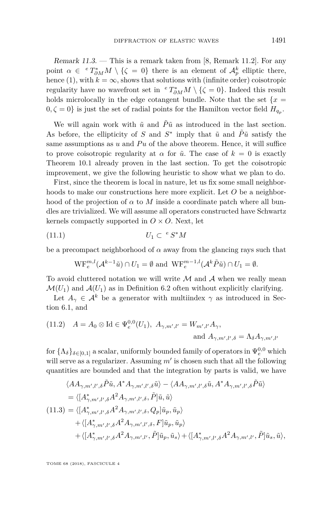Remark  $11.3.$  — This is a remark taken from [\[8,](#page-70-0) Remark 11.2]. For any point  $\alpha \in {}^{e}T^{*}_{\partial M}M \setminus {\{\zeta = 0\}}$  there is an element of  $\mathcal{A}_{p}^{k}$  elliptic there, hence [\(1\)](#page-44-0), with  $k = \infty$ , shows that solutions with (infinite order) coisotropic regularity have no wavefront set in  ${}^eT^*_{\partial M}M \setminus {\{\zeta = 0\}}$ . Indeed this result holds microlocally in the edge cotangent bundle. Note that the set  $\{x =$  $(0, \zeta = 0)$  is just the set of radial points for the Hamilton vector field  $H_{q_p}$ .

We will again work with  $\tilde{u}$  and  $\tilde{P}\tilde{u}$  as introduced in the last section. As before, the ellipticity of *S* and  $S^*$  imply that  $\tilde{u}$  and  $\tilde{P}\tilde{u}$  satisfy the same assumptions as  $u$  and  $Pu$  of the above theorem. Hence, it will suffice to prove coisotropic regularity at  $\alpha$  for  $\tilde{u}$ . The case of  $k = 0$  is exactly Theorem [10.1](#page-35-0) already proven in the last section. To get the coisotropic improvement, we give the following heuristic to show what we plan to do.

First, since the theorem is local in nature, let us fix some small neighborhoods to make our constructions here more explicit. Let *O* be a neighborhood of the projection of  $\alpha$  to M inside a coordinate patch where all bundles are trivialized. We will assume all operators constructed have Schwartz kernels compactly supported in  $O \times O$ . Next, let

$$
(11.1)\t\t\t U_1 \subset \,^eS^*M
$$

be a precompact neighborhood of  $\alpha$  away from the glancing rays such that

$$
\mathrm{WF}^{m,l}_{e}(\mathcal{A}^{k-1}\tilde{u}) \cap U_1 = \emptyset \text{ and } \mathrm{WF}^{m-1,l}_{e}(\mathcal{A}^k \tilde{P} \tilde{u}) \cap U_1 = \emptyset.
$$

To avoid cluttered notation we will write  $M$  and  $A$  when we really mean  $\mathcal{M}(U_1)$  and  $\mathcal{A}(U_1)$  as in Definition [6.2](#page-25-1) often without explicitly clarifying.

Let  $A_{\gamma} \in \mathcal{A}^k$  be a generator with multiindex  $\gamma$  as introduced in Section [6.1,](#page-25-0) and

<span id="page-45-1"></span>(11.2) 
$$
A = A_0 \otimes \text{Id} \in \Psi_e^{0,0}(U_1), \ A_{\gamma,m',l'} = W_{m',l'} A_\gamma,
$$
  
and 
$$
A_{\gamma,m',l',\delta} = \Lambda_\delta A_{\gamma,m',l'}
$$

for  $\{\Lambda_{\delta}\}_{{\delta}\in[0,1]}$  a scalar, uniformly bounded family of operators in  $\Psi_e^{0,0}$  which will serve as a regularizer. Assuming  $m'$  is chosen such that all the following quantities are bounded and that the integration by parts is valid, we have

<span id="page-45-0"></span>
$$
\langle A A_{\gamma,m',l',\delta} \tilde{P} \tilde{u}, A^* A_{\gamma,m',l',\delta} \tilde{u} \rangle - \langle A A_{\gamma,m',l',\delta} \tilde{u}, A^* A_{\gamma,m',l',\delta} \tilde{P} \tilde{u} \rangle
$$
  
\n
$$
= \langle [A_{\gamma,m',l',\delta}^* A^2 A_{\gamma,m',l',\delta}, \tilde{P}] \tilde{u}, \tilde{u} \rangle
$$
  
\n(11.3) =  $\langle [A_{\gamma,m',l',\delta}^* A^2 A_{\gamma,m',l',\delta}, Q_p] \tilde{u}_p, \tilde{u}_p \rangle$   
\n $+ \langle [A_{\gamma,m',l',\delta}^* A^2 A_{\gamma,m',l',\delta}, F] \tilde{u}_p, \tilde{u}_p \rangle$   
\n $+ \langle [A_{\gamma,m',l',\delta}^* A^2 A_{\gamma,m',l'}, \tilde{P}] \tilde{u}_p, \tilde{u}_s \rangle + \langle [A_{\gamma,m',l',\delta}^* A^2 A_{\gamma,m',l'}, \tilde{P}] \tilde{u}_s, \tilde{u} \rangle,$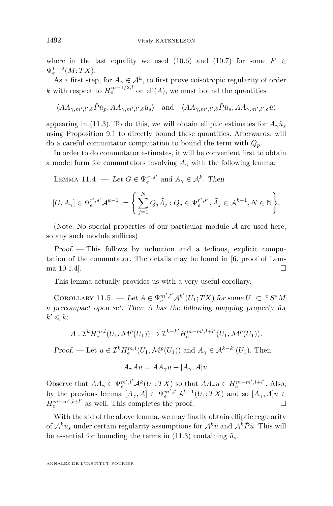where in the last equality we used [\(10.6\)](#page-39-1) and [\(10.7\)](#page-39-0) for some  $F \in$  $\Psi_e^{1,-2}(M;TX)$ .

As a first step, for  $A_{\gamma} \in \mathcal{A}^k$ , to first prove coisotropic regularity of order *k* with respect to  $H_e^{m-1/2,l}$  on ell $(A)$ , we must bound the quantities

$$
\langle AA_{\gamma,m',l',\delta}\tilde{P}\tilde{u}_{p}, AA_{\gamma,m',l',\delta}\tilde{u}_{s}\rangle \quad \text{and} \quad \langle AA_{\gamma,m',l',\delta}\tilde{P}\tilde{u}_{s}, AA_{\gamma,m',l',\delta}\tilde{u}\rangle
$$

appearing in [\(11.3\)](#page-45-0). To do this, we will obtain elliptic estimates for  $A_\gamma \tilde{u}_s$ using Proposition [9.1](#page-33-0) to directly bound these quantities. Afterwards, will do a careful commutator computation to bound the term with *Qp*.

In order to do commutator estimates, it will be convenient first to obtain a model form for commutators involving  $A_\gamma$  with the following lemma:

<span id="page-46-0"></span>LEMMA 11.4. — Let  $G \in \Psi_e^{r',s'}$  and  $A_\gamma \in \mathcal{A}^k$ . Then

$$
[G,A_\gamma]\in \Psi^{r',s'}_e\mathcal{A}^{k-1}:=\Bigg\{\sum_{j=1}^N Q_j\tilde{A}_j: Q_j\in \Psi^{r',s'}_e,\tilde{A}_j\in \mathcal{A}^{k-1}, N\in \mathbb{N}\Bigg\}.
$$

(Note: No special properties of our particular module  $A$  are used here, so any such module suffices)

Proof. — This follows by induction and a tedious, explicit computation of the commutator. The details may be found in [\[6,](#page-70-6) proof of Lemma  $10.1.4$ ].

This lemma actually provides us with a very useful corollary.

<span id="page-46-1"></span>COROLLARY 11.5. — Let  $A \in \Psi_e^{m',l'} \mathcal{A}^{k'}(U_1;TX)$  for some  $U_1 \subset e^s S^* M$ a precompact open set. Then *A* has the following mapping property for  $k' \leqslant k$ 

$$
A: \mathcal{I}^k H_e^{m,l}(U_1, \mathcal{M}^p(U_1)) \to \mathcal{I}^{k-k'} H_e^{m-m', l+l'}(U_1, \mathcal{M}^p(U_1)).
$$

Proof. — Let  $u \in \mathcal{I}^k H_e^{m,l}(U_1, \mathcal{M}^p(U_1))$  and  $A_\gamma \in \mathcal{A}^{k-k'}(U_1)$ . Then

$$
A_{\gamma}Au = AA_{\gamma}u + [A_{\gamma}, A]u.
$$

Observe that  $AA_{\gamma} \in \Psi_e^{m',l'} A^k(U_1;TX)$  so that  $AA_{\gamma}u \in H_e^{m-m',l+l'}$ . Also, by the previous lemma  $[A_{\gamma}, A] \in \Psi_e^{m',l'} A^{k-1}(U_1;TX)$  and so  $[A_{\gamma}, A]u \in$  $H_e^{m-m',l+l'}$  as well. This completes the proof.

With the aid of the above lemma, we may finally obtain elliptic regularity of  $\mathcal{A}^k\tilde{u}_s$  under certain regularity assumptions for  $\mathcal{A}^k\tilde{u}$  and  $\mathcal{A}^k\tilde{P}\tilde{u}$ . This will be essential for bounding the terms in  $(11.3)$  containing  $\tilde{u}_s$ .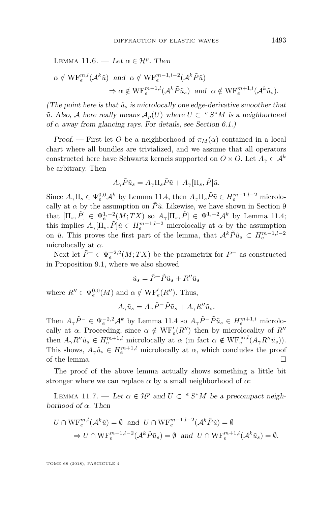LEMMA 11.6. — Let  $\alpha \in \mathcal{H}^p$ . Then

$$
\alpha \notin \mathrm{WF}^{m,l}_{e}(\mathcal{A}^k \tilde{u}) \text{ and } \alpha \notin \mathrm{WF}^{m-1,l-2}_{e}(\mathcal{A}^k \tilde{P} \tilde{u})
$$
  

$$
\Rightarrow \alpha \notin \mathrm{WF}^{m-1,l}_{e}(\mathcal{A}^k \tilde{P} \tilde{u}_s) \text{ and } \alpha \notin \mathrm{WF}^{m+1,l}_{e}(\mathcal{A}^k \tilde{u}_s).
$$

(The point here is that  $\tilde{u}_s$  is microlocally one edge-derivative smoother that  $\tilde{u}$ . Also, A here really means  $\mathcal{A}_p(U)$  where  $U \subset e^s S^*M$  is a neighborhood of  $\alpha$  away from glancing rays. For details, see Section [6.1.](#page-25-0))

Proof. — First let *O* be a neighborhood of  $\pi_M(\alpha)$  contained in a local chart where all bundles are trivialized, and we assume that all operators constructed here have Schwartz kernels supported on  $O \times O$ . Let  $A_{\gamma} \in \mathcal{A}^k$ be arbitrary. Then

$$
A_{\gamma}\tilde{P}\tilde{u}_{s} = A_{\gamma}\Pi_{s}\tilde{P}\tilde{u} + A_{\gamma}[\Pi_{s}, \tilde{P}]\tilde{u}.
$$

Since  $A_{\gamma} \Pi_s \in \Psi_e^{0,0} \mathcal{A}^k$  by Lemma [11.4,](#page-46-0) then  $A_{\gamma} \Pi_s \tilde{P} \tilde{u} \in H_e^{m-1,l-2}$  microlocally at  $\alpha$  by the assumption on  $\tilde{P}\tilde{u}$ . Likewise, we have shown in Section [9](#page-31-1) that  $[\Pi_s, \tilde{P}] \in \Psi_e^{1,-2}(M;TX)$  so  $A_{\gamma}[\Pi_s, \tilde{P}] \in \Psi_0^{1,-2}A^k$  by Lemma [11.4;](#page-46-0) this implies  $A_{\gamma}[\Pi_s, \tilde{P}]$  $\tilde{u} \in H_e^{m-1,l-2}$  microlocally at  $\alpha$  by the assumption on  $\tilde{u}$ . This proves the first part of the lemma, that  $\mathcal{A}^k \tilde{P} \tilde{u}_s \subset H_e^{m-1,l-2}$ microlocally at *α*.

Next let  $\tilde{P}^- \in \Psi_e^{-2,2}(M;TX)$  be the parametrix for  $P^-$  as constructed in Proposition [9.1,](#page-33-0) where we also showed

$$
\tilde{u}_s = \tilde{P}^- \tilde{P} \tilde{u}_s + R'' \tilde{u}_s
$$

where  $R'' \in \Psi_e^{0,0}(M)$  and  $\alpha \notin \mathrm{WF}_e'(R'')$ . Thus,

$$
A_{\gamma}\tilde{u}_s = A_{\gamma}\tilde{P}^-\tilde{P}\tilde{u}_s + A_{\gamma}R''\tilde{u}_s.
$$

Then  $A_{\gamma} \tilde{P}^- \in \Psi_e^{-2,2} \mathcal{A}^k$  by Lemma [11.4](#page-46-0) so  $A_{\gamma} \tilde{P}^- \tilde{P} \tilde{u}_s \in H_e^{m+1,l}$  microlocally at  $\alpha$ . Proceeding, since  $\alpha \notin \text{WF}_{e}'(R'')$  then by microlocality of  $R''$ then  $A_{\gamma}R''\tilde{u}_{s} \in H_{e}^{m+1,l}$  microlocally at  $\alpha$  (in fact  $\alpha \notin \text{WF}_{e}^{\infty,l}(A_{\gamma}R''\tilde{u}_{s}))$ . This shows,  $A_{\gamma}\tilde{u}_s \in H_e^{m+1,l}$  microlocally at  $\alpha$ , which concludes the proof of the lemma.

The proof of the above lemma actually shows something a little bit stronger where we can replace *α* by a small neighborhood of *α*:

<span id="page-47-0"></span>LEMMA 11.7. — Let  $\alpha \in \mathcal{H}^p$  and  $U \subset e^s S^* M$  be a precompact neighborhood of *α*. Then

$$
U \cap \operatorname{WF}_e^{m,l}(\mathcal{A}^k \tilde{u}) = \emptyset \text{ and } U \cap \operatorname{WF}_e^{m-1,l-2}(\mathcal{A}^k \tilde{P} \tilde{u}) = \emptyset
$$
  

$$
\Rightarrow U \cap \operatorname{WF}_e^{m-1,l-2}(\mathcal{A}^k \tilde{P} \tilde{u}_s) = \emptyset \text{ and } U \cap \operatorname{WF}_e^{m+1,l}(\mathcal{A}^k \tilde{u}_s) = \emptyset.
$$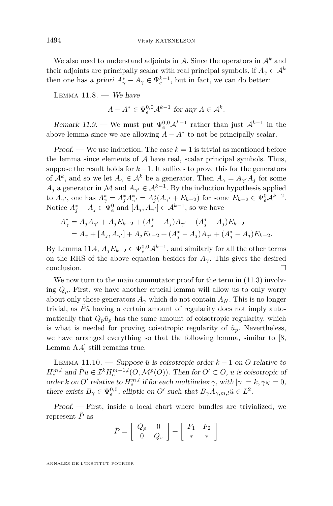We also need to understand adjoints in  $A$ . Since the operators in  $A<sup>k</sup>$  and their adjoints are principally scalar with real principal symbols, if  $A_{\gamma} \in \mathcal{A}^{k}$ then one has a priori  $A^*_{\gamma} - A_{\gamma} \in \Psi_e^{k-1}$ , but in fact, we can do better:

LEMMA  $11.8.$  - We have

 $A - A^* \in \Psi_e^{0,0} \mathcal{A}^{k-1}$  for any  $A \in \mathcal{A}^k$ .

Remark 11.9. — We must put  $\Psi_e^{0,0} A^{k-1}$  rather than just  $A^{k-1}$  in the above lemma since we are allowing  $A - A^*$  to not be principally scalar.

**Proof.** — We use induction. The case  $k = 1$  is trivial as mentioned before the lemma since elements of  $A$  have real, scalar principal symbols. Thus, suppose the result holds for  $k-1$ . It suffices to prove this for the generators of  $\mathcal{A}^k$ , and so we let  $A_\gamma \in \mathcal{A}^k$  be a generator. Then  $A_\gamma = A_{\gamma'}A_j$  for some *A*<sup>*j*</sup> a generator in *M* and  $A_{\gamma} \in \mathcal{A}^{k-1}$ . By the induction hypothesis applied to  $A_{\gamma'}$ , one has  $A_{\gamma}^* = A_j^* A_{\gamma'}^* = A_j^* (A_{\gamma'} + E_{k-2})$  for some  $E_{k-2} \in \Psi_e^0 A^{k-2}$ . Notice  $A_j^* - A_j \in \Psi_e^0$  and  $[A_j, A_{\gamma'}] \in \mathcal{A}^{k-1}$ , so we have

$$
A_{\gamma}^* = A_j A_{\gamma'} + A_j E_{k-2} + (A_j^* - A_j) A_{\gamma'} + (A_j^* - A_j) E_{k-2}
$$
  
=  $A_{\gamma} + [A_j, A_{\gamma'}] + A_j E_{k-2} + (A_j^* - A_j) A_{\gamma'} + (A_j^* - A_j) E_{k-2}.$ 

By Lemma [11.4,](#page-46-0)  $A_j E_{k-2} \in \Psi_e^{0,0} \mathcal{A}^{k-1}$ , and similarly for all the other terms on the RHS of the above equation besides for  $A_{\gamma}$ . This gives the desired conclusion.

We now turn to the main commutator proof for the term in  $(11.3)$  involving  $Q_p$ . First, we have another crucial lemma will allow us to only worry about only those generators  $A_{\gamma}$  which do not contain  $A_N$ . This is no longer trivial, as  $\tilde{P}\tilde{u}$  having a certain amount of regularity does not imply automatically that  $Q_p\tilde{u}_p$  has the same amount of coisotropic regularity, which is what is needed for proving coisotropic regularity of  $\tilde{u}_p$ . Nevertheless, we have arranged everything so that the following lemma, similar to [\[8,](#page-70-0) Lemma A.4] still remains true.

<span id="page-48-0"></span>LEMMA 11.10. — Suppose  $\tilde{u}$  is coisotropic order  $k-1$  on  $O$  relative to  $H_e^{m,l}$  and  $\tilde{P}\tilde{u} \in \mathcal{I}^k H_e^{m-1,l}(O, \mathcal{M}^p(O))$ . Then for  $O' \subset O$ , *u* is coisotropic of order *k* on *O'* relative to  $H_e^{m,l}$  if for each multiindex  $\gamma$ , with  $|\gamma| = k$ ,  $\gamma_N = 0$ , there exists  $B_{\gamma} \in \Psi_e^{0,0}$ , elliptic on *O'* such that  $B_{\gamma}A_{\gamma,m,l}\tilde{u} \in L^2$ .

Proof. — First, inside a local chart where bundles are trivialized, we represent  $\tilde{P}$  as

$$
\tilde{P} = \left[ \begin{array}{cc} Q_p & 0 \\ 0 & Q_s \end{array} \right] + \left[ \begin{array}{cc} F_1 & F_2 \\ * & * \end{array} \right]
$$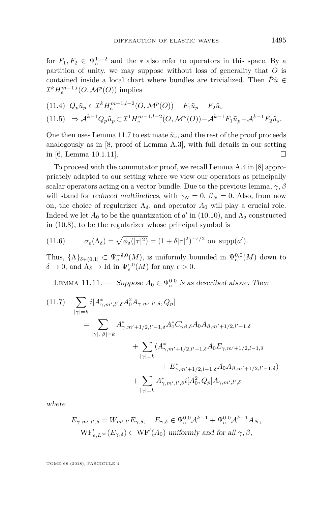for  $F_1, F_2 \in \Psi_e^{1,-2}$  and the  $*$  also refer to operators in this space. By a partition of unity, we may suppose without loss of generality that *O* is contained inside a local chart where bundles are trivialized. Then  $\tilde{P}\tilde{u} \in$  $\mathcal{I}^k H_e^{m-1,l}(O, \mathcal{M}^p(O))$  implies

$$
(11.4) \ Q_p \tilde{u}_p \in \mathcal{I}^k H_e^{m-1,l-2}(O, \mathcal{M}^p(O)) - F_1 \tilde{u}_p - F_2 \tilde{u}_s
$$
  

$$
(11.5) \Rightarrow \mathcal{A}^{k-1} Q_p \tilde{u}_p \subset \mathcal{I}^1 H_e^{m-1,l-2}(O, \mathcal{M}^p(O)) - \mathcal{A}^{k-1} F_1 \tilde{u}_p - \mathcal{A}^{k-1} F_2 \tilde{u}_s.
$$

One then uses Lemma [11.7](#page-47-0) to estimate  $\tilde{u}_s$ , and the rest of the proof proceeds analogously as in [\[8,](#page-70-0) proof of Lemma A.3], with full details in our setting in [\[6,](#page-70-6) Lemma 10.1.11].

To proceed with the commutator proof, we recall Lemma A.4 in [\[8\]](#page-70-0) appropriately adapted to our setting where we view our operators as principally scalar operators acting on a vector bundle. Due to the previous lemma, *γ, β* will stand for reduced multiindices, with  $\gamma_N = 0$ ,  $\beta_N = 0$ . Also, from now on, the choice of regularizer  $\Lambda_{\delta}$ , and operator  $A_0$  will play a crucial role. Indeed we let  $A_0$  to be the quantization of *a*' in [\(10.10\)](#page-40-2), and  $\Lambda_{\delta}$  constructed in [\(10.8\)](#page-40-3), to be the regularizer whose principal symbol is

<span id="page-49-1"></span>(11.6) 
$$
\sigma_e(\Lambda_\delta) = \sqrt{\phi_\delta(|\tau|^2)} = (1+\delta|\tau|^2)^{-\tilde{\epsilon}/2} \text{ on } \text{supp}(a').
$$

Thus,  $\{\Lambda\}_{\delta \in (0,1]} \subset \Psi_e^{-\tilde{\epsilon},0}(M)$ , is uniformly bounded in  $\Psi_e^{0,0}(M)$  down to  $\delta \to 0$ , and  $\Lambda_{\delta} \to \text{Id}$  in  $\Psi_e^{\epsilon,0}(M)$  for any  $\epsilon > 0$ .

<span id="page-49-2"></span>LEMMA 11.11. — Suppose  $A_0 \in \Psi_e^{0,0}$  is as described above. Then

<span id="page-49-0"></span>
$$
(11.7) \sum_{|\gamma|=k} i[A^*_{\gamma,m',l',\delta} A_0^2 A_{\gamma,m',l',\delta}, Q_p]
$$
  
= 
$$
\sum_{|\gamma|,|\beta|=k} A^*_{\gamma,m'+1/2,l'-1,\delta} A_0^* C'_{\gamma\beta,\delta} A_0 A_{\beta,m'+1/2,l'-1,\delta}
$$
  
+ 
$$
\sum_{|\gamma|=k} (A^*_{\gamma,m'+1/2,l'-1,\delta} A_0 E_{\gamma,m'+1/2,l-1,\delta}
$$
  
+ 
$$
E^*_{\gamma,m'+1/2,l-1,\delta} A_0 A_{\beta,m'+1/2,l'-1,\delta}
$$
  
+ 
$$
\sum_{|\gamma|=k} A^*_{\gamma,m',l',\delta} i[A_0^2, Q_p] A_{\gamma,m',l',\delta}
$$

where

$$
E_{\gamma,m',l',\delta} = W_{m',l'} E_{\gamma,\delta}, \quad E_{\gamma,\delta} \in \Psi_e^{0,0} \mathcal{A}^{k-1} + \Psi_e^{0,0} \mathcal{A}^{k-1} A_N,
$$
  
\n
$$
WF'_{e,L^\infty}(E_{\gamma,\delta}) \subset WF'(A_0) \text{ uniformly and for all } \gamma, \beta,
$$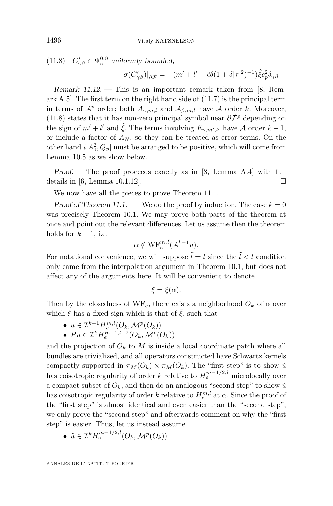<span id="page-50-0"></span>(11.8)  $C'_{\gamma\beta} \in \Psi_e^{0,0}$  uniformly bounded,

$$
\sigma(C'_{\gamma\beta})|_{\partial\dot{\mathcal{F}}} = -(m'+l'-\tilde{\epsilon}\delta(1+\delta|\tau|^2)^{-1})\hat{\xi}c_p^2\delta_{\gamma\beta}
$$

Remark 11.12. — This is an important remark taken from [\[8,](#page-70-0) Remark A.5]. The first term on the right hand side of [\(11.7\)](#page-49-0) is the principal term in terms of  $\mathcal{A}^p$  order; both  $A_{\gamma,m,l}$  and  $\mathcal{A}_{\beta,m,l}$  have  $\mathcal A$  order *k*. Moreover, [\(11.8\)](#page-50-0) states that it has non-zero principal symbol near  $\partial \dot{\mathcal{F}}^p$  depending on the sign of  $m' + l'$  and  $\hat{\xi}$ . The terms involving  $E_{\gamma,m',l'}$  have A order  $k-1$ , or include a factor of  $A_N$ , so they can be treated as error terms. On the other hand  $i[A_0^2, Q_p]$  must be arranged to be positive, which will come from Lemma [10.5](#page-40-0) as we show below.

Proof. — The proof proceeds exactly as in [\[8,](#page-70-0) Lemma A.4] with full details in [\[6,](#page-70-6) Lemma 10.1.12].

We now have all the pieces to prove Theorem [11.1.](#page-44-1)

Proof of Theorem [11.1.](#page-44-1) — We do the proof by induction. The case  $k = 0$ was precisely Theorem [10.1.](#page-35-0) We may prove both parts of the theorem at once and point out the relevant differences. Let us assume then the theorem holds for  $k-1$ , i.e.

$$
\alpha \notin \mathrm{WF}_e^{m,\tilde{l}}(\mathcal{A}^{k-1}u).
$$

For notational convenience, we will suppose  $\tilde{l} = l$  since the  $\tilde{l} < l$  condition only came from the interpolation argument in Theorem [10.1,](#page-35-0) but does not affect any of the arguments here. It will be convenient to denote

$$
\bar{\xi} = \xi(\alpha).
$$

Then by the closedness of  $WF_e$ , there exists a neighborhood  $O_k$  of  $\alpha$  over which  $\xi$  has a fixed sign which is that of  $\overline{\xi}$ , such that

- $\bullet$  *u* ∈  $\mathcal{I}^{k-1}H_e^{m,l}(O_k, \mathcal{M}^p(O_k))$
- $\bullet$  *Pu* ∈  $\mathcal{I}^k H_e^{m-1,l-2}(O_k, \mathcal{M}^p(O_k))$

and the projection of  $O_k$  to  $M$  is inside a local coordinate patch where all bundles are trivialized, and all operators constructed have Schwartz kernels compactly supported in  $\pi_M(O_k) \times \pi_M(O_k)$ . The "first step" is to show  $\tilde{u}$ has coisotropic regularity of order *k* relative to  $H_e^{m-1/2,l}$  microlocally over a compact subset of  $O_k$ , and then do an analogous "second step" to show  $\tilde{u}$ has coisotropic regularity of order *k* relative to  $H_e^{m,l}$  at  $\alpha$ . Since the proof of the "first step" is almost identical and even easier than the "second step", we only prove the "second step" and afterwards comment on why the "first step" is easier. Thus, let us instead assume

•  $\tilde{u} \in \mathcal{I}^k H_e^{m-1/2,l}(O_k, \mathcal{M}^p(O_k))$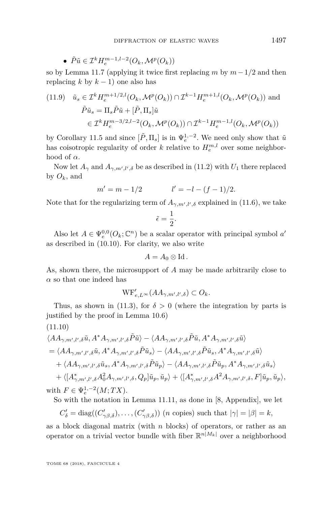• 
$$
\tilde{P}\tilde{u} \in \mathcal{I}^k H_e^{m-1,l-2}(O_k, \mathcal{M}^p(O_k))
$$

so by Lemma [11.7](#page-47-0) (applying it twice first replacing *m* by *m*−1*/*2 and then replacing  $k$  by  $k-1$ ) one also has

<span id="page-51-1"></span>(11.9) 
$$
\tilde{u}_s \in \mathcal{I}^k H_e^{m+1/2,l}(O_k, \mathcal{M}^p(O_k)) \cap \mathcal{I}^{k-1} H_e^{m+1,l}(O_k, \mathcal{M}^p(O_k))
$$
 and  
\n $\tilde{P}\tilde{u}_s = \Pi_s \tilde{P}\tilde{u} + [\tilde{P}, \Pi_s] \tilde{u}$   
\n $\in \mathcal{I}^k H_e^{m-3/2,l-2}(O_k, \mathcal{M}^p(O_k)) \cap \mathcal{I}^{k-1} H_e^{m-1,l}(O_k, \mathcal{M}^p(O_k))$ 

by Corollary [11.5](#page-46-1) and since  $[\tilde{P}, \Pi_s]$  is in  $\Psi_e^{1,-2}$ . We need only show that  $\tilde{u}$ has coisotropic regularity of order *k* relative to  $H_e^{m,l}$  over some neighborhood of  $\alpha$ .

Now let  $A_{\gamma}$  and  $A_{\gamma,m',l',\delta}$  be as described in [\(11.2\)](#page-45-1) with  $U_1$  there replaced by  $O_k$ , and

$$
m' = m - 1/2 \qquad l' = -l - (f - 1)/2.
$$

Note that for the regularizing term of  $A_{\gamma,m',l',\delta}$  explained in [\(11.6\)](#page-49-1), we take

$$
\tilde{\epsilon}=\frac{1}{2}.
$$

Also let  $A \in \Psi_e^{0,0}(O_k; \mathbb{C}^n)$  be a scalar operator with principal symbol  $a'$ as described in [\(10.10\)](#page-40-2). For clarity, we also write

$$
A=A_0\otimes \mathrm{Id}.
$$

As, shown there, the microsupport of *A* may be made arbitrarily close to  $\alpha$  so that one indeed has

$$
\mathrm{WF}_{e,L^{\infty}}'(AA_{\gamma,m',l',\delta}) \subset O_k.
$$

Thus, as shown in [\(11.3\)](#page-45-0), for  $\delta > 0$  (where the integration by parts is justified by the proof in Lemma [10.6\)](#page-41-3)

<span id="page-51-0"></span>
$$
(11.10)
$$

$$
\langle AA_{\gamma,m',l',\delta}\tilde{u}, A^*A_{\gamma,m',l',\delta}\tilde{P}\tilde{u}\rangle - \langle AA_{\gamma,m',l',\delta}\tilde{P}\tilde{u}, A^*A_{\gamma,m',l',\delta}\tilde{u}\rangle
$$
  
\n
$$
= \langle AA_{\gamma,m',l',\delta}\tilde{u}, A^*A_{\gamma,m',l',\delta}\tilde{P}\tilde{u}_s\rangle - \langle AA_{\gamma,m',l',\delta}\tilde{P}\tilde{u}_s, A^*A_{\gamma,m',l',\delta}\tilde{u}\rangle
$$
  
\n
$$
+ \langle AA_{\gamma,m',l',\delta}\tilde{u}_s, A^*A_{\gamma,m',l',\delta}\tilde{P}\tilde{u}_p\rangle - \langle AA_{\gamma,m',l',\delta}\tilde{P}\tilde{u}_p, A^*A_{\gamma,m',l',\delta}\tilde{u}_s\rangle
$$
  
\n
$$
+ \langle [A^*_{\gamma,m',l',\delta}A_0^2A_{\gamma,m',l',\delta}, Q_p]\tilde{u}_p, \tilde{u}_p\rangle + \langle [A^*_{\gamma,m',l',\delta}A^2A_{\gamma,m',l',\delta}, F]\tilde{u}_p, \tilde{u}_p\rangle,
$$
  
\nwith  $F \in \Psi_e^{1,-2}(M;TX).$ 

So with the notation in Lemma [11.11,](#page-49-2) as done in [\[8,](#page-70-0) Appendix], we let

$$
C'_{\delta} = \text{diag}((C'_{\gamma\beta,\delta}), \ldots, (C'_{\gamma\beta,\delta}))
$$
 (*n* copies) such that  $|\gamma| = |\beta| = k$ ,

as a block diagonal matrix (with *n* blocks) of operators, or rather as an operator on a trivial vector bundle with fiber  $\mathbb{R}^{n|M_k|}$  over a neighborhood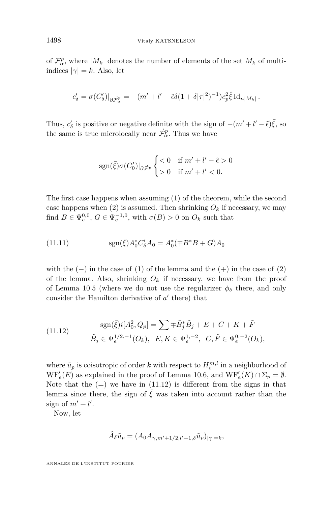of  $\mathcal{F}_{\alpha}^p$ , where  $|M_k|$  denotes the number of elements of the set  $M_k$  of multiindices  $|\gamma| = k$ . Also, let

$$
c'_{\delta} = \sigma(C'_{\delta})|_{\partial \dot{\mathcal{F}}^p_{\alpha}} = -(m' + l' - \tilde{\epsilon}\delta(1+\delta|\tau|^2)^{-1})c_p^2 \hat{\xi} \operatorname{Id}_{n|M_k|}.
$$

Thus,  $c'_{\delta}$  is positive or negative definite with the sign of  $-(m'+l'-\tilde{\epsilon})\bar{\xi}$ , so the same is true microlocally near  $\dot{\mathcal{F}}^p_\alpha$ . Thus we have

$$
sgn(\bar{\xi})\sigma(C'_0)|_{\partial\bar{\mathcal{F}}^p}\begin{cases} <0 & \text{if } m'+l'-\tilde{\epsilon} > 0\\ >0 & \text{if } m'+l' < 0. \end{cases}
$$

The first case happens when assuming [\(1\)](#page-44-0) of the theorem, while the second case happens when  $(2)$  is assumed. Then shrinking  $O_k$  if necessary, we may find  $B \in \Psi_e^{0,0}$ ,  $G \in \Psi_e^{-1,0}$ , with  $\sigma(B) > 0$  on  $O_k$  such that

<span id="page-52-1"></span>(11.11) 
$$
\text{sgn}(\bar{\xi})A_0^*C_{\delta}'A_0 = A_0^*(\mp B^*B + G)A_0
$$

with the  $(-)$  in the case of  $(1)$  of the lemma and the  $(+)$  in the case of  $(2)$ of the lemma. Also, shrinking  $O_k$  if necessary, we have from the proof of Lemma [10.5](#page-40-0) (where we do not use the regularizer  $\phi_{\delta}$  there, and only consider the Hamilton derivative of  $a'$  there) that

<span id="page-52-0"></span>(11.12) 
$$
\text{sgn}(\bar{\xi})i[A_0^2, Q_p] = \sum \mp \tilde{B}_j^* \tilde{B}_j + E + C + K + \tilde{F}
$$

$$
\tilde{B}_j \in \Psi_e^{1/2, -1}(O_k), \ E, K \in \Psi_e^{1, -2}, \ C, \tilde{F} \in \Psi_e^{0, -2}(O_k),
$$

where  $\tilde{u}_p$  is coisotropic of order *k* with respect to  $H_e^{m,l}$  in a neighborhood of  $WF'_{e}(E)$  as explained in the proof of Lemma [10.6,](#page-41-3) and  $WF'_{e}(K) \cap \Sigma_{p} = \emptyset$ . Note that the  $($ ∓) we have in  $(11.12)$  is different from the signs in that lemma since there, the sign of  $\bar{\xi}$  was taken into account rather than the sign of  $m' + l'$ .

Now, let

$$
\hat{A}_{\delta}\tilde{u}_p = (A_0 A_{\gamma,m'+1/2,l'-1,\delta}\tilde{u}_p)|_{\gamma|=k},
$$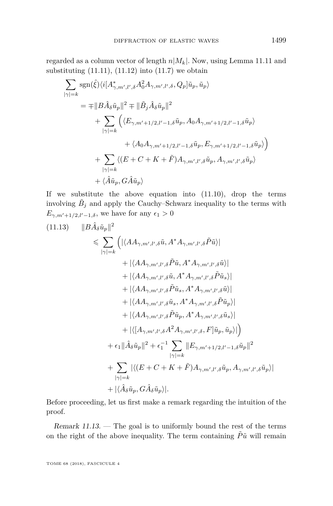regarded as a column vector of length  $n|M_k|$ . Now, using Lemma [11.11](#page-49-2) and substituting  $(11.11)$ ,  $(11.12)$  into  $(11.7)$  we obtain

$$
\sum_{|\gamma|=k} \operatorname{sgn}(\hat{\xi}) \langle i[A^*_{\gamma,m',l',\delta} A^2_0 A_{\gamma,m',l',\delta}, Q_p] \tilde{u}_p, \tilde{u}_p \rangle
$$
\n
$$
= \mp \|B\hat{A}_{\delta} \tilde{u}_p\|^2 \mp \|\tilde{B}_{j} \hat{A}_{\delta} \tilde{u}_p\|^2
$$
\n
$$
+ \sum_{|\gamma|=k} \left( \langle E_{\gamma,m'+1/2,l'-1,\delta} \tilde{u}_p, A_0 A_{\gamma,m'+1/2,l'-1,\delta} \tilde{u}_p \rangle \right.
$$
\n
$$
+ \langle A_0 A_{\gamma,m'+1/2,l'-1,\delta} \tilde{u}_p, E_{\gamma,m'+1/2,l'-1,\delta} \tilde{u}_p \rangle \right)
$$
\n
$$
+ \sum_{|\gamma|=k} \langle (E + C + K + \tilde{F}) A_{\gamma,m',l',\delta} \tilde{u}_p, A_{\gamma,m',l',\delta} \tilde{u}_p \rangle
$$
\n
$$
+ \langle \hat{A} \tilde{u}_p, G \hat{A} \tilde{u}_p \rangle
$$

If we substitute the above equation into [\(11.10\)](#page-51-0), drop the terms involving  $\tilde{B}_j$  and apply the Cauchy–Schwarz inequality to the terms with *E*<sub> $\gamma$ *,m*<sup> $\prime$ </sup>+1/2*,l*<sup> $\prime$ </sup>-1*,δ*, we have for any  $\epsilon_1 > 0$ </sub>

<span id="page-53-0"></span>
$$
(11.13) \quad ||B\hat{A}_{\delta}\tilde{u}_{p}||^{2} \leq \sum_{|\gamma|=k} \left( |\langle A A_{\gamma,m',l',\delta}\tilde{u}, A^{*} A_{\gamma,m',l',\delta}\tilde{P}\tilde{u} \rangle| + |\langle A A_{\gamma,m',l',\delta}\tilde{P}\tilde{u}, A^{*} A_{\gamma,m',l',\delta}\tilde{u} \rangle| + |\langle A A_{\gamma,m',l',\delta}\tilde{u}, A^{*} A_{\gamma,m',l',\delta}\tilde{P}\tilde{u}_{s} \rangle| + |\langle A A_{\gamma,m',l',\delta}\tilde{P}\tilde{u}_{s}, A^{*} A_{\gamma,m',l',\delta}\tilde{P}\tilde{u}_{s} \rangle| + |\langle A A_{\gamma,m',l',\delta}\tilde{P}\tilde{u}_{s}, A^{*} A_{\gamma,m',l',\delta}\tilde{P}\tilde{u}_{p} \rangle| + |\langle A A_{\gamma,m',l',\delta}\tilde{P}\tilde{u}_{p}, A^{*} A_{\gamma,m',l',\delta}\tilde{P}\tilde{u}_{p} \rangle| + |\langle A_{\gamma,m',l',\delta}A^{2} A_{\gamma,m',l',\delta}, F]\tilde{u}_{p}, \tilde{u}_{p} \rangle| \right) + \epsilon_{1} \|\hat{A}_{\delta}\tilde{u}_{p}\|^{2} + \epsilon_{1}^{-1} \sum_{|\gamma|=k} ||E_{\gamma,m'+1/2,l'-1,\delta}\tilde{u}_{p}||^{2} + \sum_{|\gamma|=k} |\langle (E + C + K + \tilde{F}) A_{\gamma,m',l',\delta}\tilde{u}_{p}, A_{\gamma,m',l',\delta}\tilde{u}_{p} \rangle| + |\langle \hat{A}_{\delta}\tilde{u}_{p}, G\hat{A}_{\delta}\tilde{u}_{p} \rangle|.
$$

Before proceeding, let us first make a remark regarding the intuition of the proof.

 $Remark 11.13.$  — The goal is to uniformly bound the rest of the terms on the right of the above inequality. The term containing  $\tilde{P} \tilde{u}$  will remain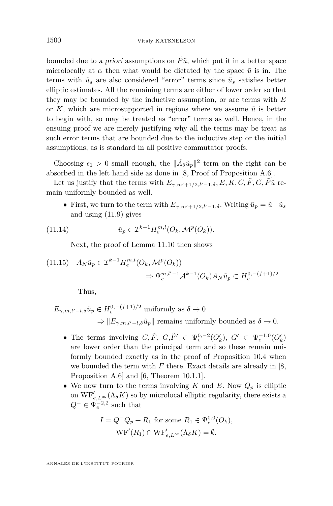bounded due to a priori assumptions on  $\tilde{P}\tilde{u}$ , which put it in a better space microlocally at  $\alpha$  then what would be dictated by the space  $\tilde{u}$  is in. The terms with  $\tilde{u}_s$  are also considered "error" terms since  $\tilde{u}_s$  satisfies better elliptic estimates. All the remaining terms are either of lower order so that they may be bounded by the inductive assumption, or are terms with *E* or  $K$ , which are microsupported in regions where we assume  $\tilde{u}$  is better to begin with, so may be treated as "error" terms as well. Hence, in the ensuing proof we are merely justifying why all the terms may be treat as such error terms that are bounded due to the inductive step or the initial assumptions, as is standard in all positive commutator proofs.

Choosing  $\epsilon_1 > 0$  small enough, the  $\|\hat{A}_{\delta}\tilde{u}_p\|^2$  term on the right can be absorbed in the left hand side as done in [\[8,](#page-70-0) Proof of Proposition A.6].

Let us justify that the terms with  $E_{\gamma,m'+1/2,l'-1,\delta}$ ,  $E, K, C, \tilde{F}, G, \tilde{P}\tilde{u}$  remain uniformly bounded as well.

• First, we turn to the term with  $E_{\gamma,m'+1/2,l'-1,\delta}$ . Writing  $\tilde{u}_p = \tilde{u} - \tilde{u}_s$ and using [\(11.9\)](#page-51-1) gives

(11.14) 
$$
\tilde{u}_p \in \mathcal{I}^{k-1} H_e^{m,l}(O_k, \mathcal{M}^p(O_k)).
$$

Next, the proof of Lemma [11.10](#page-48-0) then shows

<span id="page-54-0"></span>
$$
(11.15) \quad A_N \tilde{u}_p \in \mathcal{I}^{k-1} H_e^{m,l}(O_k, \mathcal{M}^p(O_k))
$$
  

$$
\Rightarrow \Psi_e^{m,l'-1} \mathcal{A}^{k-1}(O_k) A_N \tilde{u}_p \subset H_e^{0,-(f+1)/2}
$$

Thus,

$$
E_{\gamma,m,l'-l,\delta}\tilde{u}_p \in H_e^{0,-(f+1)/2} \text{ uniformly as } \delta \to 0
$$
  

$$
\Rightarrow ||E_{\gamma,m,l'-l,\delta}\tilde{u}_p|| \text{ remains uniformly bounded as } \delta \to 0.
$$

- The terms involving  $C, \tilde{F}, G, \tilde{F}' \in \Psi_e^{0,-2}(O'_k), G' \in \Psi_e^{-1,0}(O'_k)$ are lower order than the principal term and so these remain uniformly bounded exactly as in the proof of Proposition [10.4](#page-38-2) when we bounded the term with *F* there. Exact details are already in [\[8,](#page-70-0) Proposition A.6] and [\[6,](#page-70-6) Theorem 10.1.1].
- We now turn to the terms involving  $K$  and  $E$ . Now  $Q_p$  is elliptic on  $\mathrm{WF}_{e,L^{\infty}}'(\Lambda_{\delta}K)$  so by microlocal elliptic regularity, there exists a  $Q^- \in \Psi_e^{-2,2}$  such that

$$
I = Q^{-}Q_{p} + R_{1} \text{ for some } R_{1} \in \Psi_{e}^{0,0}(O_{k}),
$$
  

$$
WF'(R_{1}) \cap WF'_{e,L^{\infty}}(\Lambda_{\delta} K) = \emptyset.
$$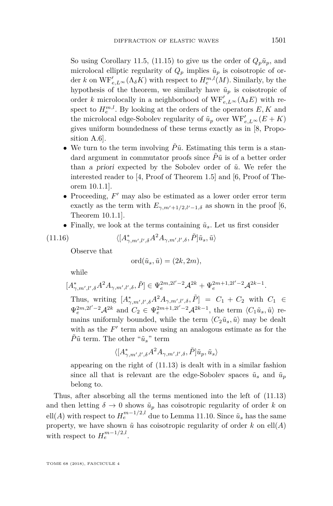So using Corollary [11.5,](#page-46-1) [\(11.15\)](#page-54-0) to give us the order of  $Q_p\tilde{u}_p$ , and microlocal elliptic regularity of  $Q_p$  implies  $\tilde{u}_p$  is coisotropic of order *k* on  $\text{WF}_{e,L}^{\prime} \infty(\Lambda_{\delta} K)$  with respect to  $H_{e}^{m,l}(M)$ . Similarly, by the hypothesis of the theorem, we similarly have  $\tilde{u}_p$  is coisotropic of order *k* microlocally in a neighborhood of  $\mathrm{WF}_{e,L^{\infty}}'(\Lambda_{\delta}E)$  with respect to  $H_e^{m,l}$ . By looking at the orders of the operators  $E, K$  and the microlocal edge-Sobolev regularity of  $\tilde{u}_p$  over  $\mathrm{WF}_{e,L^{\infty}}'(E+K)$ gives uniform boundedness of these terms exactly as in [\[8,](#page-70-0) Proposition A.6].

- We turn to the term involving  $\tilde{P}\tilde{u}$ . Estimating this term is a standard argument in commutator proofs since  $\tilde{P}\tilde{u}$  is of a better order than a priori expected by the Sobolev order of  $\tilde{u}$ . We refer the interested reader to [\[4,](#page-70-5) Proof of Theorem 1.5] and [\[6,](#page-70-6) Proof of Theorem 10.1.1].
- Proceeding,  $F'$  may also be estimated as a lower order error term exactly as the term with  $E_{\gamma,m'+1/2,l'-1,\delta}$  as shown in the proof [\[6,](#page-70-6) Theorem 10.1.1].
- Finally, we look at the terms containing  $\tilde{u}_s$ . Let us first consider

(11.16) 
$$
\langle [A^*_{\gamma,m',l',\delta} A^2 A_{\gamma,m',l',\delta}, \tilde{P}] \tilde{u}_s, \tilde{u} \rangle
$$

Observe that

$$
\mathrm{ord}(\tilde{u}_s, \tilde{u}) = (2k, 2m),
$$

while

$$
[A^*_{\gamma,m',l',\delta}A^2A_{\gamma,m',l',\delta},\tilde{P}]\in \Psi_e^{2m,2l'-2}\mathcal{A}^{2k}+\Psi_e^{2m+1,2l'-2}\mathcal{A}^{2k-1}.
$$

Thus, writing  $[A^*_{\gamma,m',l',\delta}A^2A_{\gamma,m',l',\delta}, \tilde{P}] = C_1 + C_2$  with  $C_1 \in$  $\Psi_e^{2m,2l'-2} \mathcal{A}^{2k}$  and  $C_2 \in \Psi_e^{2m+1,2l'-2} \mathcal{A}^{2k-1}$ , the term  $\langle C_1 \tilde{u}_s, \tilde{u} \rangle$  remains uniformly bounded, while the term  $\langle C_2 \tilde{u}_s, \tilde{u} \rangle$  may be dealt with as the  $F'$  term above using an analogous estimate as for the  $\tilde{P}\tilde{u}$  term. The other " $\tilde{u}_s$ " term

$$
\langle [A_{\gamma,m',l',\delta}^*A^2A_{\gamma,m',l',\delta},\tilde{P}]\tilde{u}_p,\tilde{u}_s\rangle
$$

appearing on the right of [\(11.13\)](#page-53-0) is dealt with in a similar fashion since all that is relevant are the edge-Sobolev spaces  $\tilde{u}_s$  and  $\tilde{u}_p$ belong to.

Thus, after absorbing all the terms mentioned into the left of [\(11.13\)](#page-53-0) and then letting  $\delta \to 0$  shows  $\tilde{u}_p$  has coisotropic regularity of order *k* on ell $(A)$  with respect to  $H_e^{m-1/2,l}$  due to Lemma [11.10.](#page-48-0) Since  $\tilde{u}_s$  has the same property, we have shown  $\tilde{u}$  has coisotropic regularity of order  $k$  on ell $(A)$ with respect to  $H_e^{m-1/2,l}$ .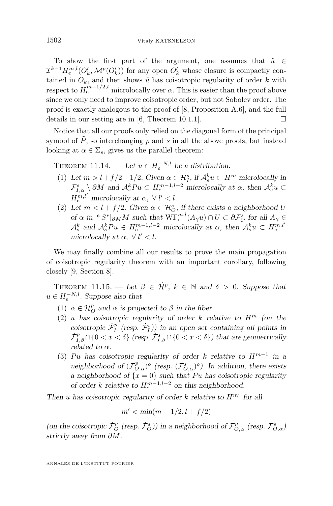To show the first part of the argument, one assumes that  $\tilde{u} \in$  $\mathcal{I}^{k-1}H_e^{m,l}(O'_k, \mathcal{M}^p(O'_k))$  for any open  $O'_k$  whose closure is compactly contained in  $O_k$ , and then shows  $\tilde{u}$  has coisotropic regularity of order  $k$  with respect to  $H_e^{m-1/2,l}$  microlocally over  $\alpha$ . This is easier than the proof above since we only need to improve coisotropic order, but not Sobolev order. The proof is exactly analogous to the proof of [\[8,](#page-70-0) Proposition A.6], and the full details in our setting are in [\[6,](#page-70-6) Theorem 10.1.1].

Notice that all our proofs only relied on the diagonal form of the principal symbol of  $\tilde{P}$ , so interchanging  $p$  and  $s$  in all the above proofs, but instead looking at  $\alpha \in \Sigma_s$ , gives us the parallel theorem:

THEOREM 11.14. — Let  $u \in H_e^{-N,l}$  be a distribution.

- (1) Let  $m > l + f/2 + 1/2$ . Given  $\alpha \in \mathcal{H}_I^s$ , if  $\mathcal{A}_s^k u \subset H^m$  microlocally in  $\mathcal{F}_{1,\alpha}^{s} \setminus \partial M$  and  $\mathcal{A}_{s}^{k}Pu \subset H_{e}^{m-1,l-2}$  microlocally at *α*, then  $\mathcal{A}_{s}^{k}u \subset$  $H_e^{m,l'}$  microlocally at  $\alpha, \forall l' < l$ .
- (2) Let  $m < l + f/2$ . Given  $\alpha \in \mathcal{H}_O^s$ , if there exists a neighborhood *U* of  $\alpha$  in <sup>*e*</sup>  $S^*|_{\partial M}M$  such that  $\text{WF}_{e}^{m,l}(A_\gamma u) \cap U \subset \partial \mathcal{F}_{O}^s$  for all  $A_\gamma \in$  $A_s^k$  and  $A_s^k P u \in H_e^{m-1,l-2}$  microlocally at  $\alpha$ , then  $A_s^k u \subset H_e^{m,l'}$ microlocally at  $\alpha$ ,  $\forall$   $l' < l$ .

We may finally combine all our results to prove the main propagation of coisotropic regularity theorem with an important corollary, following closely [\[9,](#page-70-4) Section 8].

<span id="page-56-0"></span>THEOREM 11.15. — Let  $\beta \in \dot{\mathcal{H}}^p$ ,  $k \in \mathbb{N}$  and  $\delta > 0$ . Suppose that  $u \in H_e^{-N,l}$ . Suppose also that

- (1)  $\alpha \in \mathcal{H}_O^p$  and  $\alpha$  is projected to  $\beta$  in the fiber.
- (2) *u* has coisotropic regularity of order *k* relative to  $H^m$  (on the coisotropic  $\dot{\mathcal{F}}_I^p$  (resp.  $\dot{\mathcal{F}}_I^s$ )) in an open set containing all points in  $\dot{\mathcal{F}}_{I,\beta}^p \cap \{0 < x < \delta\}$  (resp.  $\dot{\mathcal{F}}_{I,\beta}^s \cap \{0 < x < \delta\}$ ) that are geometrically related to  $\alpha$ .
- (3) Pu has coisotropic regularity of order *k* relative to  $H^{m-1}$  in a neighborhood of  $(\mathcal{F}_{O,\alpha}^p)^o$  (resp.  $(\mathcal{F}_{O,\alpha}^s)^o$ ). In addition, there exists a neighborhood of  $\{x = 0\}$  such that Pu has coisotropic regularity of order *k* relative to  $H_e^{m-1,l-2}$  on this neighborhood.

Then *u* has coisotropic regularity of order *k* relative to  $H^{m'}$  for all

$$
m' < \min(m - 1/2, l + f/2)
$$

(on the coisotropic  $\dot{\mathcal{F}}^p_O$  (resp.  $\dot{\mathcal{F}}^s_O$ )) in a neighborhood of  $\mathcal{F}^p_{O,\alpha}$  (resp.  $\mathcal{F}^s_{O,\alpha}$ ) strictly away from *∂M*.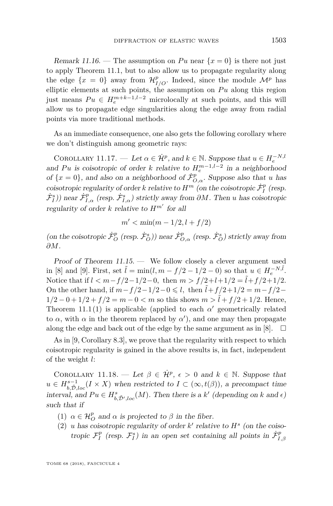Remark 11.16. — The assumption on Pu near  $\{x=0\}$  is there not just to apply Theorem [11.1,](#page-44-1) but to also allow us to propagate regularity along the edge  $\{x = 0\}$  away from  $\mathcal{H}_{I/O}^p$ . Indeed, since the module  $\mathcal{M}^p$  has elliptic elements at such points, the assumption on  $Pu$  along this region just means  $Pu \in H_e^{m+k-1,l-2}$  microlocally at such points, and this will allow us to propagate edge singularities along the edge away from radial points via more traditional methods.

As an immediate consequence, one also gets the following corollary where we don't distinguish among geometric rays:

COROLLARY 11.17. — Let  $\alpha \in \mathcal{H}^p$ , and  $k \in \mathbb{N}$ . Suppose that  $u \in H_e^{-N,l}$ and Pu is coisotropic of order *k* relative to  $H_e^{m-1,l-2}$  in a neighborhood of  $\{x = 0\}$ , and also on a neighborhood of  $\dot{\mathcal{F}}_{O,\alpha}^p$ . Suppose also that *u* has coisotropic regularity of order *k* relative to  $H^m$  (on the coisotropic  $\dot{\mathcal{F}}^p_I$  (resp.  $(\dot{F}_I^s)$ ) near  $\dot{\mathcal{F}}_{I,\alpha}^p$  (resp.  $\dot{\mathcal{F}}_{I,\alpha}^s$ ) strictly away from  $\partial M$ . Then *u* has coisotropic regularity of order  $k$  relative to  $H^{m'}$  for all

$$
m' < \min(m - 1/2, l + f/2)
$$

(on the coisotropic  $\dot{\mathcal{F}}^p_O$  (resp.  $\dot{\mathcal{F}}^s_O$ )) near  $\dot{\mathcal{F}}^p_{O,\alpha}$  (resp.  $\dot{\mathcal{F}}^s_O$ ) strictly away from *∂M*.

Proof of Theorem [11.15.](#page-56-0) — We follow closely a clever argument used in [\[8\]](#page-70-0) and [\[9\]](#page-70-4). First, set  $\tilde{l} = \min(l, m - f/2 - 1/2 - 0)$  so that  $u \in H_e^{-N, \tilde{l}}$ . Notice that if  $l < m-f/2-1/2-0$ , then  $m > f/2+l+1/2 = \tilde{l}+f/2+1/2$ . On the other hand, if  $m - f/2 - 1/2 - 0 \le l$ , then  $l + f/2 + 1/2 = m - f/2 - 1/2$  $1/2 - 0 + 1/2 + f/2 = m - 0 < m$  so this shows  $m > \tilde{l} + f/2 + 1/2$ . Hence, Theorem [11.1](#page-44-1)[\(1\)](#page-44-0) is applicable (applied to each  $\alpha'$  geometrically related to  $\alpha$ , with  $\alpha$  in the theorem replaced by  $\alpha'$ ), and one may then propagate along the edge and back out of the edge by the same argument as in [\[8\]](#page-70-0).  $\Box$ 

As in [\[9,](#page-70-4) Corollary 8.3], we prove that the regularity with respect to which coisotropic regularity is gained in the above results is, in fact, independent of the weight *l*:

<span id="page-57-0"></span>COROLLARY 11.18. — Let  $\beta \in \dot{\mathcal{H}}^p$ ,  $\epsilon > 0$  and  $k \in \mathbb{N}$ . Suppose that  $u \in H_{b,\tilde{D},loc}^{s-1}(I \times X)$  when restricted to  $I \subset (\infty, t(\beta))$ , a precompact time interval, and  $Pu \in H^s_{b,\tilde{D}',loc}(M)$ . Then there is a *k'* (depending on *k* and  $\epsilon$ ) such that if

- (1)  $\alpha \in \mathcal{H}_{O}^p$  and  $\alpha$  is projected to  $\beta$  in the fiber.
- (2) *u* has coisotropic regularity of order  $k'$  relative to  $H^s$  (on the coisotropic  $\mathcal{F}_I^p$  (resp.  $\mathcal{F}_I^s$ ) in an open set containing all points in  $\dot{\mathcal{F}}_{I,\beta}^p$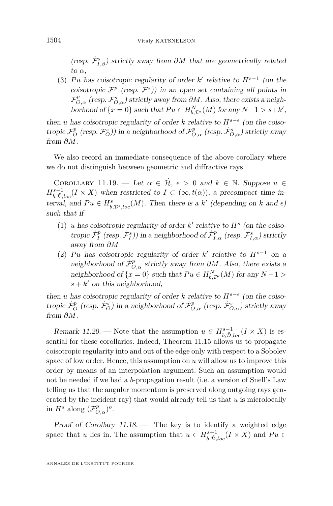(resp.  $\dot{\mathcal{F}}^s_{I,\beta}$ ) strictly away from  $\partial M$  that are geometrically related to *α*,

(3) Pu has coisotropic regularity of order  $k'$  relative to  $H^{s-1}$  (on the coisotropic  $\mathcal{F}^p$  (resp.  $\mathcal{F}^s$ )) in an open set containing all points in  $\mathcal{F}^p_{O,\alpha}$  (resp.  $\mathcal{F}^s_{O,\alpha}$ ) strictly away from  $\partial M$ . Also, there exists a neighborhood of  $\{x = 0\}$  such that  $Pu \in H_{b, \mathcal{D}'}^N(M)$  for any  $N - 1 > s + k'$ ,

then *u* has coisotropic regularity of order *k* relative to  $H^{s-\epsilon}$  (on the coiso- $\sigma_{O}^p(\text{resp. } \mathcal{F}^p_{O})$ ) in a neighborhood of  $\mathcal{F}^p_{O,\alpha}$  (resp.  $\dot{\mathcal{F}}^s_{O,\alpha}$ ) strictly away from *∂M*.

We also record an immediate consequence of the above corollary where we do not distinguish between geometric and diffractive rays.

COROLLARY 11.19. — Let  $\alpha \in \mathcal{H}, \epsilon > 0$  and  $k \in \mathbb{N}$ . Suppose  $u \in$  $H_{b,\tilde{D},loc}^{s-1}(I \times X)$  when restricted to  $I \subset (\infty, t(\alpha))$ , a precompact time interval, and  $Pu \in H^s_{b,\tilde{D}',loc}(M)$ . Then there is a *k'* (depending on *k* and  $\epsilon$ ) such that if

- (1) *u* has coisotropic regularity of order  $k'$  relative to  $H^s$  (on the coiso- $\textrm{tropic}\ \dot{\mathcal{F}}^p_I$  (resp.  $\dot{\mathcal{F}}^s_I$ )) in a neighborhood of  $\dot{\mathcal{F}}^p_{I,\alpha}$  (resp.  $\dot{\mathcal{F}}^s_{I,\alpha}$ ) strictly away from *∂M*
- (2) Pu has coisotropic regularity of order  $k'$  relative to  $H^{s-1}$  on a neighborhood of  $\dot{\mathcal{F}}_{O,\alpha}^p$  strictly away from  $\partial M$ . Also, there exists a neighborhood of  $\{x = 0\}$  such that  $Pu \in H_{b, \mathcal{D}'}^N(M)$  for any  $N - 1 >$  $s + k'$  on this neighborhood,

then *u* has coisotropic regularity of order *k* relative to  $H^{s-\epsilon}$  (on the coisotropic  $\dot{\mathcal{F}}^p_O$  (resp.  $\dot{\mathcal{F}}^s_O$ ) in a neighborhood of  $\dot{\mathcal{F}}^p_{O,\alpha}$  (resp.  $\dot{\mathcal{F}}^s_{O,\alpha}$ ) strictly away from *∂M*.

Remark 11.20. — Note that the assumption  $u \in H_{b,\tilde{D},loc}^{s-1}(I \times X)$  is essential for these corollaries. Indeed, Theorem [11.15](#page-56-0) allows us to propagate coisotropic regularity into and out of the edge only with respect to a Sobolev space of low order. Hence, this assumption on *u* will allow us to improve this order by means of an interpolation argument. Such an assumption would not be needed if we had a *b*-propagation result (i.e. a version of Snell's Law telling us that the angular momentum is preserved along outgoing rays generated by the incident ray) that would already tell us that *u* is microlocally in  $H^s$  along  $(\mathcal{F}_{O,\alpha}^p)^o$ .

Proof of Corollary [11.18.](#page-57-0) — The key is to identify a weighted edge space that *u* lies in. The assumption that  $u \in H^{s-1}_{b,\tilde{D},loc}(I \times X)$  and  $Pu \in$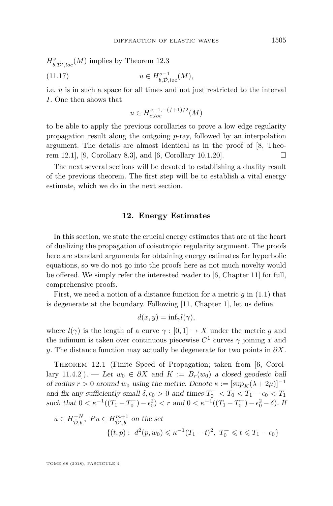$H_{b,\tilde{\mathcal{D}}',loc}^s(M)$  implies by Theorem [12.3](#page-60-0)

$$
(11.17) \t u \in H^{s-1}_{b,\tilde{\mathcal{D}},loc}(M),
$$

i.e. *u* is in such a space for all times and not just restricted to the interval *I*. One then shows that

$$
u\in H^{s-1,-(f+1)/2}_{e,loc}(M)
$$

to be able to apply the previous corollaries to prove a low edge regularity propagation result along the outgoing *p*-ray, followed by an interpolation argument. The details are almost identical as in the proof of [\[8,](#page-70-0) Theo-rem 12.1], [\[9,](#page-70-4) Corollary 8.3], and [\[6,](#page-70-6) Corollary 10.1.20].

The next several sections will be devoted to establishing a duality result of the previous theorem. The first step will be to establish a vital energy estimate, which we do in the next section.

#### **12. Energy Estimates**

In this section, we state the crucial energy estimates that are at the heart of dualizing the propagation of coisotropic regularity argument. The proofs here are standard arguments for obtaining energy estimates for hyperbolic equations, so we do not go into the proofs here as not much novelty would be offered. We simply refer the interested reader to [\[6,](#page-70-6) Chapter 11] for full, comprehensive proofs.

First, we need a notion of a distance function for a metric *g* in [\(1.1\)](#page-3-0) that is degenerate at the boundary. Following [\[11,](#page-70-7) Chapter 1], let us define

$$
d(x, y) = \inf_{\gamma} l(\gamma),
$$

where  $l(\gamma)$  is the length of a curve  $\gamma : [0,1] \to X$  under the metric g and the infimum is taken over continuous piecewise  $C^1$  curves  $\gamma$  joining x and *y*. The distance function may actually be degenerate for two points in  $\partial X$ .

<span id="page-59-0"></span>THEOREM 12.1 (Finite Speed of Propagation; taken from [\[6,](#page-70-6) Corollary 11.4.2]). — Let  $w_0 \in \partial X$  and  $K := \overline{B}_r(w_0)$  a closed geodesic ball of radius  $r > 0$  around  $w_0$  using the metric. Denote  $\kappa := [\sup_K (\lambda + 2\mu)]^{-1}$ and fix any sufficiently small  $\delta, \epsilon_0 > 0$  and times  $T_0^- < T_0 < T_1 \epsilon_0 < T_1$ such that  $0 < \kappa^{-1}((T_1 - T_0^-) - \epsilon_0^2) < r$  and  $0 < \kappa^{-1}((T_1 - T_0^-) - \epsilon_0^2 - \delta)$ . If

$$
u \in H^{-N}_{\tilde{D},b}
$$
,  $Pu \in H^{m+1}_{\tilde{D}',b}$  on the set  
\n
$$
\{(t,p): d^2(p,w_0) \le \kappa^{-1}(T_1-t)^2, T_0^- \le t \le T_1 - \epsilon_0\}
$$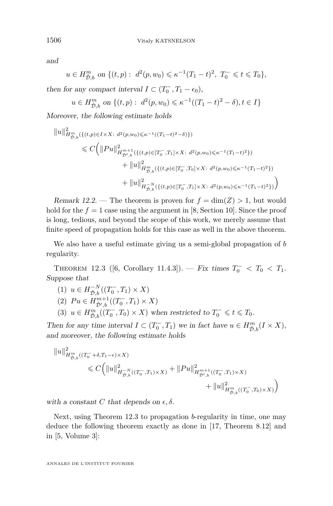and

$$
u \in H^{m}_{\tilde{D},b}
$$
 on  $\{(t,p): d^{2}(p, w_{0}) \leq \kappa^{-1}(T_{1}-t)^{2}, T_{0}^{-} \leq t \leq T_{0}\},\$ 

then for any compact interval  $I \subset (T_0^-, T_1 - \epsilon_0)$ ,

$$
u \in H^m_{\tilde{D},b}
$$
 on  $\{(t,p): d^2(p,w_0) \le \kappa^{-1}((T_1-t)^2-\delta), t \in I\}$ 

Moreover, the following estimate holds

$$
||u||_{H^{m}_{\tilde{D},b}}^{2}(\{(t,p)\in I\times X:\ d^{2}(p,w_{0})\leqslant \kappa^{-1}((T_{1}-t)^{2}-\delta)\})
$$
  

$$
\leqslant C\Big(||Pu||_{H^{\tilde{D}^{+},b}_{\tilde{D}^{+},b}}^{2}(\{(t,p)\in [T_{0}^{-},T_{1}]\times X:\ d^{2}(p,w_{0})\leqslant \kappa^{-1}(T_{1}-t)^{2}\})
$$
  

$$
+||u||_{H^{m}_{\tilde{D},b}}^{2}(\{(t,p)\in [T_{0}^{-},T_{0}]\times X:\ d^{2}(p,w_{0})\leqslant \kappa^{-1}(T_{1}-t)^{2}\})
$$
  

$$
+||u||_{H^{-N}_{\tilde{D},b}}^{2}(\{(t,p)\in [T_{0}^{-},T_{1}]\times X:\ d^{2}(p,w_{0})\leqslant \kappa^{-1}(T_{1}-t)^{2}\})\Big)
$$

Remark 12.2. — The theorem is proven for  $f = \dim(Z) > 1$ , but would hold for the  $f = 1$  case using the argument in [\[8,](#page-70-0) Section 10]. Since the proof is long, tedious, and beyond the scope of this work, we merely assume that finite speed of propagation holds for this case as well in the above theorem.

We also have a useful estimate giving us a semi-global propagation of *b* regularity.

<span id="page-60-0"></span>THEOREM 12.3 ([\[6,](#page-70-6) Corollary 11.4.3]). — Fix times  $T_0^- < T_0 < T_1$ . Suppose that

 $(1)$   $u \in H^{-N}_{\tilde{D},b}((T_0^-, T_1) \times X)$ (2)  $Pu \in H^{m+1}_{\tilde{D}',b}((T_0^-, T_1) \times X)$ (3)  $u \in H^m_{\tilde{D},b}((T_0^-, T_0) \times X)$  when restricted to  $T_0^- \leq t \leq T_0$ .

Then for any time interval  $I \subset (T_0^-, T_1)$  we in fact have  $u \in H^m_{\tilde{\mathcal{D}},b}(I \times X)$ , and moreover, the following estimate holds

$$
\begin{aligned} \|u\|^2_{H^m_{\tilde{\mathcal{D}},b}((T_0^- + \delta, T_1 - \epsilon) \times X)}\\ &\quad \quad \leqslant C\Big(\|u\|^2_{H^{-N}_{\tilde{\mathcal{D}},b}((T_0^-,T_1) \times X)} + \|Pu\|^2_{H^{m+1}_{\tilde{\mathcal{D}}',b}((T_0^-,T_1) \times X)}\\ &\qquad \qquad + \|u\|^2_{H^m_{\tilde{\mathcal{D}},b}((T_0^-,T_0) \times X)} \Big) \end{aligned}
$$

with a constant *C* that depends on  $\epsilon, \delta$ .

Next, using Theorem [12.3](#page-60-0) to propagation *b*-regularity in time, one may deduce the following theorem exactly as done in [\[17,](#page-71-0) Theorem 8.12] and in [\[5,](#page-70-8) Volume 3]: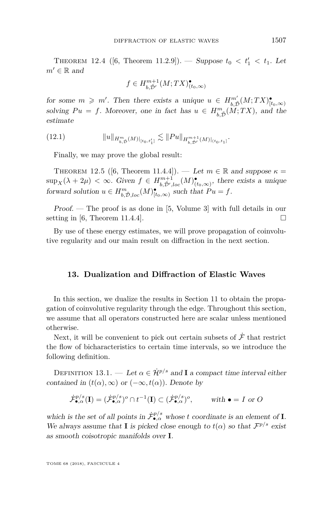THEOREM 12.4 ([\[6,](#page-70-6) Theorem 11.2.9]). — Suppose  $t_0 < t'_1 < t_1$ . Let  $m' \in \mathbb{R}$  and

$$
f \in H^{m+1}_{b,\tilde{\mathcal{D}}'}(M;TX)^{\bullet}_{(t_0,\infty)}
$$

for some  $m \geqslant m'$ . Then there exists a unique  $u \in H^{m'}_{b,\tilde{D}}(M;TX)^{\bullet}_{[t_0,\infty)}$ solving  $Pu = f$ . Moreover, one in fact has  $u \in H^m_{b,\tilde{D}}(M;TX)$ , and the estimate

(12.1) 
$$
||u||_{H^{m}_{b,\tilde{\mathcal{D}}}(M)|_{[t_0,t'_1]}} \lesssim ||Pu||_{H^{m+1}_{b,\tilde{\mathcal{D}}'}(M)|_{(t_0,t_1]}}.
$$

Finally, we may prove the global result:

<span id="page-61-0"></span>THEOREM 12.5 ([\[6,](#page-70-6) Theorem 11.4.4]). — Let  $m \in \mathbb{R}$  and suppose  $\kappa =$  $\sup_X(\lambda + 2\mu) < \infty$ . Given  $f \in H^{m+1}_{b,\tilde{D}',loc}(M)_{(t_0,\infty)}^{\bullet}$ , there exists a unique forward solution  $u \in H_{b,\tilde{D},loc}^m(M)_{[t_0,\infty)}^{\bullet}$  such that  $Pu = f$ .

Proof. — The proof is as done in [\[5,](#page-70-8) Volume 3] with full details in our setting in [\[6,](#page-70-6) Theorem 11.4.4].

By use of these energy estimates, we will prove propagation of coinvolutive regularity and our main result on diffraction in the next section.

# **13. Dualization and Diffraction of Elastic Waves**

In this section, we dualize the results in Section [11](#page-44-3) to obtain the propagation of coinvolutive regularity through the edge. Throughout this section, we assume that all operators constructed here are scalar unless mentioned otherwise.

Next, it will be convenient to pick out certain subsets of  $\dot{\mathcal{F}}$  that restrict the flow of bicharacteristics to certain time intervals, so we introduce the following definition.

DEFINITION 13.1. — Let  $\alpha \in \mathcal{H}^{p/s}$  and **I** a compact time interval either contained in  $(t(\alpha), \infty)$  or  $(-\infty, t(\alpha))$ . Denote by

$$
\dot{\mathcal{F}}_{\bullet,\alpha}^{p/s}(\mathbf{I}) = (\dot{\mathcal{F}}_{\bullet,\alpha}^{p/s})^o \cap t^{-1}(\mathbf{I}) \subset (\dot{\mathcal{F}}_{\bullet,\alpha}^{p/s})^o, \qquad \text{ with } \bullet = I \text{ or } O
$$

which is the set of all points in  $\dot{\mathcal{F}}_{\bullet,\alpha}^{p/s}$  whose *t* coordinate is an element of **I**. We always assume that **I** is picked close enough to  $t(\alpha)$  so that  $\mathcal{F}^{p/s}$  exist as smooth coisotropic manifolds over **I**.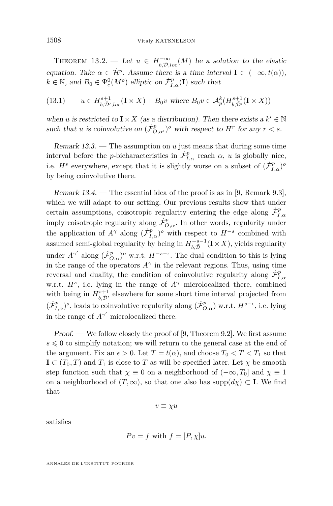<span id="page-62-0"></span>THEOREM 13.2. — Let  $u \in H^{-\infty}_{b,\tilde{D},loc}(M)$  be a solution to the elastic equation. Take  $\alpha \in \dot{\mathcal{H}}^p$ . Assume there is a time interval  $\mathbf{I} \subset (-\infty, t(\alpha)),$  $k \in \mathbb{N}$ , and  $B_0 \in \Psi_c^0(M^o)$  elliptic on  $\dot{\mathcal{F}}_{I,\alpha}^p(\mathbf{I})$  such that

$$
(13.1) \qquad u\in H^{s+1}_{b,\tilde{\mathcal{D}}',loc}(\mathbf{I}\times X)+B_0v\text{ where }B_0v\in \mathcal{A}^k_p(H^{s+1}_{b,\tilde{\mathcal{D}}'}(\mathbf{I}\times X))
$$

when *u* is restricted to  $\mathbf{I} \times X$  (as a distribution). Then there exists a  $k' \in \mathbb{N}$ such that *u* is coinvolutive on  $(\dot{\mathcal{F}}_{O,\alpha'}^p)^o$  with respect to  $H^r$  for any  $r < s$ .

Remark 13.3. — The assumption on *u* just means that during some time interval before the *p*-bicharacteristics in  $\dot{\mathcal{F}}_{I,\alpha}^p$  reach  $\alpha$ , *u* is globally nice, i.e.  $H^s$  everywhere, except that it is slightly worse on a subset of  $(\dot{\mathcal{F}}_{I,\alpha}^p)^o$ by being coinvolutive there.

Remark  $13.4.$  — The essential idea of the proof is as in [\[9,](#page-70-4) Remark 9.3]. which we will adapt to our setting. Our previous results show that under certain assumptions, coisotropic regularity entering the edge along  $\dot{\mathcal{F}}_{I,\alpha}^p$ imply coisotropic regularity along  $\dot{\mathcal{F}}_{O,\alpha}^p$ . In other words, regularity under the application of  $A^{\gamma}$  along  $(\dot{\mathcal{F}}_{I,\alpha}^p)^o$  with respect to  $H^{-s}$  combined with assumed semi-global regularity by being in  $H_{b,\tilde{D}}^{-s-1}(\mathbf{I} \times X)$ , yields regularity under  $A^{\gamma'}$  along  $(\dot{\mathcal{F}}_{O,\alpha}^p)^o$  w.r.t.  $H^{-s-\epsilon}$ . The dual condition to this is lying in the range of the operators  $A^{\gamma}$  in the relevant regions. Thus, using time reversal and duality, the condition of coinvolutive regularity along  $\dot{\mathcal{F}}_{I,\alpha}^p$ w.r.t.  $H^s$ , i.e. lying in the range of  $A^{\gamma}$  microlocalized there, combined with being in  $H_{b,\tilde{D}'}^{s+1}$  elsewhere for some short time interval projected from  $(\dot{\mathcal{F}}_{I,\alpha}^p)$ <sup>o</sup>, leads to coinvolutive regularity along  $(\dot{\mathcal{F}}_{O,\alpha}^p)$  w.r.t.  $H^{s-\epsilon}$ , i.e. lying in the range of  $A^{\gamma'}$  microlocalized there.

Proof. — We follow closely the proof of [\[9,](#page-70-4) Theorem 9.2]. We first assume  $s \leq 0$  to simplify notation; we will return to the general case at the end of the argument. Fix an  $\epsilon > 0$ . Let  $T = t(\alpha)$ , and choose  $T_0 < T < T_1$  so that  $\mathbf{I} \subset (T_0, T)$  and  $T_1$  is close to *T* as will be specified later. Let  $\chi$  be smooth step function such that  $\chi \equiv 0$  on a neighborhood of  $(-\infty, T_0]$  and  $\chi \equiv 1$ on a neighborhood of  $(T, \infty)$ , so that one also has supp $(d\chi) \subset I$ . We find that

 $v \equiv \chi u$ 

satisfies

$$
Pv = f \text{ with } f = [P, \chi]u.
$$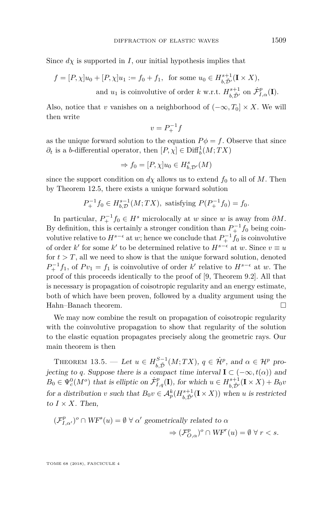Since  $d\chi$  is supported in *I*, our initial hypothesis implies that

$$
f = [P, \chi]u_0 + [P, \chi]u_1 := f_0 + f_1, \text{ for some } u_0 \in H^{s+1}_{b, \tilde{D}'}(\mathbf{I} \times X),
$$
  
and  $u_1$  is coinvolutive of order k w.r.t.  $H^{s+1}_{b, \tilde{D}'} \text{ on } \dot{\mathcal{F}}^p_{I, \alpha}(\mathbf{I}).$ 

Also, notice that *v* vanishes on a neighborhood of  $(-\infty, T_0] \times X$ . We will then write

$$
v = P_+^{-1}f
$$

as the unique forward solution to the equation  $P\phi = f$ . Observe that since  $\partial_t$  is a *b*-differential operator, then  $[P, \chi] \in \text{Diff}_b^1(M; TX)$ 

$$
\Rightarrow f_0 = [P, \chi] u_0 \in H^s_{b, \mathcal{D}'}(M)
$$

since the support condition on  $d\chi$  allows us to extend  $f_0$  to all of  $M$ . Then by Theorem [12.5,](#page-61-0) there exists a unique forward solution

$$
P_+^{-1}f_0 \in H^{s-1}_{b,\mathcal{D}}(M;TX), \text{ satisfying } P(P_+^{-1}f_0) = f_0.
$$

In particular,  $P_+^{-1} f_0 \in H^s$  microlocally at *w* since *w* is away from  $\partial M$ . By definition, this is certainly a stronger condition than  $P_+^{-1} f_0$  being coinvolutive relative to  $H^{s-\epsilon}$  at *w*; hence we conclude that  $P_+^{-1} f_0$  is coinvolutive of order *k*<sup> $\prime$ </sup> for some *k*<sup> $\prime$ </sup> to be determined relative to  $H^{s-\epsilon}$  at *w*. Since  $v \equiv u$ for  $t > T$ , all we need to show is that the unique forward solution, denoted  $P_+^{-1}f_1$ , of  $Pv_1 = f_1$  is coinvolutive of order *k*' relative to  $H^{s-\epsilon}$  at *w*. The proof of this proceeds identically to the proof of [\[9,](#page-70-4) Theorem 9.2]. All that is necessary is propagation of coisotropic regularity and an energy estimate, both of which have been proven, followed by a duality argument using the Hahn–Banach theorem.

We may now combine the result on propagation of coisotropic regularity with the coinvolutive propagation to show that regularity of the solution to the elastic equation propagates precisely along the geometric rays. Our main theorem is then

<span id="page-63-0"></span>THEOREM 13.5. — Let  $u \in H^{S-1}_{b,\tilde{D}}(M;TX)$ ,  $q \in \dot{\mathcal{H}}^p$ , and  $\alpha \in \mathcal{H}^p$  projecting to *q*. Suppose there is a compact time interval  $I \subset (-\infty, t(\alpha))$  and  $B_0 \in \Psi_c^0(M^o)$  that is elliptic on  $\dot{\mathcal{F}}_{I,q}^p(\mathbf{I})$ , for which  $u \in H_{b,\tilde{\mathcal{D}}'}^{s+1}(\mathbf{I} \times X) + B_0v$ for a distribution *v* such that  $B_0v \in \mathcal{A}_p^k(H^{s+1}_{b,\tilde{D}'}(\mathbf{I} \times X))$  when *u* is restricted to  $I \times X$ . Then,

$$
\begin{aligned} (\mathcal{F}_{I,\alpha'}^p)^o \cap WF^s(u) = \emptyset \ \forall \ \alpha' \ \text{geometrically related to } \alpha \\ \Rightarrow (\mathcal{F}_{O,\alpha}^p)^o \cap WF^r(u) = \emptyset \ \forall \ r < s. \end{aligned}
$$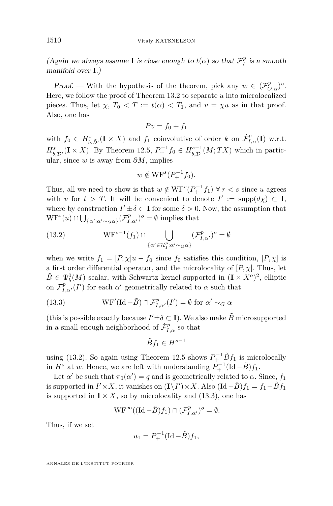(Again we always assume **I** is close enough to  $t(\alpha)$  so that  $\mathcal{F}_I^p$  is a smooth manifold over **I**.)

Proof. — With the hypothesis of the theorem, pick any  $w \in (\mathcal{F}_{O,\alpha}^p)^o$ . Here, we follow the proof of Theorem [13.2](#page-62-0) to separate *u* into microlocalized pieces. Thus, let  $\chi$ ,  $T_0 < T := t(\alpha) < T_1$ , and  $v = \chi u$  as in that proof. Also, one has

$$
Pv = f_0 + f_1
$$

with  $f_0 \in H_{b,\tilde{D}'}^s({\bf I} \times X)$  and  $f_1$  coinvolutive of order  $k$  on  $\dot{\mathcal{F}}_{I,\alpha}^p({\bf I})$  w.r.t.  $H_{b,\tilde{D}'}^{s}(\mathbf{I} \times X)$ . By Theorem [12.5,](#page-61-0)  $P_{+}^{-1}f_0 \in H_{b,\tilde{D}}^{s-1}(M;TX)$  which in particular, since *w* is away from *∂M*, implies

$$
w \notin \mathrm{WF}^s(P_+^{-1}f_0).
$$

Thus, all we need to show is that  $w \notin \text{WF}^r(P_+^{-1}f_1) \forall r < s$  since *u* agrees with *v* for  $t > T$ . It will be convenient to denote  $I' := \text{supp}(d\chi) \subset I$ , where by construction  $I' \pm \delta \subset I$  for some  $\delta > 0$ . Now, the assumption that  $WF^{s}(u) \cap \bigcup_{\{\alpha':\alpha' \sim_{G} \alpha\}} (\mathcal{F}_{I,\alpha'}^{p})^{o} = \emptyset$  implies that

<span id="page-64-0"></span>(13.2) 
$$
WF^{s-1}(f_1) \cap \bigcup_{\{\alpha' \in \mathcal{H}_I^p : \alpha' \sim_G \alpha\}} (\mathcal{F}_{I,\alpha'}^p)^o = \emptyset
$$

when we write  $f_1 = [P, \chi]u - f_0$  since  $f_0$  satisfies this condition,  $[P, \chi]$  is a first order differential operator, and the microlocality of  $[P, \chi]$ . Thus, let  $\tilde{B} \in \Psi_b^0(M)$  scalar, with Schwartz kernel supported in  $(\mathbf{I} \times X^o)^2$ , elliptic on  $\mathcal{F}_{I,\alpha'}^p(I')$  for each  $\alpha'$  geometrically related to  $\alpha$  such that

<span id="page-64-1"></span>(13.3) 
$$
WF'(Id - \tilde{B}) \cap \mathcal{F}_{I,\alpha'}^p(I') = \emptyset \text{ for } \alpha' \sim_G \alpha
$$

(this is possible exactly because  $I' \pm \delta \subset \mathbf{I}$ ). We also make  $\tilde{B}$  microsupported in a small enough neighborhood of  $\dot{\mathcal{F}}_{I,\alpha}^p$  so that

$$
\tilde{B}f_1 \in H^{s-1}
$$

using [\(13.2\)](#page-64-0). So again using Theorem [12.5](#page-61-0) shows  $P_+^{-1} \tilde{B} f_1$  is microlocally in  $H^s$  at *w*. Hence, we are left with understanding  $P_+^{-1}(\text{Id}-\tilde{B})f_1$ .

Let  $\alpha'$  be such that  $\pi_0(\alpha') = q$  and is geometrically related to  $\alpha$ . Since,  $f_1$ is supported in  $I' \times X$ , it vanishes on  $(\mathbf{I} \setminus I') \times X$ . Also  $(\text{Id} - \tilde{B})f_1 = f_1 - \tilde{B}f_1$ is supported in  $I \times X$ , so by microlocality and [\(13.3\)](#page-64-1), one has

$$
\mathrm{WF}^\infty((\mathrm{Id}-\tilde{B})f_1)\cap(\mathcal{F}_{I,\alpha'}^p)^o=\emptyset.
$$

Thus, if we set

$$
u_1 = P_+^{-1} (\text{Id} - \tilde{B}) f_1,
$$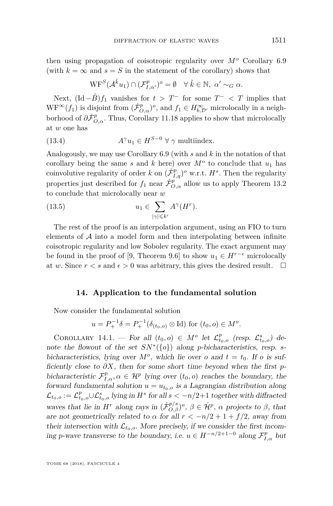then using propagation of coisotropic regularity over *M<sup>o</sup>* Corollary [6.9](#page-28-0) (with  $k = \infty$  and  $s = S$  in the statement of the corollary) shows that

$$
\mathrm{WF}^S(\mathcal{A}^{\tilde{k}}u_1) \cap (\mathcal{F}^p_{I,\alpha'})^o = \emptyset \quad \forall \ \tilde{k} \in \mathbb{N}, \ \alpha' \sim_G \alpha.
$$

Next,  $(\text{Id} - \tilde{B})f_1$  vanishes for  $t > T^-$  for some  $T^- < T$  implies that  $WF^{\infty}(f_1)$  is disjoint from  $(\dot{\mathcal{F}}^p_{O,\alpha})^o$ , and  $f_1 \in H^{\infty}_{b,\mathcal{D}'}$  microlocally in a neighborhood of  $\partial \dot{\mathcal{F}}^p_{O,\alpha}$ . Thus, Corollary [11.18](#page-57-0) applies to show that microlocally at *w* one has

(13.4) 
$$
A^{\gamma}u_1 \in H^{S-0} \ \forall \ \gamma \text{ multiindex.}
$$

Analogously, we may use Corollary [6.9](#page-28-0) (with *s* and *k* in the notation of that corollary being the same *s* and *k* here) over  $M^o$  to conclude that  $u_1$  has coinvolutive regularity of order *k* on  $(\dot{\mathcal{F}}_{I,q}^p)^o$  w.r.t.  $H^s$ . Then the regularity properties just described for  $f_1$  near  $\dot{\mathcal{F}}_{O,\alpha}^p$  allow us to apply Theorem [13.2](#page-62-0) to conclude that microlocally near *w*

(13.5) 
$$
u_1 \in \sum_{|\gamma| \leqslant k'} A^{\gamma}(H^r).
$$

The rest of the proof is an interpolation argument, using an FIO to turn elements of  $A$  into a model form and then interpolating between infinite coisotropic regularity and low Sobolev regularity. The exact argument may be found in the proof of [\[9,](#page-70-4) Theorem 9.6] to show  $u_1 \in H^{r-\epsilon}$  microlocally at *w*. Since  $r < s$  and  $\epsilon > 0$  was arbitrary, this gives the desired result.  $\Box$ 

## **14. Application to the fundamental solution**

Now consider the fundamental solution

$$
u = P_+^{-1} \delta = P_+^{-1} (\delta_{(t_0,o)} \otimes \text{Id}) \text{ for } (t_0,o) \in M^o.
$$

COROLLARY 14.1. — For all  $(t_0, o) \in M^o$  let  $\mathcal{L}^p_{t_0, o}$  (resp.  $\mathcal{L}^s_{t_0, o}$ ) denote the flowout of the set  $SN^*(\{o\})$  along *p*-bicharacteristics, resp. *s*bicharacteristics, lying over  $M^o$ , which lie over *o* and  $t = t_0$ . If *o* is sufficiently close to *∂X*, then for some short time beyond when the first *p*bicharacteristic  $\mathcal{F}_{I,\alpha}^p, \alpha \in \mathcal{H}^p$  lying over  $(t_0, o)$  reaches the boundary, the forward fundamental solution  $u = u_{t_0,o}$  is a Lagrangian distribution along  $\mathcal{L}_{t_0,o} := \mathcal{L}_{t_0,o}^p \cup \mathcal{L}_{t_0,o}^s$  lying in  $H^s$  for all  $s < -n/2+1$  together with diffracted waves that lie in  $H^r$  along rays in  $(\dot{\mathcal{F}}_{O,\beta}^{p/s})^o$ ,  $\beta \in \dot{\mathcal{H}}^p$ ,  $\alpha$  projects to  $\beta$ , that are not geometrically related to  $\alpha$  for all  $r < -n/2 + 1 + f/2$ , away from their intersection with  $\mathcal{L}_{t_0,o}$ . More precisely, if we consider the first incoming *p*-wave transverse to the boundary, i.e.  $u \in H^{-n/2+1-0}$  along  $\mathcal{F}_{I,\alpha}^p$  but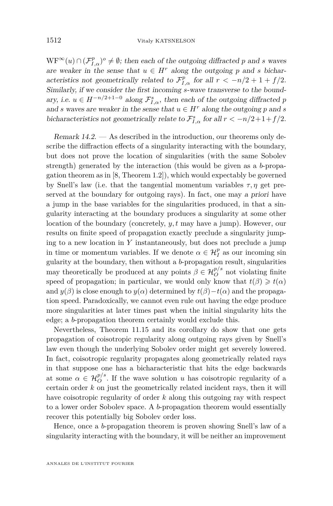$WF^{\infty}(u) \cap (\mathcal{F}_{I,\alpha}^{p})^{\circ} \neq \emptyset$ ; then each of the outgoing diffracted *p* and *s* waves are weaker in the sense that  $u \in H^r$  along the outgoing p and *s* bicharacteristics not geometrically related to  $\mathcal{F}_{I,\alpha}^p$  for all  $r < -n/2 + 1 + f/2$ . Similarly, if we consider the first incoming *s*-wave transverse to the boundary, i.e.  $u \in H^{-n/2+1-0}$  along  $\mathcal{F}_{I,\alpha}^s$ , then each of the outgoing diffracted *p* and *s* waves are weaker in the sense that  $u \in H^r$  along the outgoing *p* and *s* bicharacteristics not geometrically relate to  $\mathcal{F}_{I,\alpha}^s$  for all  $r < -n/2+1+f/2$ .

<span id="page-66-0"></span>Remark 14.2. — As described in the introduction, our theorems only describe the diffraction effects of a singularity interacting with the boundary, but does not prove the location of singularities (with the same Sobolev strength) generated by the interaction (this would be given as a *b*-propagation theorem as in [\[8,](#page-70-0) Theorem 1.2]), which would expectably be governed by Snell's law (i.e. that the tangential momentum variables  $\tau$ ,  $\eta$  get preserved at the boundary for outgoing rays). In fact, one may a priori have a jump in the base variables for the singularities produced, in that a singularity interacting at the boundary produces a singularity at some other location of the boundary (concretely, *y, t* may have a jump). However, our results on finite speed of propagation exactly preclude a singularity jumping to a new location in *Y* instantaneously, but does not preclude a jump in time or momentum variables. If we denote  $\alpha \in \mathcal{H}_I^p$  as our incoming sin gularity at the boundary, then without a *b*-propagation result, singularities may theoretically be produced at any points  $\beta \in \mathcal{H}_{O}^{p/s}$  not violating finite speed of propagation; in particular, we would only know that  $t(\beta) \geq t(\alpha)$ and  $y(\beta)$  is close enough to  $y(\alpha)$  determined by  $t(\beta) - t(\alpha)$  and the propagation speed. Paradoxically, we cannot even rule out having the edge produce more singularities at later times past when the initial singularity hits the edge; a *b*-propagation theorem certainly would exclude this.

Nevertheless, Theorem [11.15](#page-56-0) and its corollary do show that one gets propagation of coisotropic regularity along outgoing rays given by Snell's law even though the underlying Sobolev order might get severely lowered. In fact, coisotropic regularity propagates along geometrically related rays in that suppose one has a bicharacteristic that hits the edge backwards at some  $\alpha \in \mathcal{H}_O^{p/s}$ . If the wave solution *u* has coisotropic regularity of a certain order *k* on just the geometrically related incident rays, then it will have coisotropic regularity of order *k* along this outgoing ray with respect to a lower order Sobolev space. A *b*-propagation theorem would essentially recover this potentially big Sobolev order loss.

Hence, once a *b*-propagation theorem is proven showing Snell's law of a singularity interacting with the boundary, it will be neither an improvement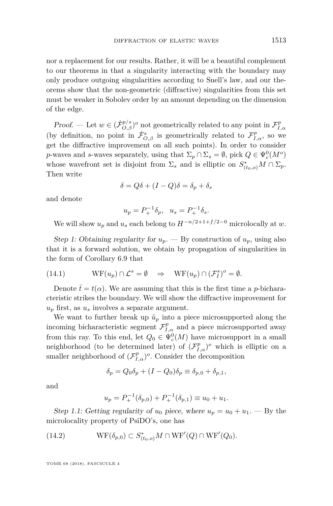nor a replacement for our results. Rather, it will be a beautiful complement to our theorems in that a singularity interacting with the boundary may only produce outgoing singularities according to Snell's law, and our theorems show that the non-geometric (diffractive) singularities from this set must be weaker in Sobolev order by an amount depending on the dimension of the edge.

Proof. — Let  $w \in (\dot{\mathcal{F}}_{O,\beta}^{p/s})^o$  not geometrically related to any point in  $\mathcal{F}_{I,\alpha}^p$ (by definition, no point in  $\dot{\mathcal{F}}^s_{O,\beta}$  is geometrically related to  $\mathcal{F}^p_{I,\alpha}$ , so we get the diffractive improvement on all such points). In order to consider *p*-waves and *s*-waves separately, using that  $\Sigma_p \cap \Sigma_s = \emptyset$ , pick  $Q \in \Psi_c^0(M^o)$ whose wavefront set is disjoint from  $\Sigma_s$  and is elliptic on  $S^*_{(t_0,o)}M \cap \Sigma_p$ . Then write

$$
\delta = Q\delta + (I-Q)\delta = \delta_p + \delta_s
$$

and denote

$$
u_p = P_+^{-1} \delta_p, \ \ u_s = P_+^{-1} \delta_s.
$$

We will show  $u_p$  and  $u_s$  each belong to  $H^{-n/2+1+f/2-0}$  microlocally at  $w$ .

Step 1: Obtaining regularity for  $u_p$ . — By construction of  $u_p$ , using also that it is a forward solution, we obtain by propagation of singularities in the form of Corollary [6.9](#page-28-0) that

<span id="page-67-0"></span>(14.1) 
$$
WF(u_p) \cap \mathcal{L}^s = \emptyset \Rightarrow WF(u_p) \cap (\mathcal{F}^s_l)^o = \emptyset.
$$

Denote  $\bar{t} = t(\alpha)$ . We are assuming that this is the first time a *p*-bicharacteristic strikes the boundary. We will show the diffractive improvement for  $u_p$  first, as  $u_s$  involves a separate argument.

We want to further break up  $\tilde{u}_p$  into a piece microsupported along the incoming bicharacteristic segment  $\mathcal{F}_{I,\alpha}^p$  and a piece microsupported away from this ray. To this end, let  $Q_0 \in \Psi_c^0(M)$  have microsupport in a small neighborhood (to be determined later) of  $(\mathcal{F}_{I,\alpha}^p)^o$  which is elliptic on a smaller neighborhood of  $(\mathcal{F}_{I,\alpha}^p)^\circ$ . Consider the decomposition

$$
\delta_p = Q_0 \delta_p + (I - Q_0) \delta_p \equiv \delta_{p,0} + \delta_{p,1},
$$

and

<span id="page-67-1"></span>
$$
u_p = P_+^{-1}(\delta_{p,0}) + P_+^{-1}(\delta_{p,1}) \equiv u_0 + u_1.
$$

Step 1.1: Getting regularity of  $u_0$  piece, where  $u_p = u_0 + u_1$ . — By the microlocality property of PsiDO's, one has

(14.2) 
$$
WF(\delta_{p,0}) \subset S_{(t_0,o)}^* M \cap WF'(Q) \cap WF'(Q_0).
$$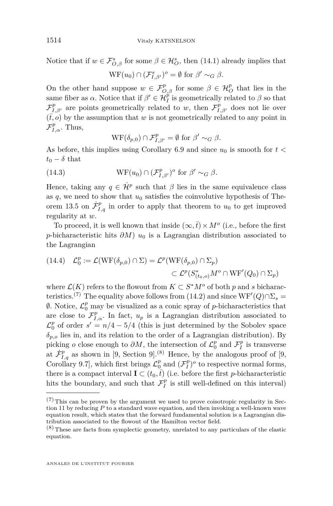Notice that if  $w \in \mathcal{F}_{O,\beta}^s$  for some  $\beta \in \mathcal{H}_O^s$ , then [\(14.1\)](#page-67-0) already implies that

$$
\mathrm{WF}(u_0) \cap (\mathcal{F}^s_{I,\beta'})^o = \emptyset \text{ for } \beta' \sim_G \beta.
$$

On the other hand suppose  $w \in \mathcal{F}_{O,\beta}^p$  for some  $\beta \in \mathcal{H}_O^p$  that lies in the same fiber as  $\alpha$ . Notice that if  $\beta' \in \mathcal{H}_I^{\hat{p}}$  is geometrically related to  $\beta$  so that  $\mathcal{F}_{I,\beta'}^p$  are points geometrically related to *w*, then  $\mathcal{F}_{I,\beta'}^p$  does not lie over  $(\bar{t}, o)$  by the assumption that *w* is not geometrically related to any point in  $\mathcal{F}_{I,\alpha}^p$ . Thus,

<span id="page-68-0"></span>
$$
\mathrm{WF}(\delta_{p,0}) \cap \mathcal{F}_{I,\beta'}^p = \emptyset \text{ for } \beta' \sim_G \beta.
$$

As before, this implies using Corollary [6.9](#page-28-0) and since  $u_0$  is smooth for  $t <$  $t_0 - \delta$  that

(14.3) 
$$
WF(u_0) \cap (\mathcal{F}_{I,\beta'}^p)^o \text{ for } \beta' \sim_G \beta.
$$

Hence, taking any  $q \in \mathcal{H}^p$  such that  $\beta$  lies in the same equivalence class as  $q$ , we need to show that  $u_0$  satisfies the coinvolutive hypothesis of The-orem [13.5](#page-63-0) on  $\dot{\mathcal{F}}_{I,q}^p$  in order to apply that theorem to  $u_0$  to get improved regularity at *w*.

To proceed, it is well known that inside  $(\infty, \bar{t}) \times M^o$  (i.e., before the first *p*-bicharacteristic hits  $\partial M$ )  $u_0$  is a Lagrangian distribution associated to the Lagrangian

<span id="page-68-1"></span>(14.4) 
$$
\mathcal{L}_0^p := \mathcal{L}(\mathrm{WF}(\delta_{p,0}) \cap \Sigma) = \mathcal{L}^p(\mathrm{WF}(\delta_{p,0}) \cap \Sigma_p)
$$

$$
\subset \mathcal{L}^p(S^*_{(t_0,o)}M^o \cap \mathrm{WF}'(Q_0) \cap \Sigma_p)
$$

where  $\mathcal{L}(K)$  refers to the flowout from  $K \subset S^*M^o$  of both p and s bicharac-teristics.<sup>(7)</sup> The equality above follows from [\(14.2\)](#page-67-1) and since  $WF'(Q) \cap \Sigma_s =$  $\emptyset$ . Notice,  $\mathcal{L}_0^p$  may be visualized as a conic spray of *p*-bicharacteristics that are close to  $\mathcal{F}_{I,\alpha}^p$ . In fact,  $u_p$  is a Lagrangian distribution associated to  $\mathcal{L}_0^p$  of order  $s' = n/4 - 5/4$  (this is just determined by the Sobolev space  $\delta_{p,o}$  lies in, and its relation to the order of a Lagrangian distribution). By picking *o* close enough to  $\partial M$ , the intersection of  $\mathcal{L}_0^p$  and  $\mathcal{F}_I^p$  is transverse at  $\dot{\mathcal{F}}_{I,q}^p$  as shown in [\[9,](#page-70-4) Section 9].<sup>(8)</sup> Hence, by the analogous proof of [9, Corollary 9.7], which first brings  $\mathcal{L}_0^p$  and  $(\mathcal{F}_I^p)^\circ$  to respective normal forms, there is a compact interval  $\mathbf{I} \subset (t_0, \bar{t})$  (i.e. before the first *p*-bicharacteristic hits the boundary, and such that  $\mathcal{F}_{I}^{p}$  is still well-defined on this interval)

 $(7)$  This can be proven by the argument we used to prove coisotropic regularity in Section [11](#page-44-3) by reducing *P* to a standard wave equation, and then invoking a well-known wave equation result, which states that the forward fundamental solution is a Lagrangian distribution associated to the flowout of the Hamilton vector field.

 $(8)$  These are facts from symplectic geometry, unrelated to any particulars of the elastic equation.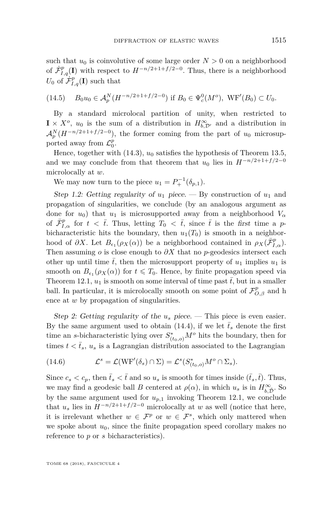such that  $u_0$  is coinvolutive of some large order  $N > 0$  on a neighborhood of  $\dot{\mathcal{F}}_{I,q}^p(\mathbf{I})$  with respect to  $H^{-n/2+1+f/2-0}$ . Thus, there is a neighborhood  $U_0$  of  $\dot{\mathcal{F}}_{I,q}^p(\mathbf{I})$  such that

(14.5) 
$$
B_0 u_0 \in \mathcal{A}_p^N(H^{-n/2+1+f/2-0})
$$
 if  $B_0 \in \Psi_c^0(M^o)$ ,  $WF'(B_0) \subset U_0$ .

By a standard microlocal partition of unity, when restricted to  $\mathbf{I} \times X^o$ ,  $u_0$  is the sum of a distribution in  $H_{b,\mathcal{D}'}^{\infty}$  and a distribution in  $\mathcal{A}_p^N(H^{-n/2+1+f/2-0})$ , the former coming from the part of  $u_0$  microsupported away from  $\mathcal{L}_0^p$ .

Hence, together with [\(14.3\)](#page-68-0),  $u_0$  satisfies the hypothesis of Theorem [13.5,](#page-63-0) and we may conclude from that theorem that  $u_0$  lies in  $H^{-n/2+1+f/2-0}$ microlocally at *w*.

We may now turn to the piece  $u_1 = P_+^{-1}(\delta_{p,1}).$ 

Step 1.2: Getting regularity of  $u_1$  piece.  $-$  By construction of  $u_1$  and propagation of singularities, we conclude (by an analogous argument as done for  $u_0$ ) that  $u_1$  is microsupported away from a neighborhood  $V_\alpha$ of  $\bar{\mathcal{F}}_{I,\alpha}^p$  for  $t < \bar{t}$ . Thus, letting  $T_0 < \bar{t}$ , since  $\bar{t}$  is the first time a *p*bicharacteristic hits the boundary, then  $u_1(T_0)$  is smooth in a neighborhood of  $\partial X$ . Let  $B_{\epsilon_1}(\rho_X(\alpha))$  be a neighborhood contained in  $\rho_X(\bar{\mathcal{F}}_{I,\alpha}^p)$ . Then assuming *o* is close enough to *∂X* that no *p*-geodesics intersect each other up until time  $\bar{t}$ , then the microsupport property of  $u_1$  implies  $u_1$  is smooth on  $B_{\epsilon_1}(\rho_X(\alpha))$  for  $t \leq T_0$ . Hence, by finite propagation speed via Theorem [12.1,](#page-59-0)  $u_1$  is smooth on some interval of time past  $\bar{t}$ , but in a smaller ball. In particular, it is microlocally smooth on some point of  $\mathcal{F}_{O,\beta}^p$  and h ence at *w* by propagation of singularities.

Step 2: Getting regularity of the  $u_s$  piece. — This piece is even easier. By the same argument used to obtain [\(14.4\)](#page-68-1), if we let  $\bar{t}_s$  denote the first time an *s*-bicharacteristic lying over  $S^*_{(t_0,o)}M^o$  hits the boundary, then for times  $t < \bar{t}_s$ ,  $u_s$  is a Lagrangian distribution associated to the Lagrangian

(14.6) 
$$
\mathcal{L}^s = \mathcal{L}(\mathrm{WF}'(\delta_s) \cap \Sigma) = \mathcal{L}^s(S^*_{(t_0,o)}M^o \cap \Sigma_s).
$$

Since  $c_s < c_p$ , then  $\bar{t}_s < \bar{t}$  and so  $u_s$  is smooth for times inside  $(\bar{t}_s, \bar{t})$ . Thus, we may find a geodesic ball *B* centered at  $\rho(\alpha)$ , in which  $u_s$  is in  $H_{b,\tilde{D}}^{\infty}$ . So by the same argument used for  $u_{p,1}$  invoking Theorem [12.1,](#page-59-0) we conclude that  $u_s$  lies in  $H^{-n/2+1+f/2-0}$  microlocally at *w* as well (notice that here, it is irrelevant whether  $w \in \mathcal{F}^p$  or  $w \in \mathcal{F}^s$ , which only mattered when we spoke about  $u_0$ , since the finite propagation speed corollary makes no reference to *p* or *s* bicharacteristics).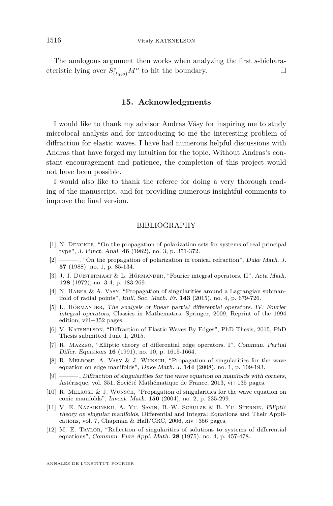The analogous argument then works when analyzing the first *s*-bicharacteristic lying over  $S^*_{(t_0,o)}M^o$  to hit the boundary.

# **15. Acknowledgments**

I would like to thank my advisor Andras Vásy for inspiring me to study microlocal analysis and for introducing to me the interesting problem of diffraction for elastic waves. I have had numerous helpful discussions with Andras that have forged my intuition for the topic. Without Andras's constant encouragement and patience, the completion of this project would not have been possible.

I would also like to thank the referee for doing a very thorough reading of the manuscript, and for providing numerous insightful comments to improve the final version.

#### BIBLIOGRAPHY

- <span id="page-70-1"></span>[1] N. Dencker, "On the propagation of polarization sets for systems of real principal type", J. Funct. Anal. **46** (1982), no. 3, p. 351-372.
- <span id="page-70-2"></span>[2] ——— , "On the propagation of polarization in conical refraction", Duke Math. J. **57** (1988), no. 1, p. 85-134.
- [3] J. J. Duistermaat & L. Hörmander, "Fourier integral operators. II", Acta Math. **128** (1972), no. 3-4, p. 183-269.
- <span id="page-70-5"></span>[4] N. Haber & A. Vasy, "Propagation of singularities around a Lagrangian submanifold of radial points", Bull. Soc. Math. Fr. **143** (2015), no. 4, p. 679-726.
- <span id="page-70-8"></span>[5] L. HÖRMANDER, The analysis of linear partial differential operators. IV: Fourier integral operators, Classics in Mathematics, Springer, 2009, Reprint of the 1994 edition, viii+352 pages.
- <span id="page-70-6"></span>[6] V. Katsnelson, "Diffraction of Elastic Waves By Edges", PhD Thesis, 2015, PhD Thesis submitted June 1, 2015.
- [7] R. Mazzeo, "Elliptic theory of differential edge operators. I", Commun. Partial Differ. Equations **16** (1991), no. 10, p. 1615-1664.
- <span id="page-70-0"></span>[8] R. Melrose, A. Vasy & J. Wunsch, "Propagation of singularities for the wave equation on edge manifolds", Duke Math. J. **144** (2008), no. 1, p. 109-193.
- <span id="page-70-4"></span>[9] ——— , Diffraction of singularities for the wave equation on manifolds with corners, Astérisque, vol. 351, Société Mathématique de France, 2013, vi+135 pages.
- <span id="page-70-3"></span>[10] R. Melrose & J. Wunsch, "Propagation of singularities for the wave equation on conic manifolds", Invent. Math. **156** (2004), no. 2, p. 235-299.
- <span id="page-70-7"></span>[11] V. E. Nazaikinskii, A. Yu. Savin, B.-W. Schulze & B. Yu. Sternin, Elliptic theory on singular manifolds, Differential and Integral Equations and Their Applications, vol. 7, Chapman & Hall/CRC, 2006, xiv+356 pages.
- [12] M. E. Taylor, "Reflection of singularities of solutions to systems of differential equations", Commun. Pure Appl. Math. **28** (1975), no. 4, p. 457-478.